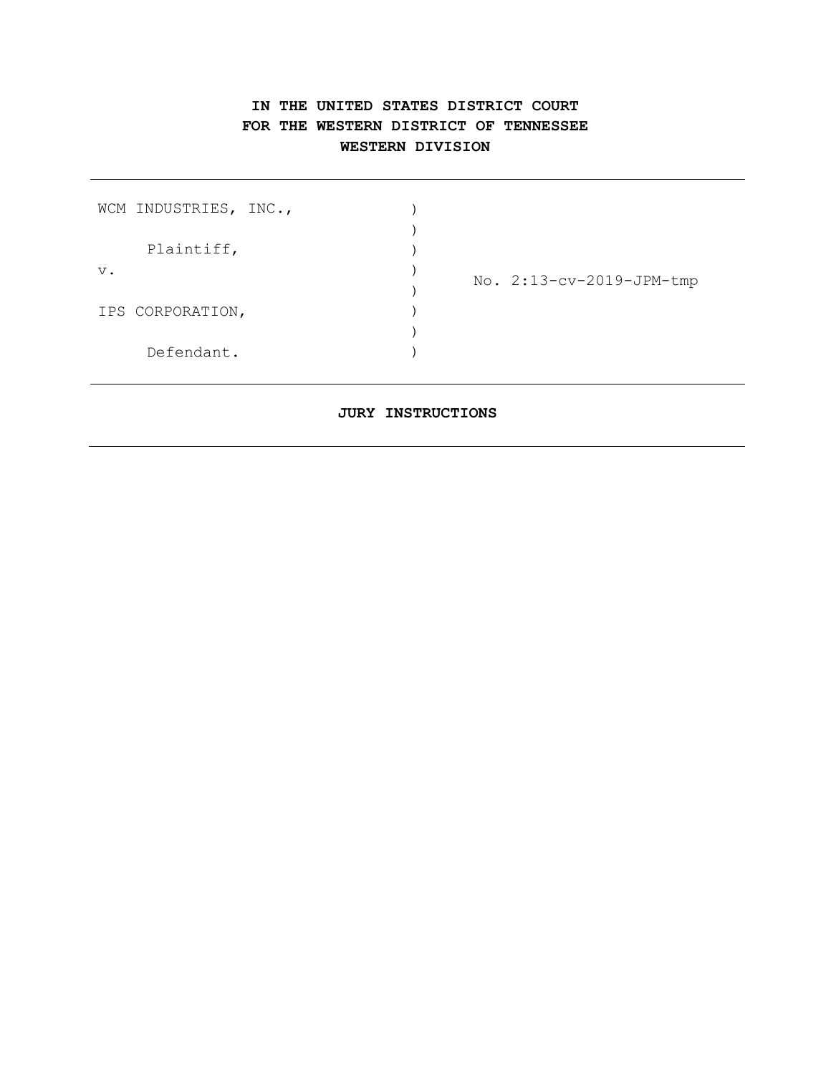# **IN THE UNITED STATES DISTRICT COURT FOR THE WESTERN DISTRICT OF TENNESSEE WESTERN DIVISION**

| WCM INDUSTRIES, INC., |            |  |                          |
|-----------------------|------------|--|--------------------------|
|                       |            |  |                          |
|                       | Plaintiff, |  |                          |
| $V$ .                 |            |  | No. 2:13-cv-2019-JPM-tmp |
|                       |            |  |                          |
| IPS CORPORATION,      |            |  |                          |
|                       |            |  |                          |
|                       | Defendant. |  |                          |

### **JURY INSTRUCTIONS**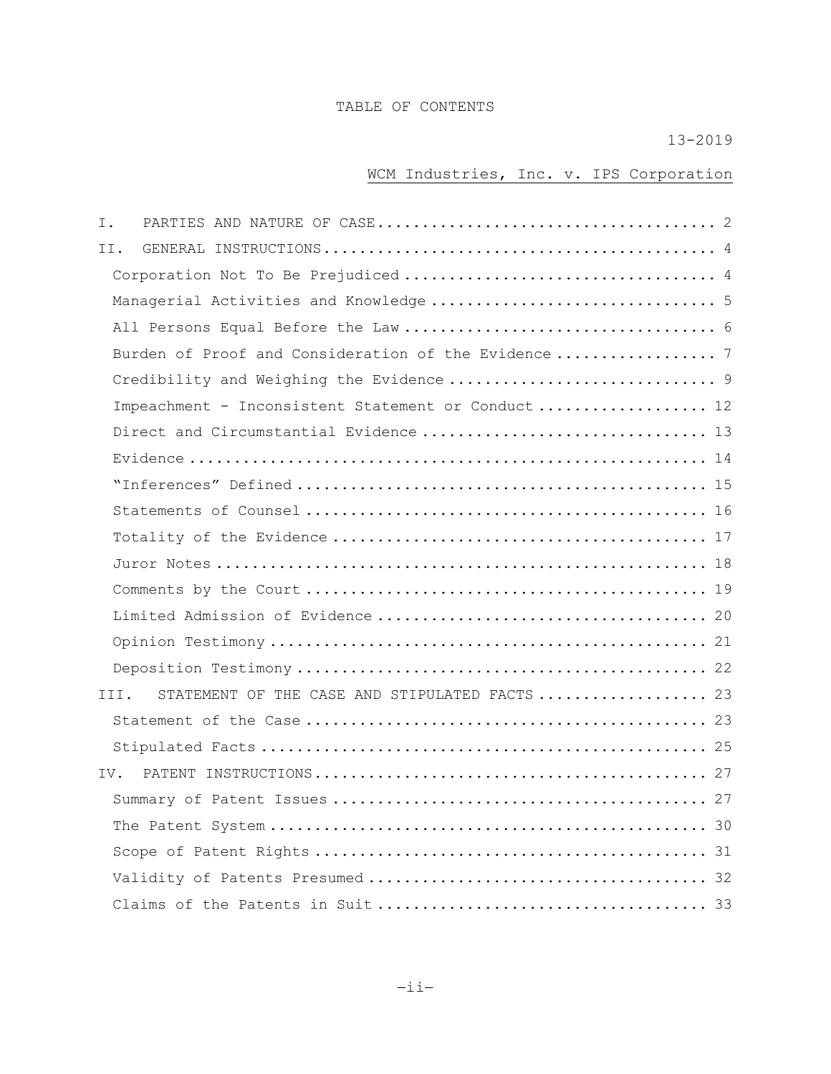# TABLE OF CONTENTS

# 13-2019

# WCM Industries, Inc. v. IPS Corporation

| Ι.                                                     |  |
|--------------------------------------------------------|--|
| II.                                                    |  |
|                                                        |  |
| Managerial Activities and Knowledge 5                  |  |
|                                                        |  |
|                                                        |  |
|                                                        |  |
| Impeachment - Inconsistent Statement or Conduct 12     |  |
|                                                        |  |
|                                                        |  |
|                                                        |  |
|                                                        |  |
|                                                        |  |
|                                                        |  |
|                                                        |  |
|                                                        |  |
|                                                        |  |
|                                                        |  |
| STATEMENT OF THE CASE AND STIPULATED FACTS  23<br>III. |  |
|                                                        |  |
|                                                        |  |
|                                                        |  |
|                                                        |  |
|                                                        |  |
|                                                        |  |
|                                                        |  |
|                                                        |  |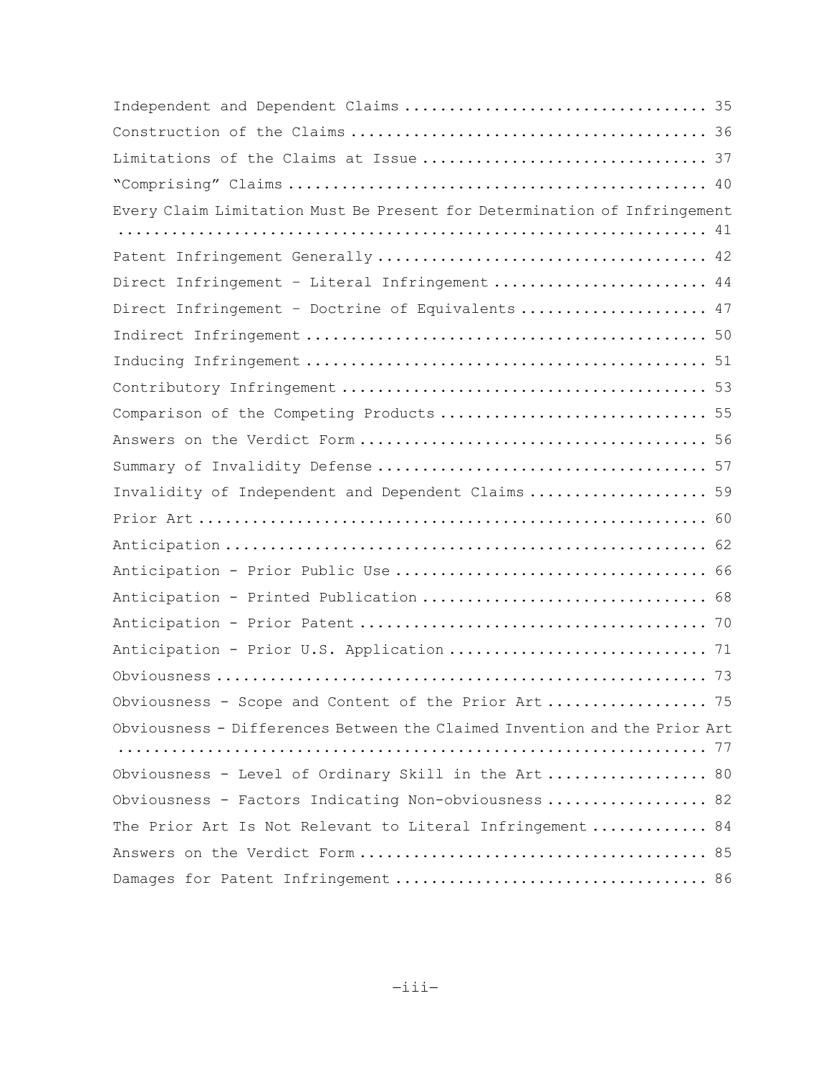| Every Claim Limitation Must Be Present for Determination of Infringement  |  |
|---------------------------------------------------------------------------|--|
|                                                                           |  |
|                                                                           |  |
| Direct Infringement - Literal Infringement  44                            |  |
| Direct Infringement - Doctrine of Equivalents  47                         |  |
|                                                                           |  |
|                                                                           |  |
|                                                                           |  |
| Comparison of the Competing Products  55                                  |  |
|                                                                           |  |
|                                                                           |  |
| Invalidity of Independent and Dependent Claims  59                        |  |
|                                                                           |  |
|                                                                           |  |
|                                                                           |  |
| Anticipation - Printed Publication  68                                    |  |
|                                                                           |  |
| Anticipation - Prior U.S. Application  71                                 |  |
|                                                                           |  |
| Obviousness - Scope and Content of the Prior Art 75                       |  |
| Obviousness - Differences Between the Claimed Invention and the Prior Art |  |
|                                                                           |  |
| Obviousness - Level of Ordinary Skill in the Art 80                       |  |
| Obviousness - Factors Indicating Non-obviousness  82                      |  |
| The Prior Art Is Not Relevant to Literal Infringement 84                  |  |
|                                                                           |  |
|                                                                           |  |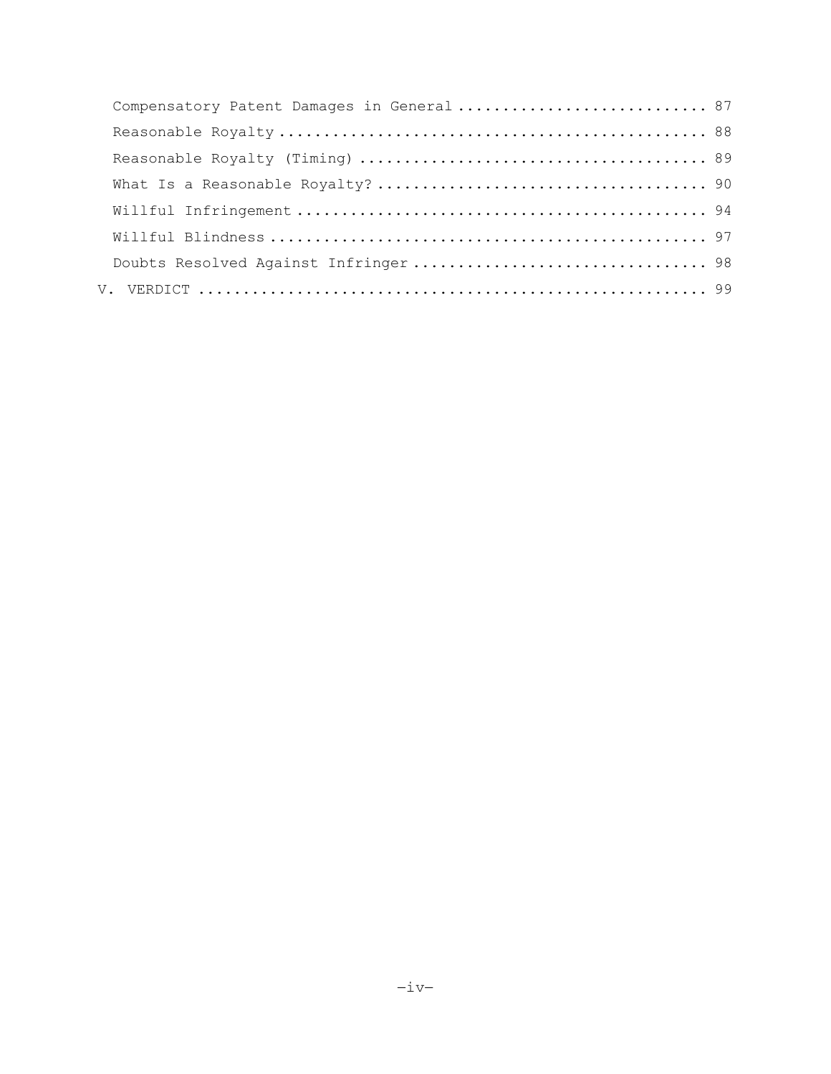| Doubts Resolved Against Infringer 98 |  |
|--------------------------------------|--|
|                                      |  |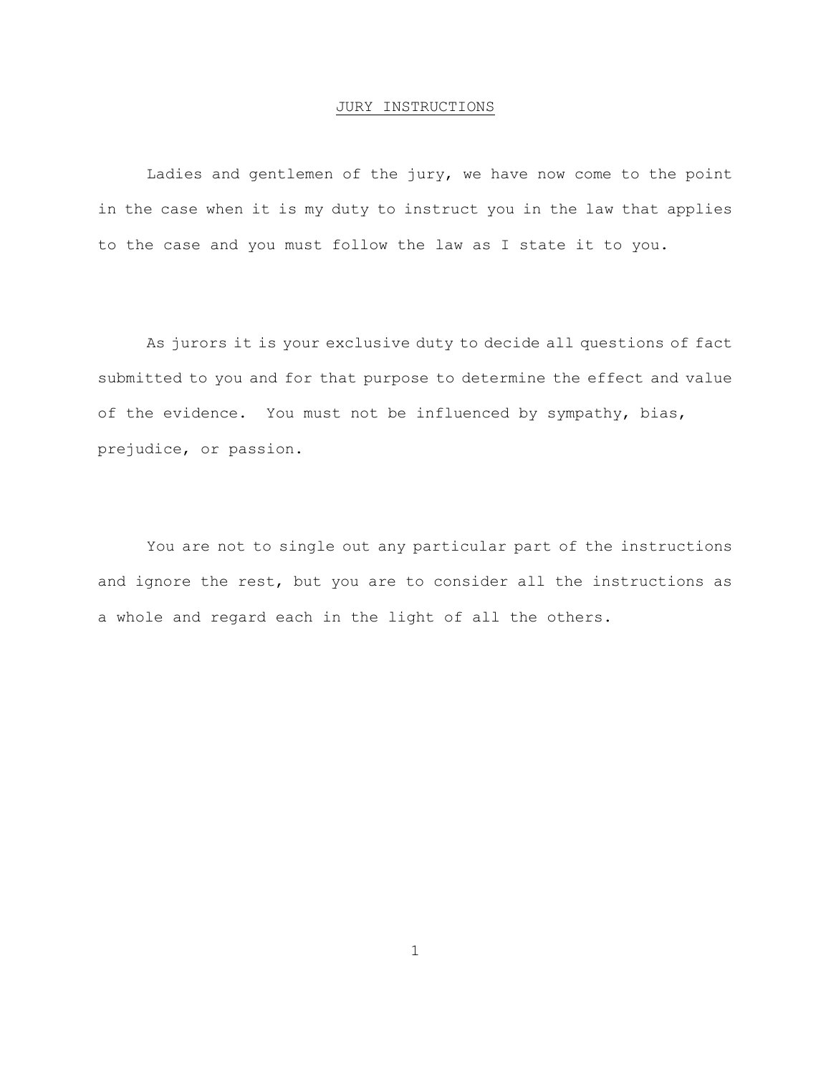#### JURY INSTRUCTIONS

Ladies and gentlemen of the jury, we have now come to the point in the case when it is my duty to instruct you in the law that applies to the case and you must follow the law as I state it to you.

As jurors it is your exclusive duty to decide all questions of fact submitted to you and for that purpose to determine the effect and value of the evidence. You must not be influenced by sympathy, bias, prejudice, or passion.

You are not to single out any particular part of the instructions and ignore the rest, but you are to consider all the instructions as a whole and regard each in the light of all the others.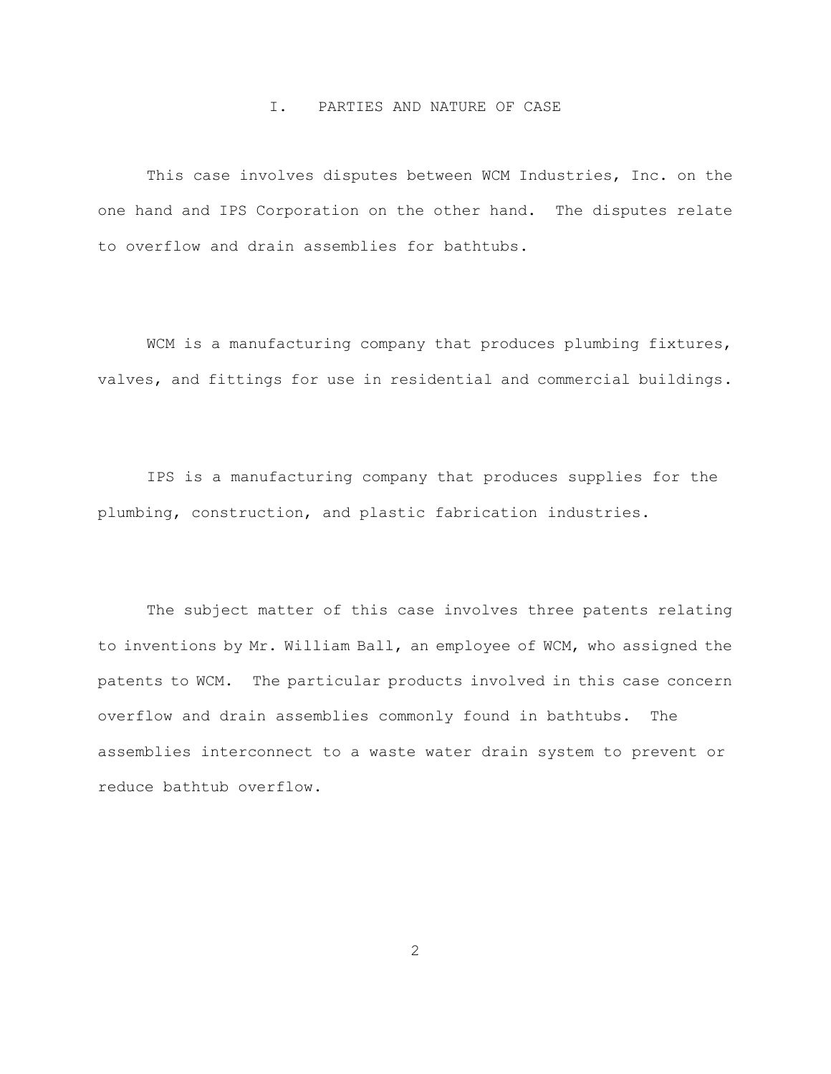### I. PARTIES AND NATURE OF CASE

<span id="page-5-0"></span>This case involves disputes between WCM Industries, Inc. on the one hand and IPS Corporation on the other hand. The disputes relate to overflow and drain assemblies for bathtubs.

WCM is a manufacturing company that produces plumbing fixtures, valves, and fittings for use in residential and commercial buildings.

IPS is a manufacturing company that produces supplies for the plumbing, construction, and plastic fabrication industries.

The subject matter of this case involves three patents relating to inventions by Mr. William Ball, an employee of WCM, who assigned the patents to WCM. The particular products involved in this case concern overflow and drain assemblies commonly found in bathtubs. The assemblies interconnect to a waste water drain system to prevent or reduce bathtub overflow.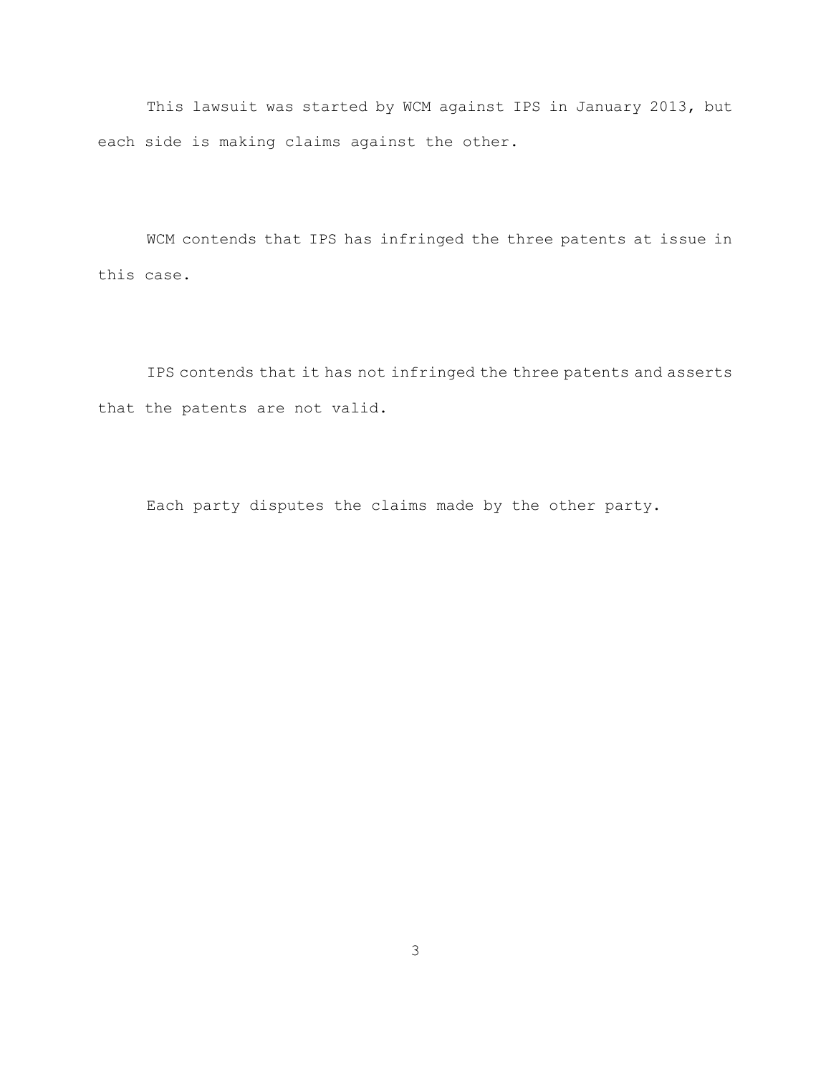This lawsuit was started by WCM against IPS in January 2013, but each side is making claims against the other.

WCM contends that IPS has infringed the three patents at issue in this case.

IPS contends that it has not infringed the three patents and asserts that the patents are not valid.

Each party disputes the claims made by the other party.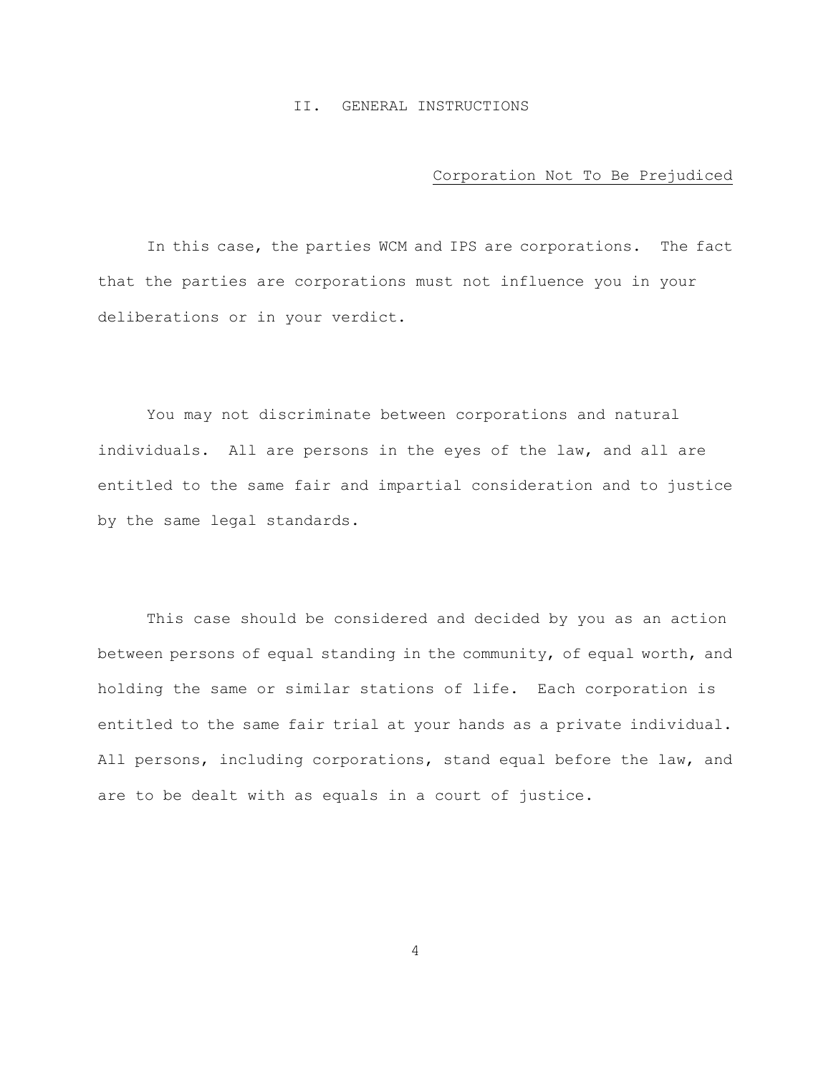#### II. GENERAL INSTRUCTIONS

#### Corporation Not To Be Prejudiced

<span id="page-7-1"></span><span id="page-7-0"></span>In this case, the parties WCM and IPS are corporations. The fact that the parties are corporations must not influence you in your deliberations or in your verdict.

You may not discriminate between corporations and natural individuals. All are persons in the eyes of the law, and all are entitled to the same fair and impartial consideration and to justice by the same legal standards.

This case should be considered and decided by you as an action between persons of equal standing in the community, of equal worth, and holding the same or similar stations of life. Each corporation is entitled to the same fair trial at your hands as a private individual. All persons, including corporations, stand equal before the law, and are to be dealt with as equals in a court of justice.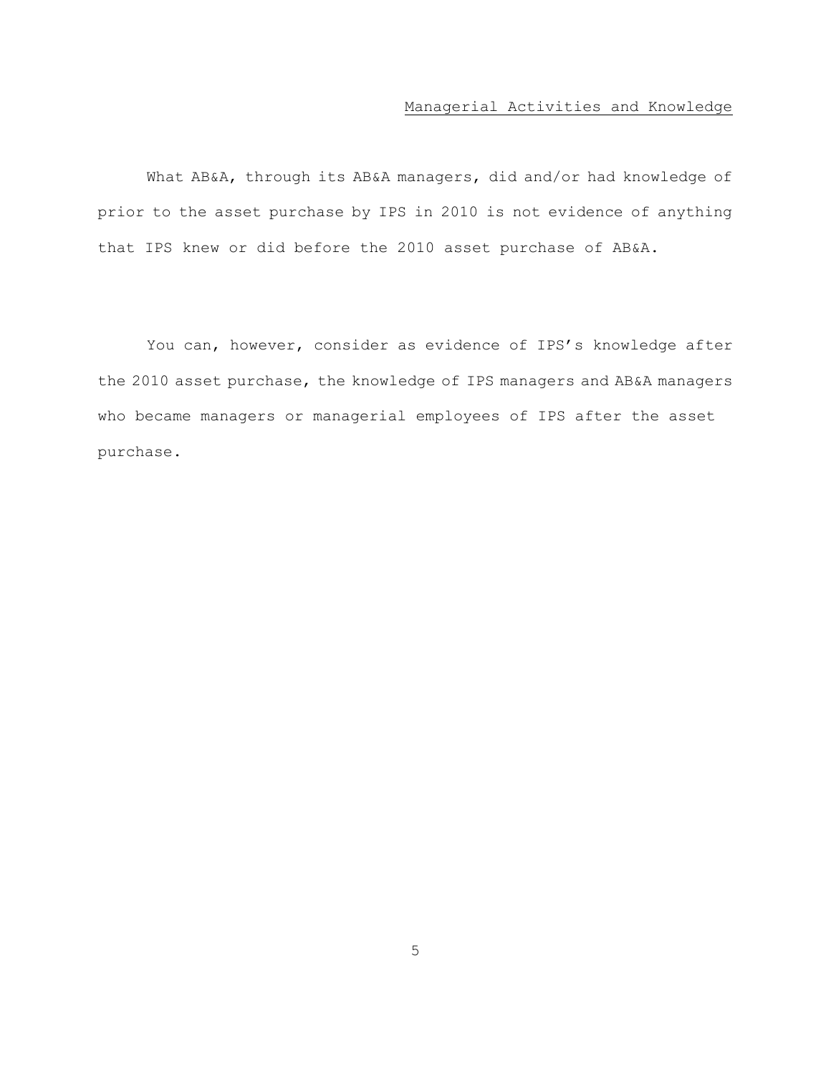# Managerial Activities and Knowledge

<span id="page-8-0"></span>What AB&A, through its AB&A managers, did and/or had knowledge of prior to the asset purchase by IPS in 2010 is not evidence of anything that IPS knew or did before the 2010 asset purchase of AB&A.

You can, however, consider as evidence of IPS's knowledge after the 2010 asset purchase, the knowledge of IPS managers and AB&A managers who became managers or managerial employees of IPS after the asset purchase.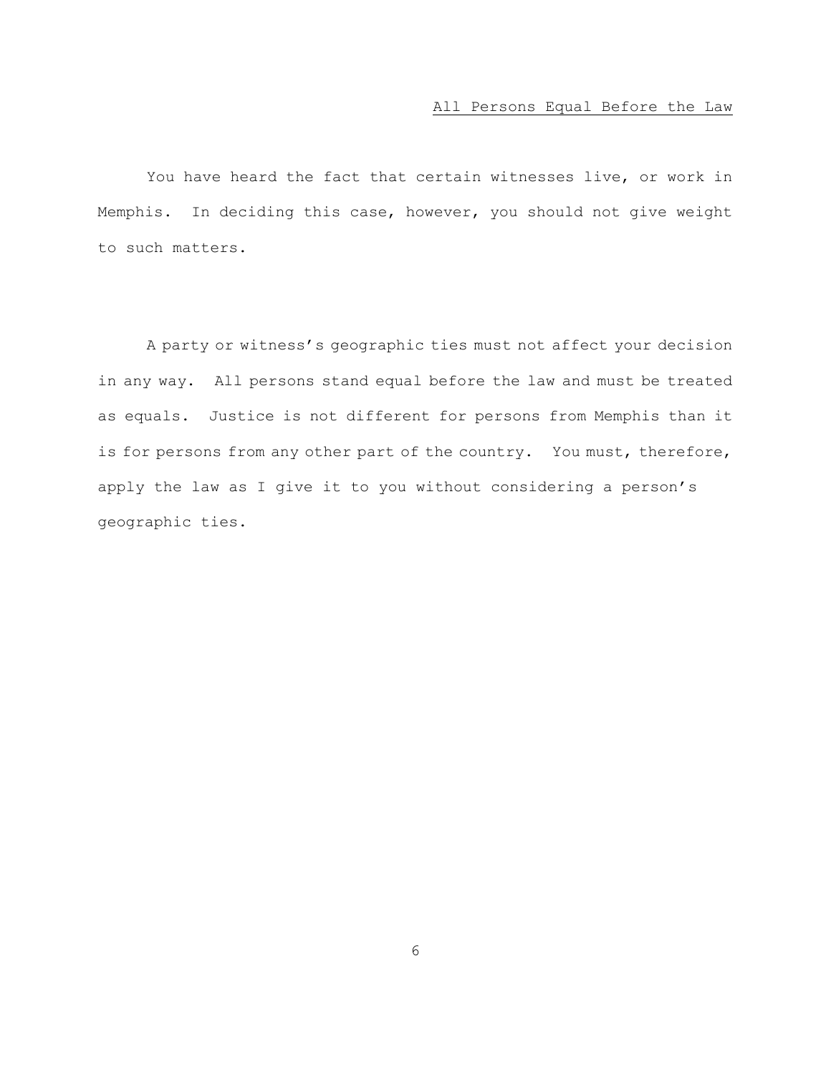# All Persons Equal Before the Law

<span id="page-9-0"></span>You have heard the fact that certain witnesses live, or work in Memphis. In deciding this case, however, you should not give weight to such matters.

A party or witness's geographic ties must not affect your decision in any way. All persons stand equal before the law and must be treated as equals. Justice is not different for persons from Memphis than it is for persons from any other part of the country. You must, therefore, apply the law as I give it to you without considering a person's geographic ties.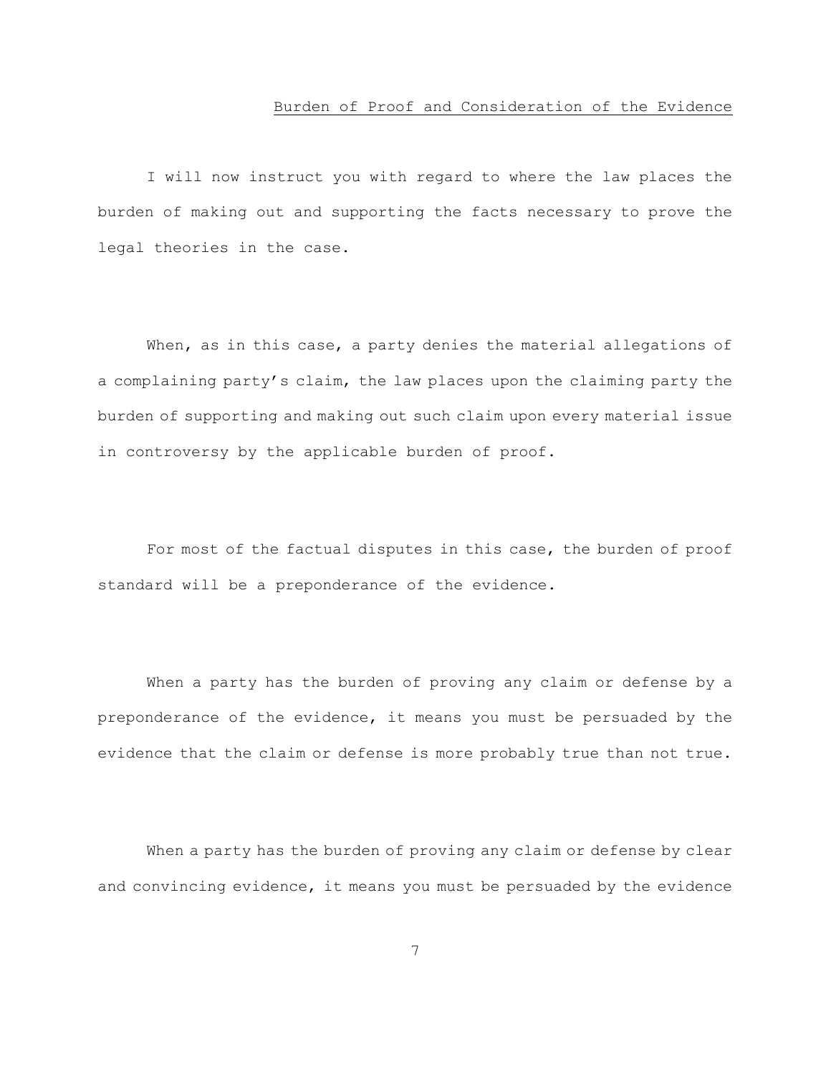#### Burden of Proof and Consideration of the Evidence

<span id="page-10-0"></span>I will now instruct you with regard to where the law places the burden of making out and supporting the facts necessary to prove the legal theories in the case.

When, as in this case, a party denies the material allegations of a complaining party's claim, the law places upon the claiming party the burden of supporting and making out such claim upon every material issue in controversy by the applicable burden of proof.

For most of the factual disputes in this case, the burden of proof standard will be a preponderance of the evidence.

When a party has the burden of proving any claim or defense by a preponderance of the evidence, it means you must be persuaded by the evidence that the claim or defense is more probably true than not true.

When a party has the burden of proving any claim or defense by clear and convincing evidence, it means you must be persuaded by the evidence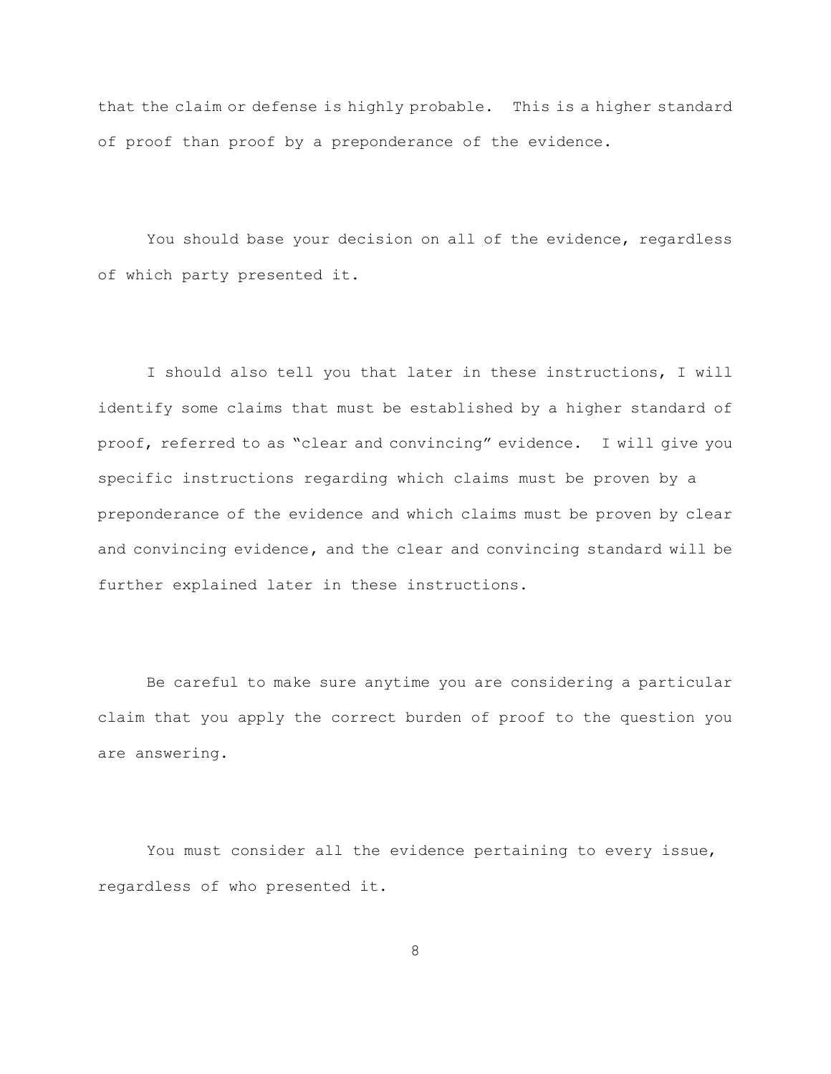that the claim or defense is highly probable. This is a higher standard of proof than proof by a preponderance of the evidence.

You should base your decision on all of the evidence, regardless of which party presented it.

I should also tell you that later in these instructions, I will identify some claims that must be established by a higher standard of proof, referred to as "clear and convincing" evidence. I will give you specific instructions regarding which claims must be proven by a preponderance of the evidence and which claims must be proven by clear and convincing evidence**,** and the clear and convincing standard will be further explained later in these instructions.

Be careful to make sure anytime you are considering a particular claim that you apply the correct burden of proof to the question you are answering.

You must consider all the evidence pertaining to every issue, regardless of who presented it.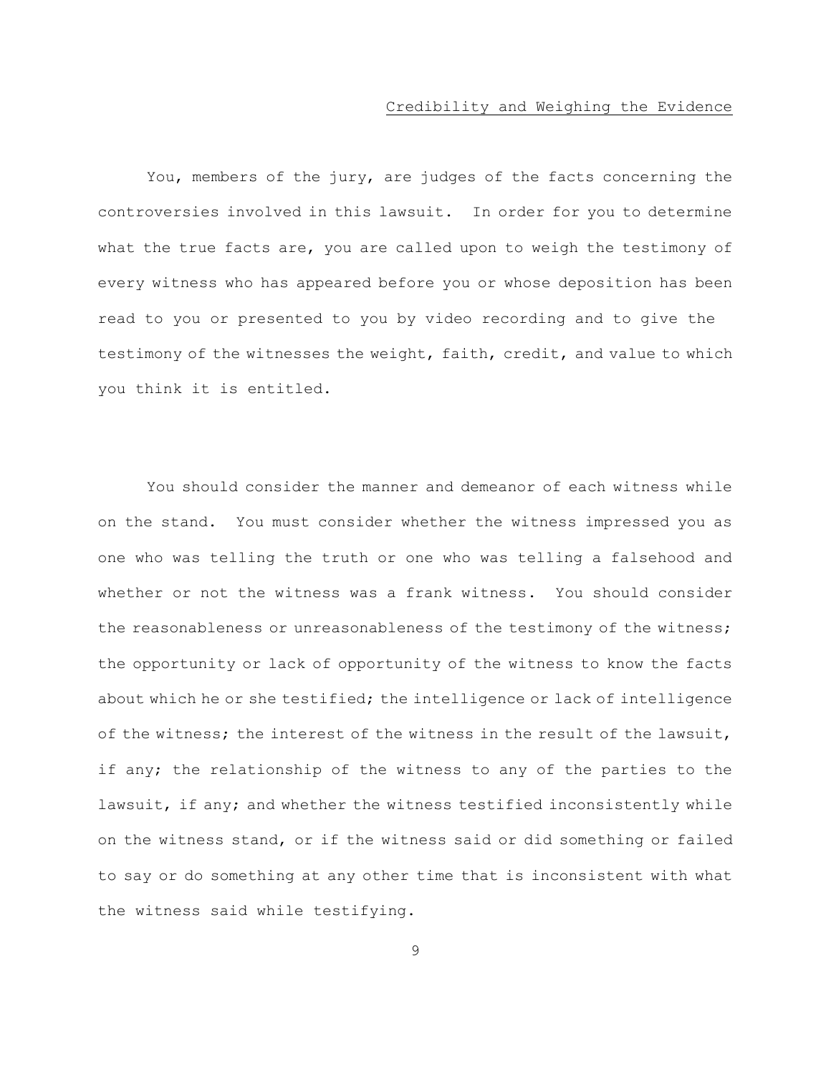#### Credibility and Weighing the Evidence

<span id="page-12-0"></span>You, members of the jury, are judges of the facts concerning the controversies involved in this lawsuit. In order for you to determine what the true facts are, you are called upon to weigh the testimony of every witness who has appeared before you or whose deposition has been read to you or presented to you by video recording and to give the testimony of the witnesses the weight, faith, credit, and value to which you think it is entitled.

You should consider the manner and demeanor of each witness while on the stand. You must consider whether the witness impressed you as one who was telling the truth or one who was telling a falsehood and whether or not the witness was a frank witness. You should consider the reasonableness or unreasonableness of the testimony of the witness; the opportunity or lack of opportunity of the witness to know the facts about which he or she testified; the intelligence or lack of intelligence of the witness; the interest of the witness in the result of the lawsuit, if any; the relationship of the witness to any of the parties to the lawsuit, if any; and whether the witness testified inconsistently while on the witness stand, or if the witness said or did something or failed to say or do something at any other time that is inconsistent with what the witness said while testifying.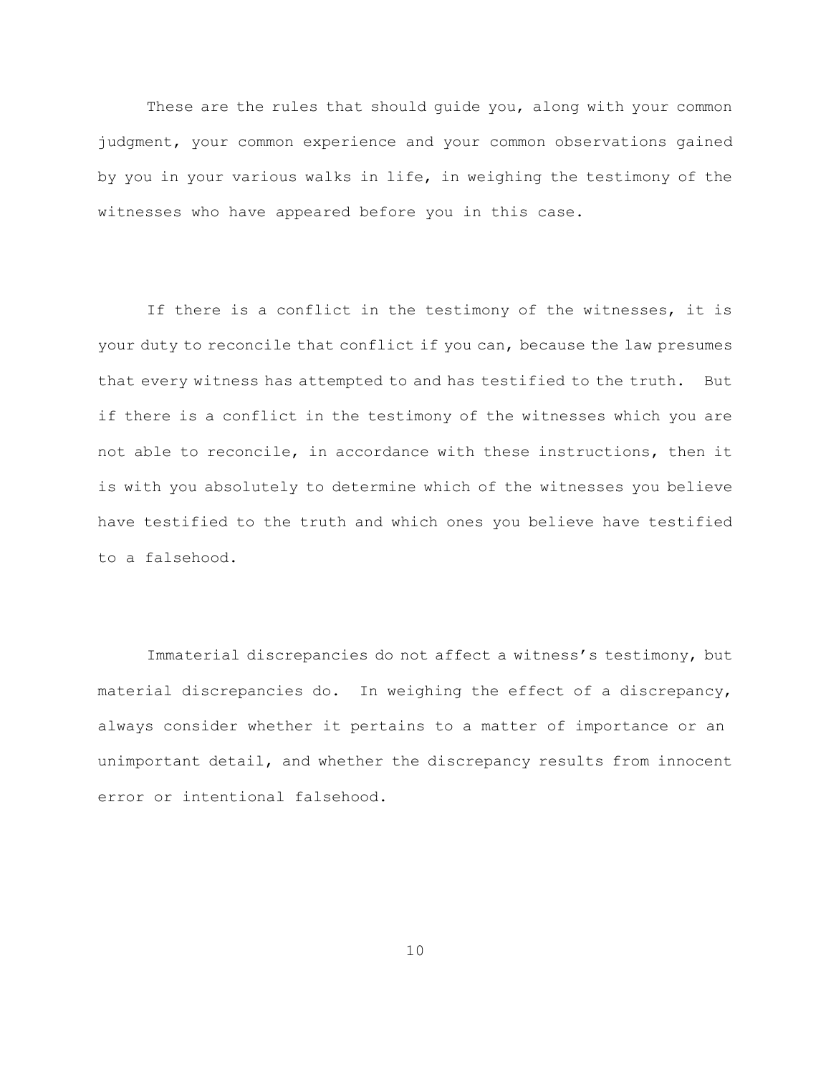These are the rules that should guide you, along with your common judgment, your common experience and your common observations gained by you in your various walks in life, in weighing the testimony of the witnesses who have appeared before you in this case.

If there is a conflict in the testimony of the witnesses, it is your duty to reconcile that conflict if you can, because the law presumes that every witness has attempted to and has testified to the truth. But if there is a conflict in the testimony of the witnesses which you are not able to reconcile, in accordance with these instructions, then it is with you absolutely to determine which of the witnesses you believe have testified to the truth and which ones you believe have testified to a falsehood.

Immaterial discrepancies do not affect a witness's testimony, but material discrepancies do. In weighing the effect of a discrepancy, always consider whether it pertains to a matter of importance or an unimportant detail, and whether the discrepancy results from innocent error or intentional falsehood.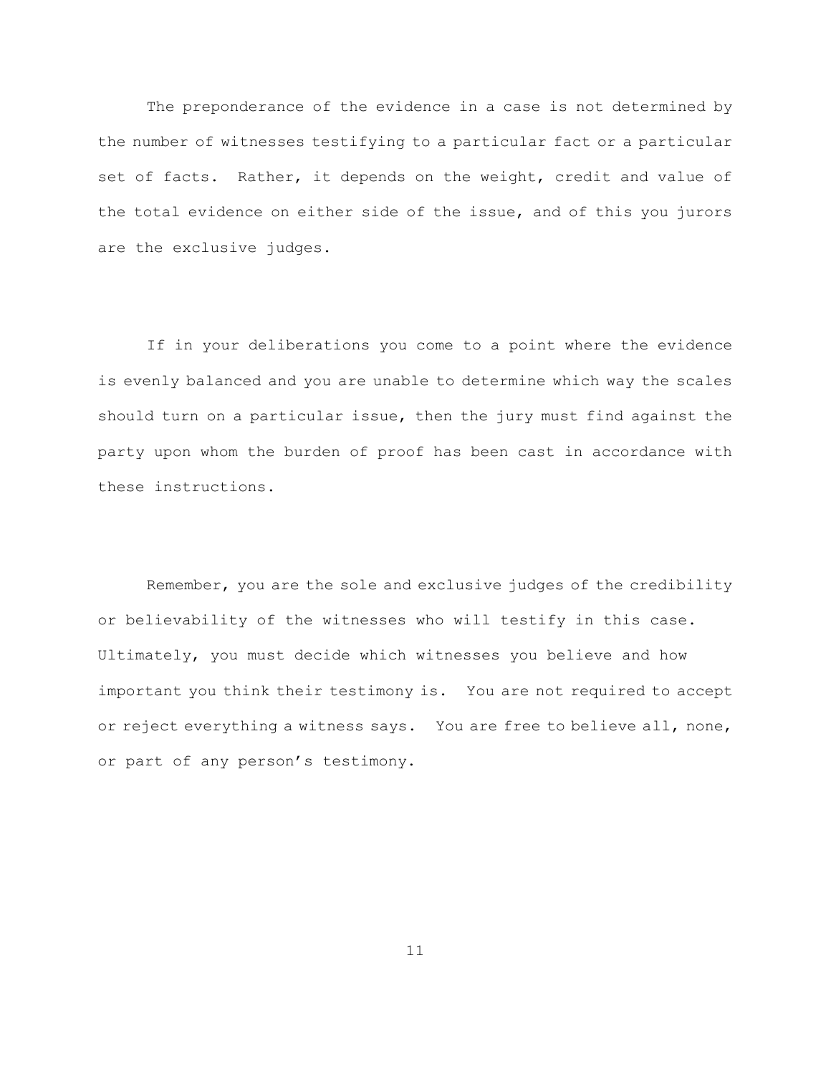The preponderance of the evidence in a case is not determined by the number of witnesses testifying to a particular fact or a particular set of facts. Rather, it depends on the weight, credit and value of the total evidence on either side of the issue, and of this you jurors are the exclusive judges.

If in your deliberations you come to a point where the evidence is evenly balanced and you are unable to determine which way the scales should turn on a particular issue, then the jury must find against the party upon whom the burden of proof has been cast in accordance with these instructions.

Remember, you are the sole and exclusive judges of the credibility or believability of the witnesses who will testify in this case. Ultimately, you must decide which witnesses you believe and how important you think their testimony is. You are not required to accept or reject everything a witness says. You are free to believe all, none, or part of any person's testimony.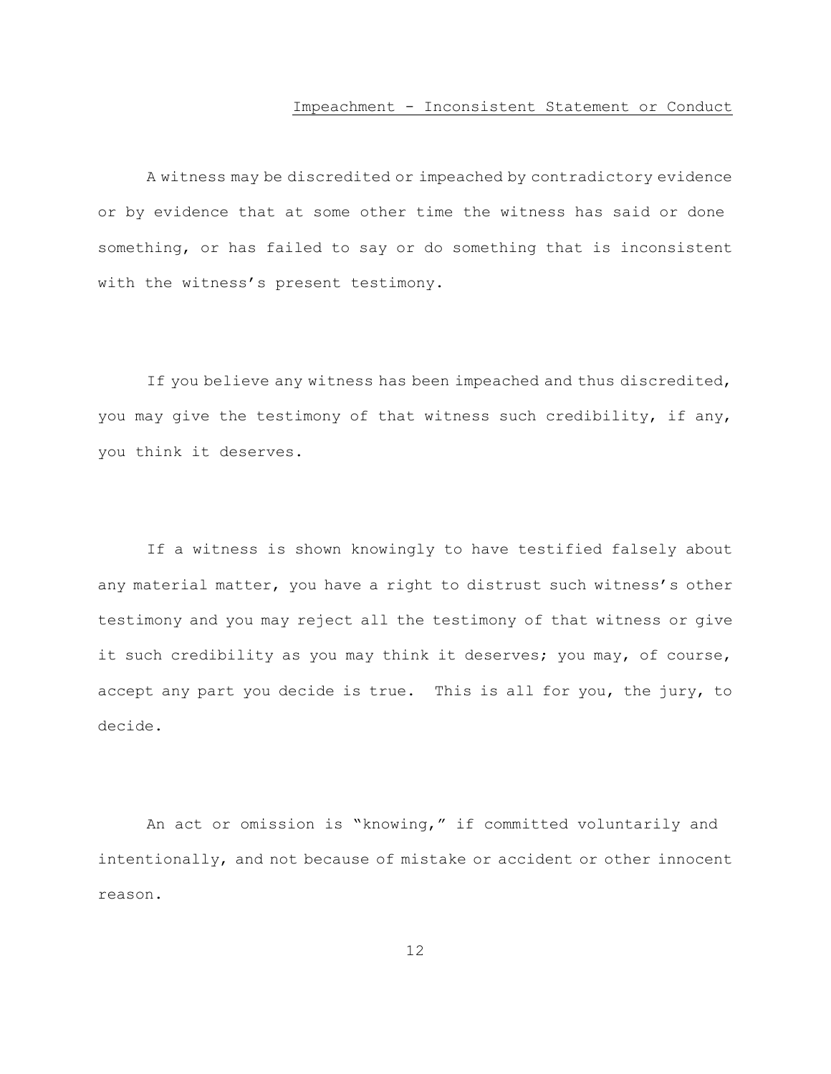#### Impeachment - Inconsistent Statement or Conduct

<span id="page-15-0"></span>A witness may be discredited or impeached by contradictory evidence or by evidence that at some other time the witness has said or done something, or has failed to say or do something that is inconsistent with the witness's present testimony.

If you believe any witness has been impeached and thus discredited, you may give the testimony of that witness such credibility, if any, you think it deserves.

If a witness is shown knowingly to have testified falsely about any material matter, you have a right to distrust such witness's other testimony and you may reject all the testimony of that witness or give it such credibility as you may think it deserves; you may, of course, accept any part you decide is true. This is all for you, the jury, to decide.

An act or omission is "knowing," if committed voluntarily and intentionally, and not because of mistake or accident or other innocent reason.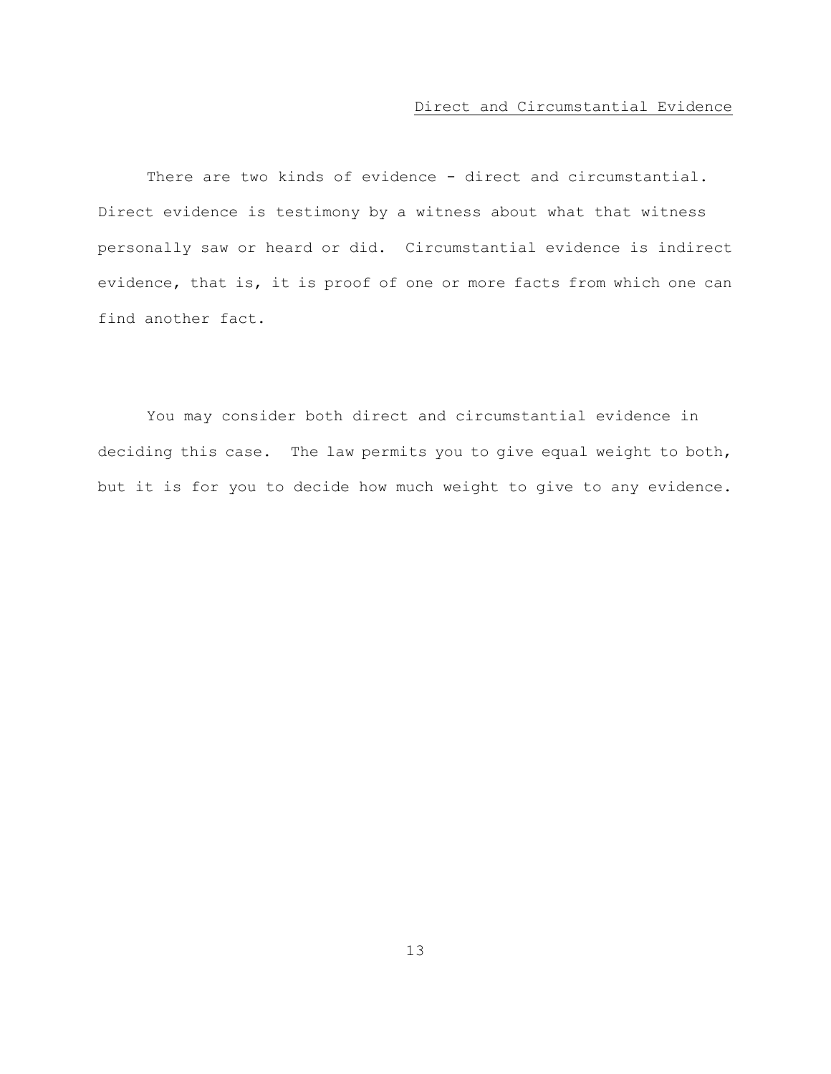### Direct and Circumstantial Evidence

<span id="page-16-0"></span>There are two kinds of evidence - direct and circumstantial. Direct evidence is testimony by a witness about what that witness personally saw or heard or did. Circumstantial evidence is indirect evidence, that is, it is proof of one or more facts from which one can find another fact.

You may consider both direct and circumstantial evidence in deciding this case. The law permits you to give equal weight to both, but it is for you to decide how much weight to give to any evidence.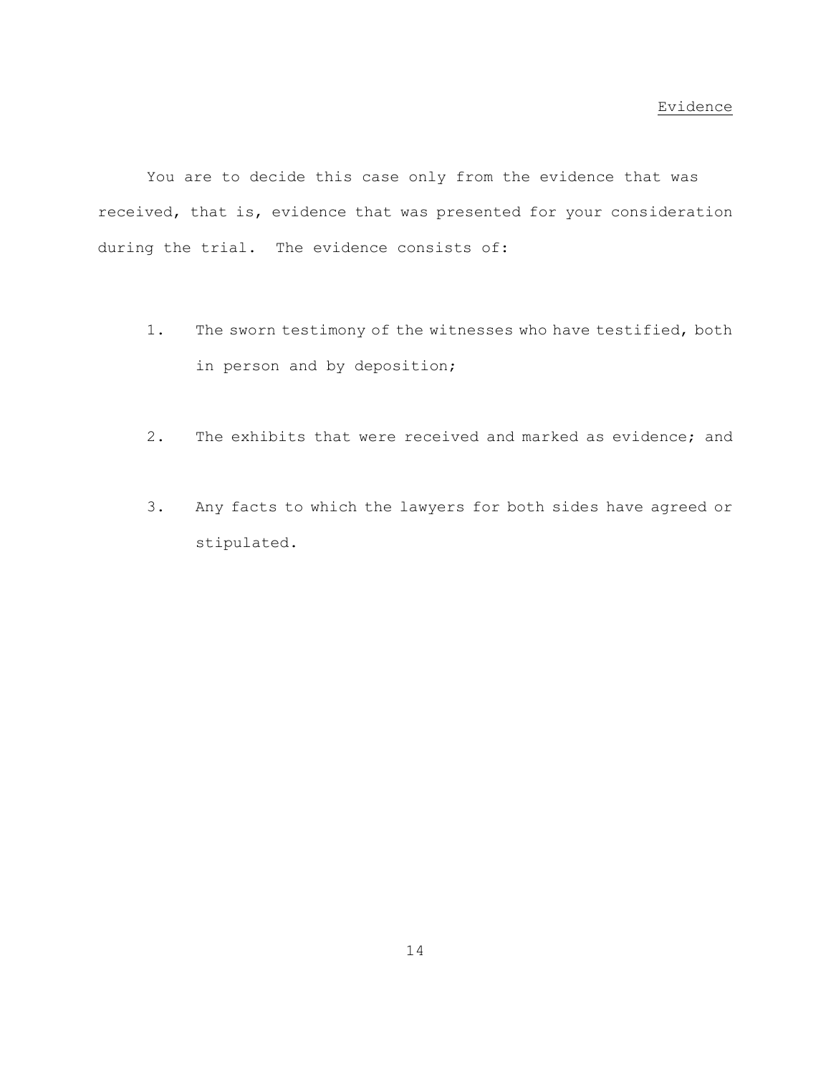<span id="page-17-0"></span>You are to decide this case only from the evidence that was received, that is, evidence that was presented for your consideration during the trial. The evidence consists of:

- 1. The sworn testimony of the witnesses who have testified, both in person and by deposition;
- 2. The exhibits that were received and marked as evidence; and
- 3. Any facts to which the lawyers for both sides have agreed or stipulated.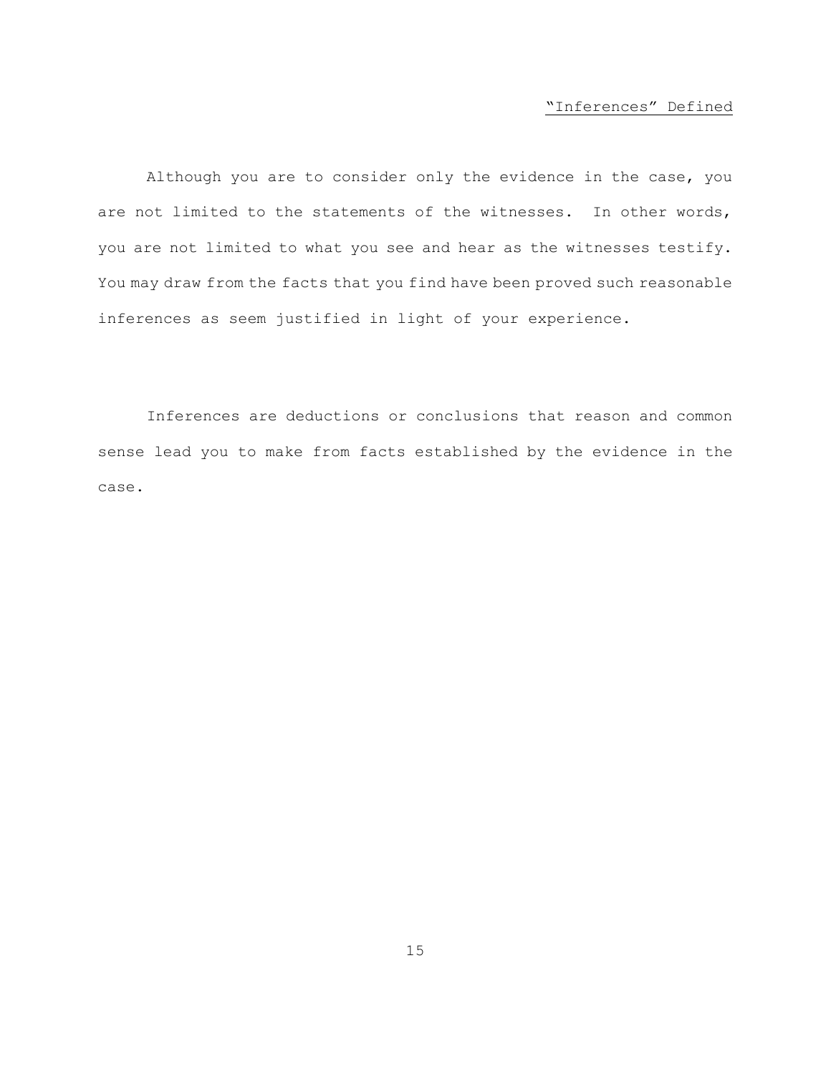# "Inferences" Defined

<span id="page-18-0"></span>Although you are to consider only the evidence in the case, you are not limited to the statements of the witnesses. In other words, you are not limited to what you see and hear as the witnesses testify. You may draw from the facts that you find have been proved such reasonable inferences as seem justified in light of your experience.

Inferences are deductions or conclusions that reason and common sense lead you to make from facts established by the evidence in the case.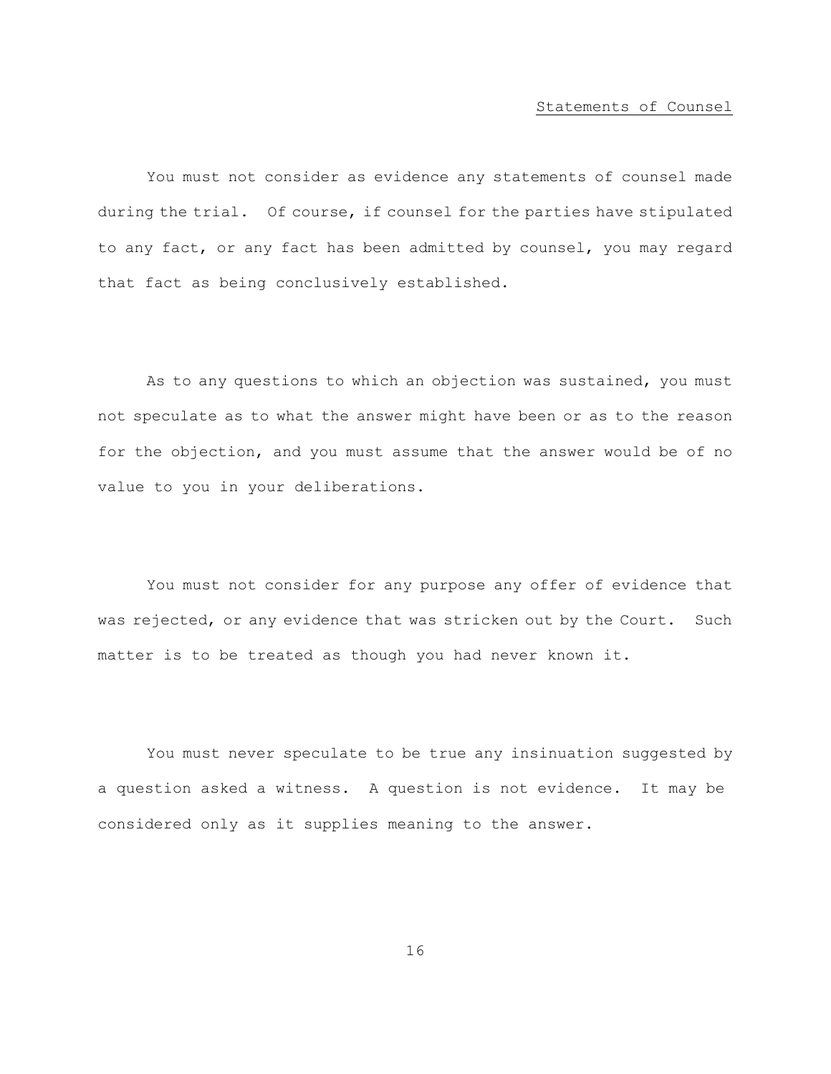#### Statements of Counsel

<span id="page-19-0"></span>You must not consider as evidence any statements of counsel made during the trial. Of course, if counsel for the parties have stipulated to any fact, or any fact has been admitted by counsel, you may regard that fact as being conclusively established.

As to any questions to which an objection was sustained, you must not speculate as to what the answer might have been or as to the reason for the objection, and you must assume that the answer would be of no value to you in your deliberations.

You must not consider for any purpose any offer of evidence that was rejected, or any evidence that was stricken out by the Court. Such matter is to be treated as though you had never known it.

You must never speculate to be true any insinuation suggested by a question asked a witness. A question is not evidence. It may be considered only as it supplies meaning to the answer.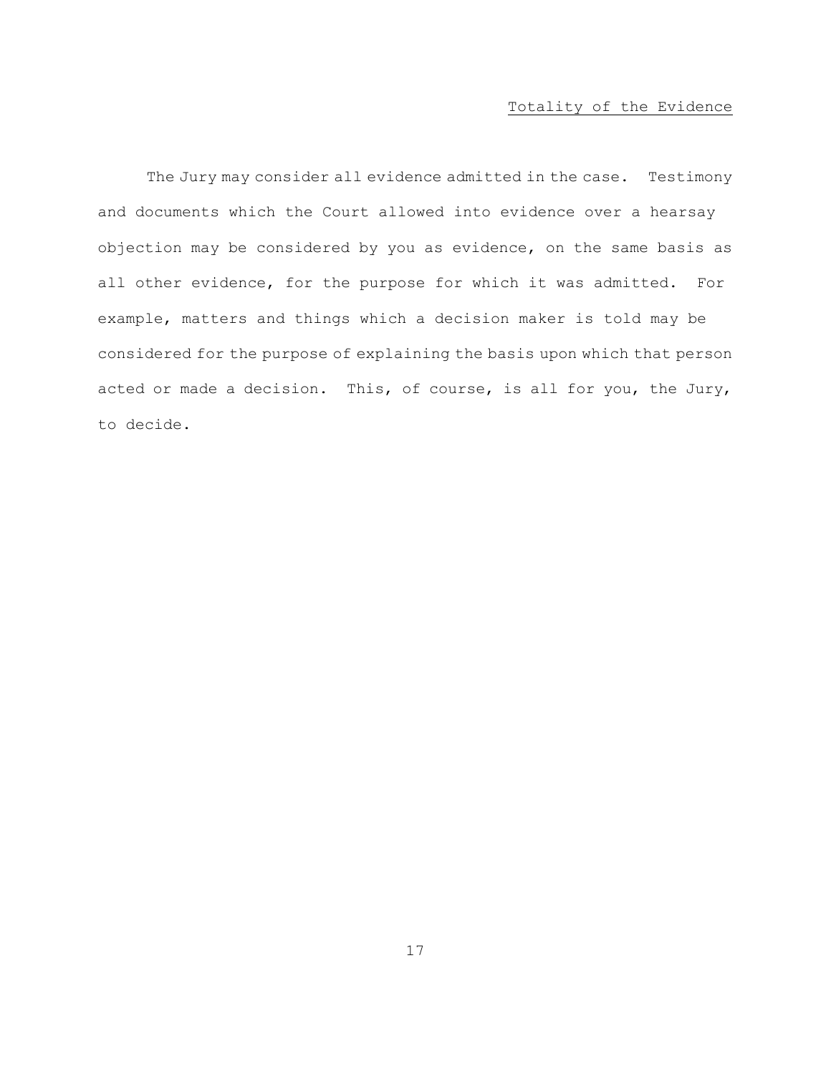# Totality of the Evidence

<span id="page-20-0"></span>The Jury may consider all evidence admitted in the case. Testimony and documents which the Court allowed into evidence over a hearsay objection may be considered by you as evidence, on the same basis as all other evidence, for the purpose for which it was admitted. For example, matters and things which a decision maker is told may be considered for the purpose of explaining the basis upon which that person acted or made a decision. This, of course, is all for you, the Jury, to decide.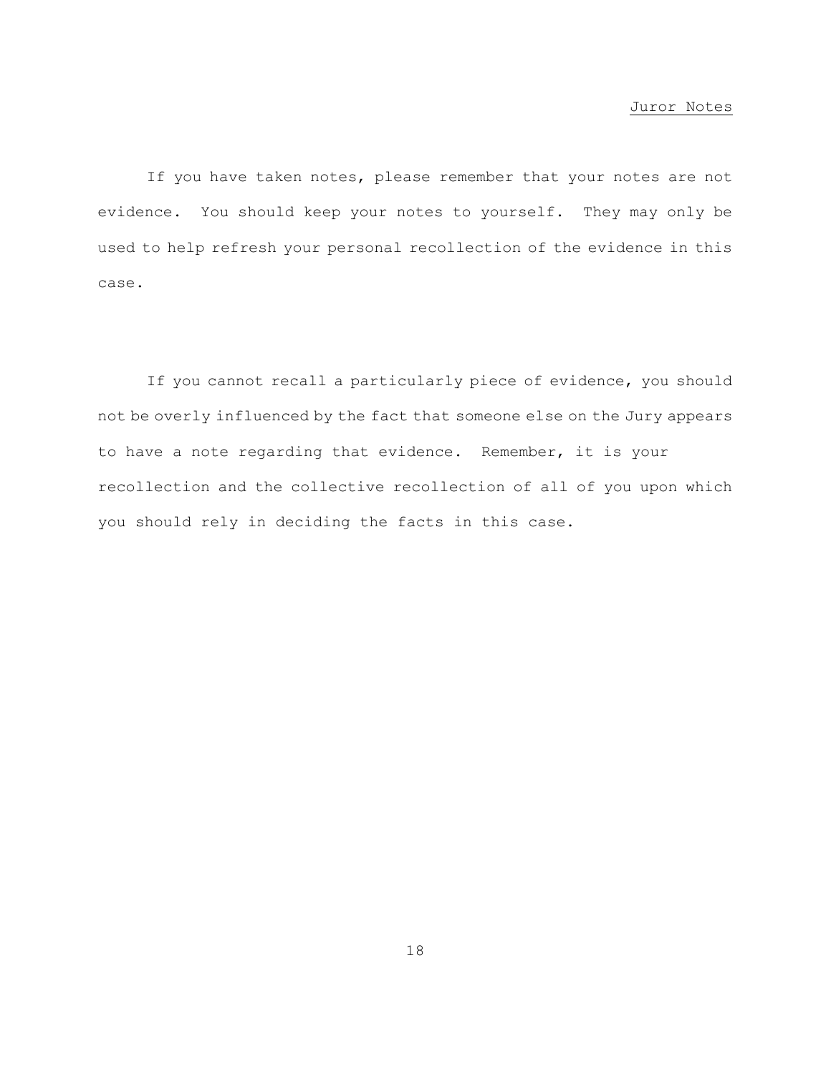#### Juror Notes

<span id="page-21-0"></span>If you have taken notes, please remember that your notes are not evidence. You should keep your notes to yourself. They may only be used to help refresh your personal recollection of the evidence in this case.

If you cannot recall a particularly piece of evidence, you should not be overly influenced by the fact that someone else on the Jury appears to have a note regarding that evidence. Remember, it is your recollection and the collective recollection of all of you upon which you should rely in deciding the facts in this case.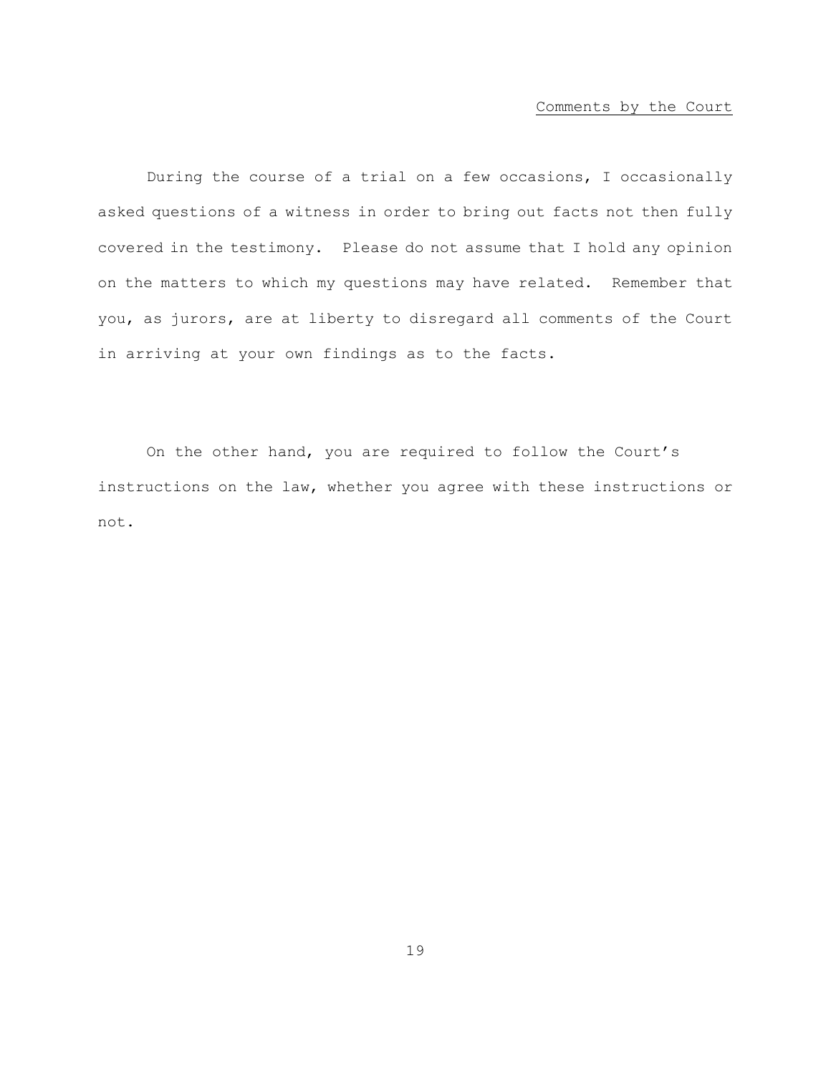### Comments by the Court

<span id="page-22-0"></span>During the course of a trial on a few occasions, I occasionally asked questions of a witness in order to bring out facts not then fully covered in the testimony. Please do not assume that I hold any opinion on the matters to which my questions may have related. Remember that you, as jurors, are at liberty to disregard all comments of the Court in arriving at your own findings as to the facts.

On the other hand, you are required to follow the Court's instructions on the law, whether you agree with these instructions or not.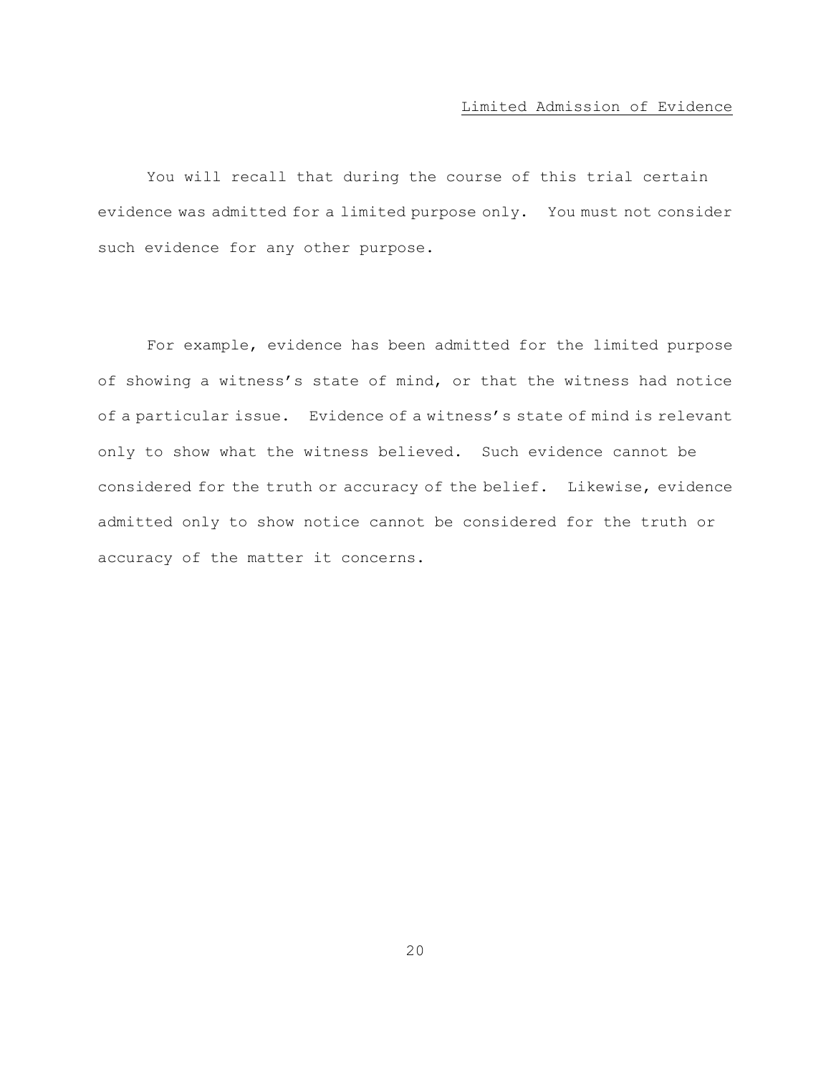### Limited Admission of Evidence

<span id="page-23-0"></span>You will recall that during the course of this trial certain evidence was admitted for a limited purpose only. You must not consider such evidence for any other purpose.

For example, evidence has been admitted for the limited purpose of showing a witness's state of mind, or that the witness had notice of a particular issue. Evidence of a witness's state of mind is relevant only to show what the witness believed. Such evidence cannot be considered for the truth or accuracy of the belief. Likewise, evidence admitted only to show notice cannot be considered for the truth or accuracy of the matter it concerns.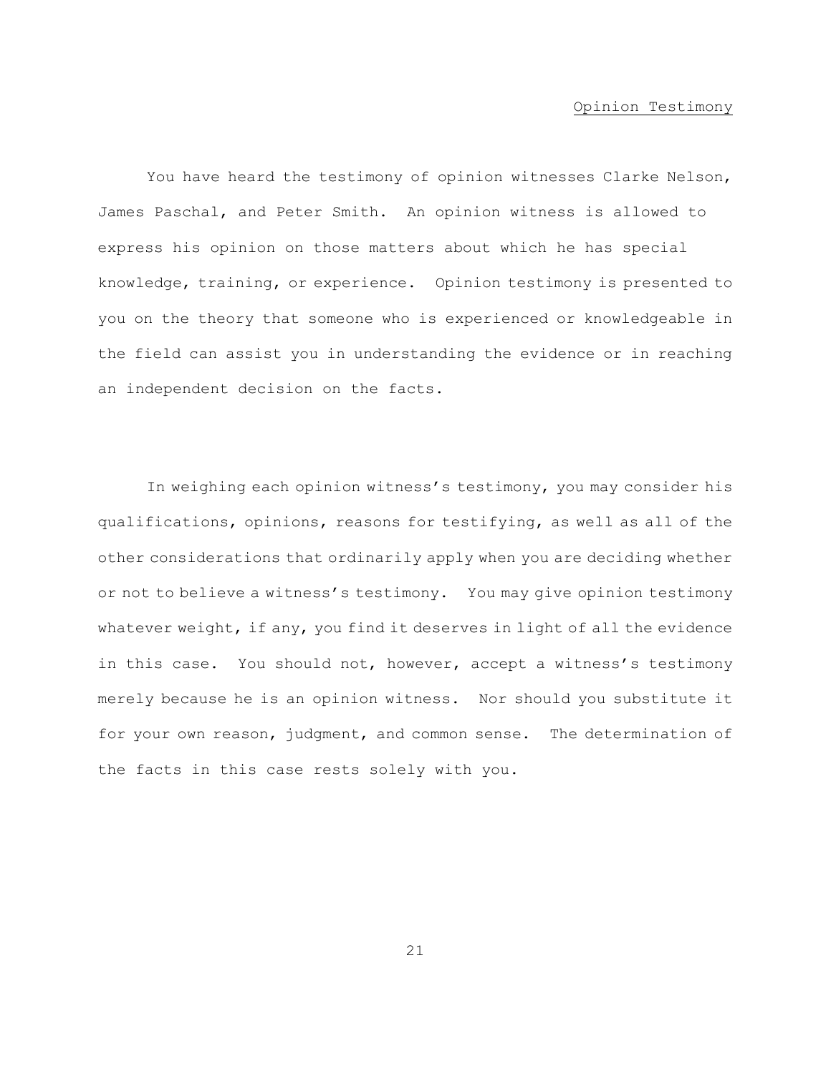#### Opinion Testimony

<span id="page-24-0"></span>You have heard the testimony of opinion witnesses Clarke Nelson, James Paschal, and Peter Smith. An opinion witness is allowed to express his opinion on those matters about which he has special knowledge, training, or experience. Opinion testimony is presented to you on the theory that someone who is experienced or knowledgeable in the field can assist you in understanding the evidence or in reaching an independent decision on the facts.

In weighing each opinion witness's testimony, you may consider his qualifications, opinions, reasons for testifying, as well as all of the other considerations that ordinarily apply when you are deciding whether or not to believe a witness's testimony. You may give opinion testimony whatever weight, if any, you find it deserves in light of all the evidence in this case. You should not, however, accept a witness's testimony merely because he is an opinion witness. Nor should you substitute it for your own reason, judgment, and common sense. The determination of the facts in this case rests solely with you.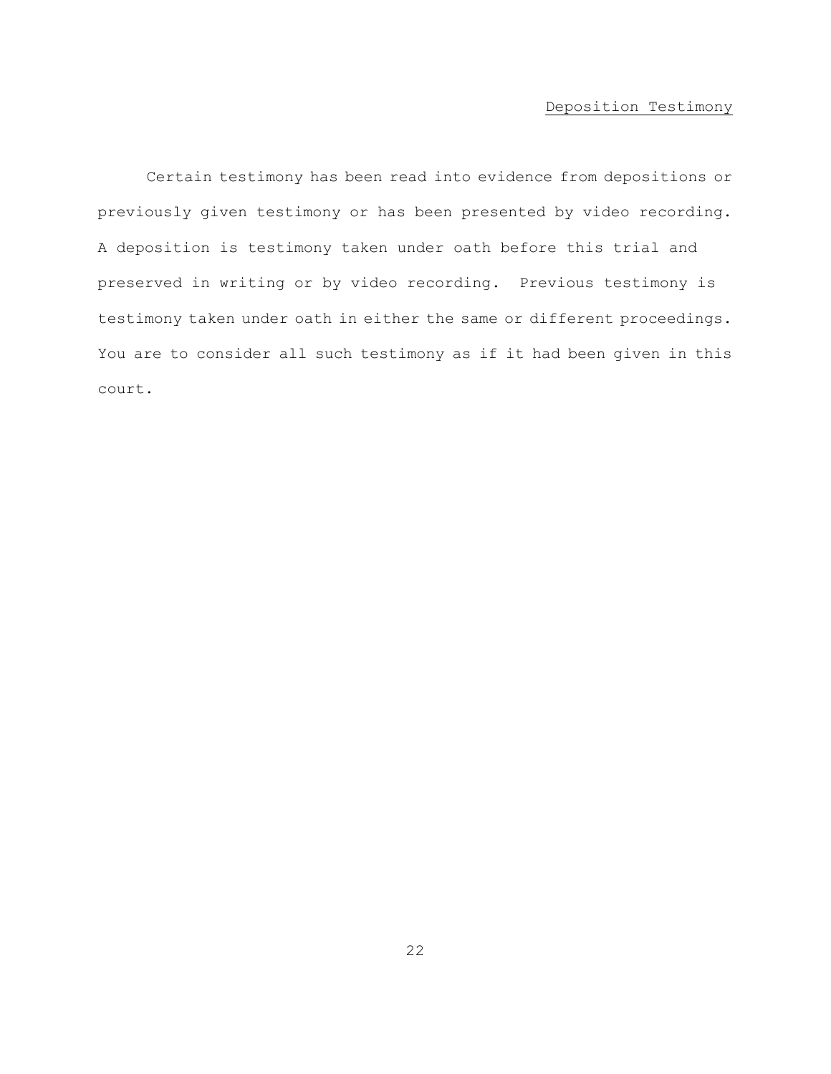# Deposition Testimony

<span id="page-25-0"></span>Certain testimony has been read into evidence from depositions or previously given testimony or has been presented by video recording. A deposition is testimony taken under oath before this trial and preserved in writing or by video recording. Previous testimony is testimony taken under oath in either the same or different proceedings. You are to consider all such testimony as if it had been given in this court.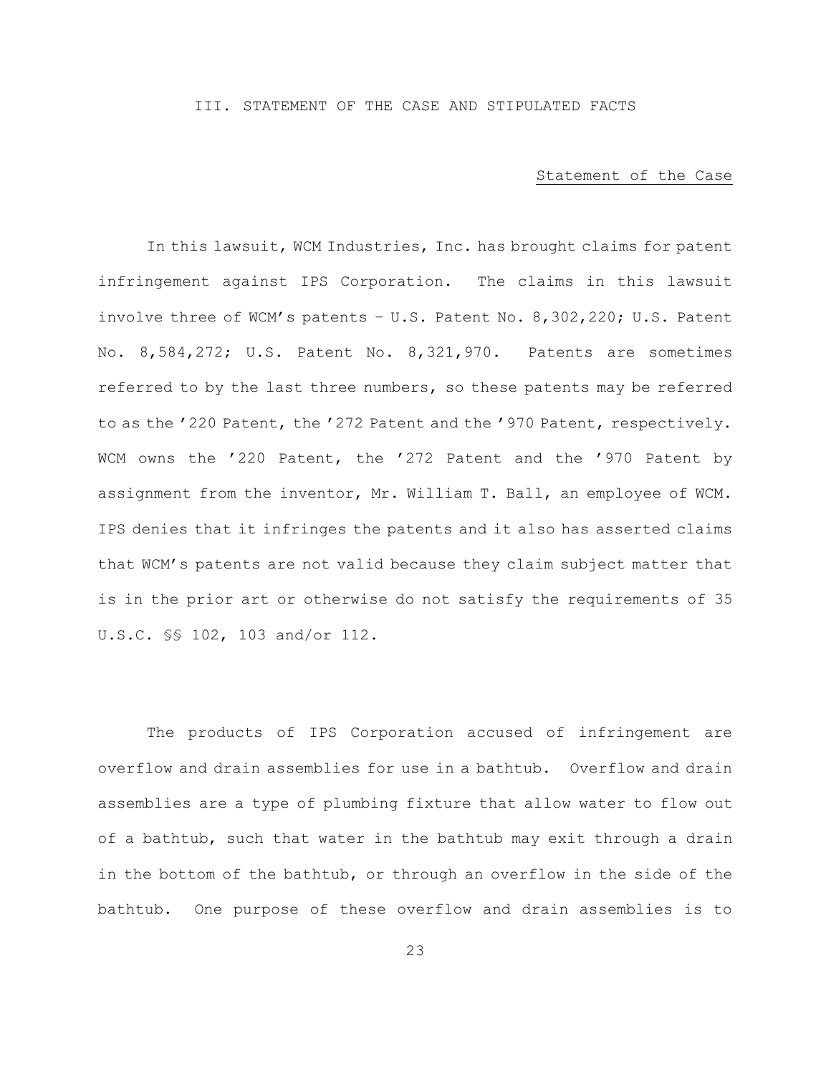### <span id="page-26-0"></span>III. STATEMENT OF THE CASE AND STIPULATED FACTS

#### Statement of the Case

<span id="page-26-1"></span>In this lawsuit, WCM Industries, Inc. has brought claims for patent infringement against IPS Corporation. The claims in this lawsuit involve three of WCM's patents – U.S. Patent No. 8,302,220; U.S. Patent No. 8,584,272; U.S. Patent No. 8,321,970. Patents are sometimes referred to by the last three numbers, so these patents may be referred to as the '220 Patent, the '272 Patent and the '970 Patent, respectively. WCM owns the '220 Patent, the '272 Patent and the '970 Patent by assignment from the inventor, Mr. William T. Ball, an employee of WCM. IPS denies that it infringes the patents and it also has asserted claims that WCM's patents are not valid because they claim subject matter that is in the prior art or otherwise do not satisfy the requirements of 35 U.S.C. §§ 102, 103 and/or 112.

The products of IPS Corporation accused of infringement are overflow and drain assemblies for use in a bathtub. Overflow and drain assemblies are a type of plumbing fixture that allow water to flow out of a bathtub, such that water in the bathtub may exit through a drain in the bottom of the bathtub, or through an overflow in the side of the bathtub. One purpose of these overflow and drain assemblies is to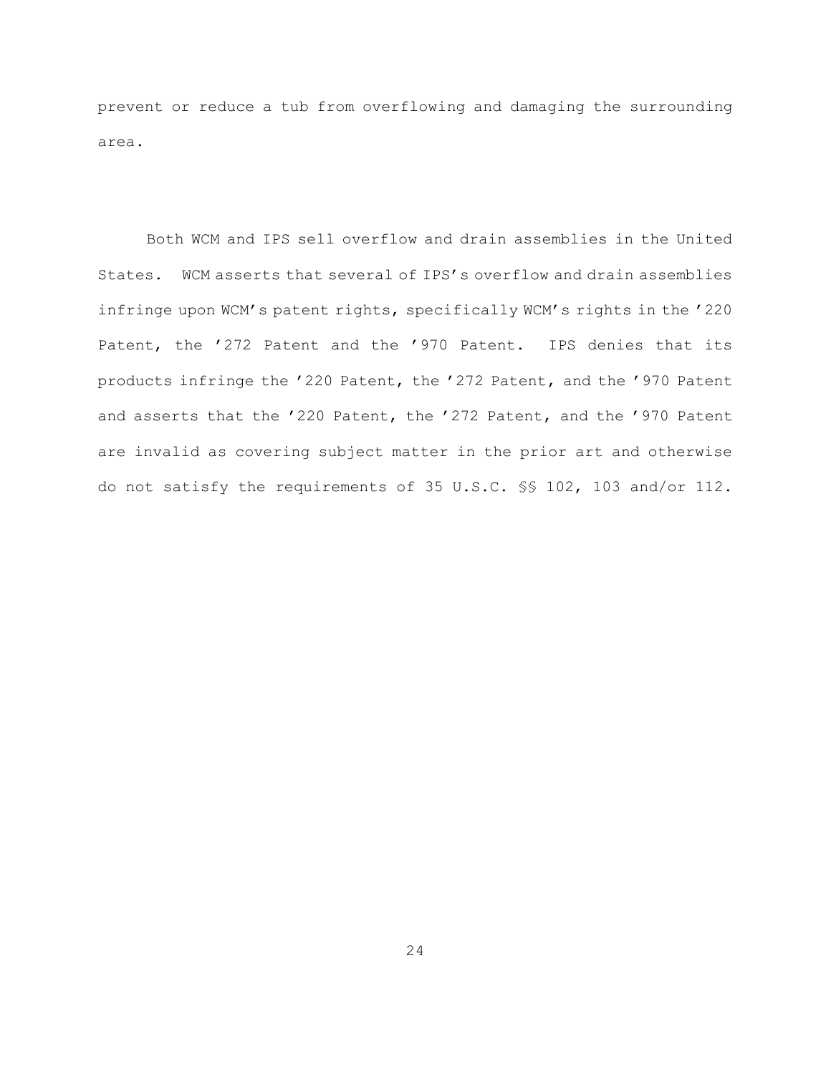prevent or reduce a tub from overflowing and damaging the surrounding area.

Both WCM and IPS sell overflow and drain assemblies in the United States. WCM asserts that several of IPS's overflow and drain assemblies infringe upon WCM's patent rights, specifically WCM's rights in the '220 Patent, the '272 Patent and the '970 Patent. IPS denies that its products infringe the '220 Patent, the '272 Patent, and the '970 Patent and asserts that the '220 Patent, the '272 Patent, and the '970 Patent are invalid as covering subject matter in the prior art and otherwise do not satisfy the requirements of 35 U.S.C. §§ 102, 103 and/or 112.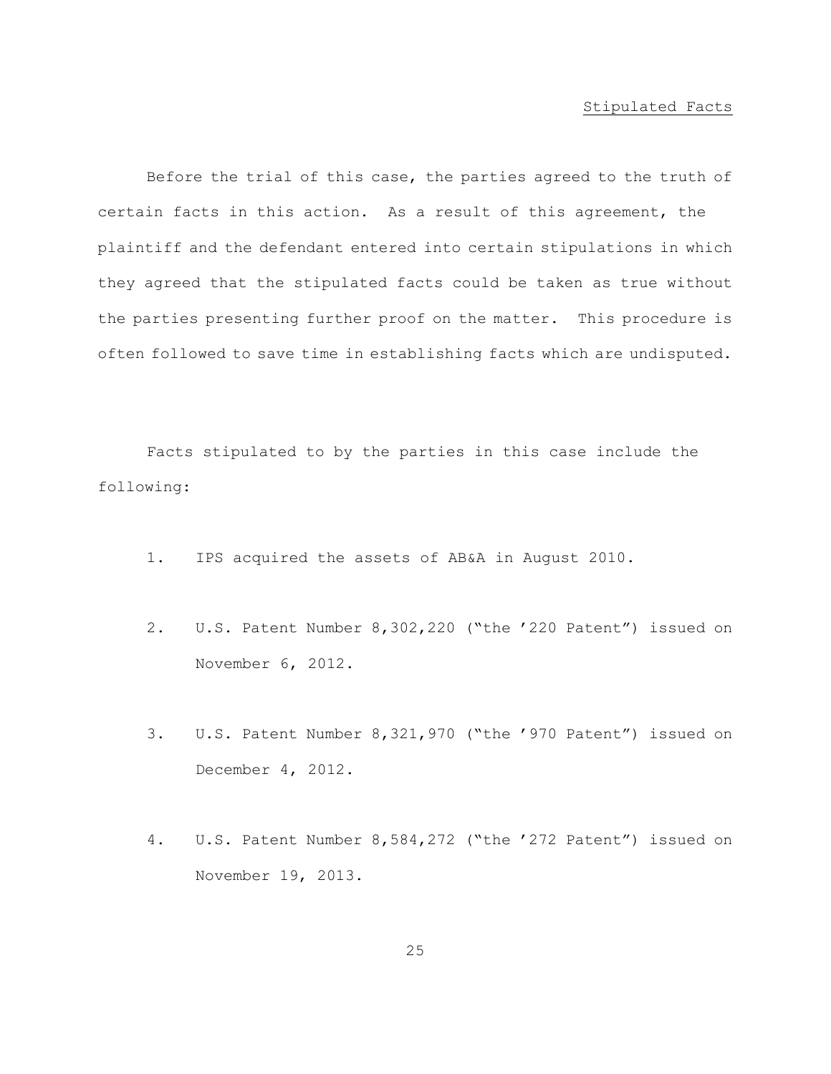#### Stipulated Facts

<span id="page-28-0"></span>Before the trial of this case, the parties agreed to the truth of certain facts in this action. As a result of this agreement, the plaintiff and the defendant entered into certain stipulations in which they agreed that the stipulated facts could be taken as true without the parties presenting further proof on the matter. This procedure is often followed to save time in establishing facts which are undisputed.

Facts stipulated to by the parties in this case include the following:

- 1. IPS acquired the assets of AB&A in August 2010.
- 2. U.S. Patent Number 8,302,220 ("the '220 Patent") issued on November 6, 2012.
- 3. U.S. Patent Number 8,321,970 ("the '970 Patent") issued on December 4, 2012.
- 4. U.S. Patent Number 8,584,272 ("the '272 Patent") issued on November 19, 2013.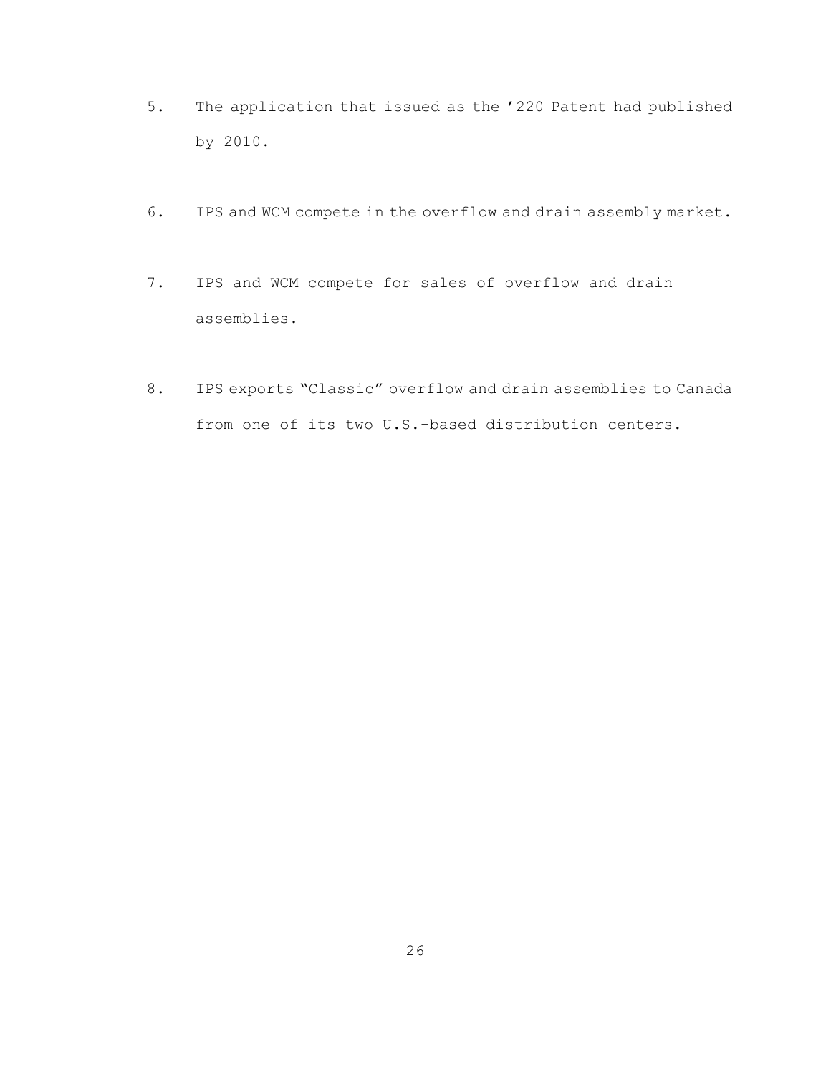- 5. The application that issued as the '220 Patent had published by 2010.
- 6. IPS and WCM compete in the overflow and drain assembly market.
- 7. IPS and WCM compete for sales of overflow and drain assemblies.
- 8. IPS exports "Classic" overflow and drain assemblies to Canada from one of its two U.S.-based distribution centers.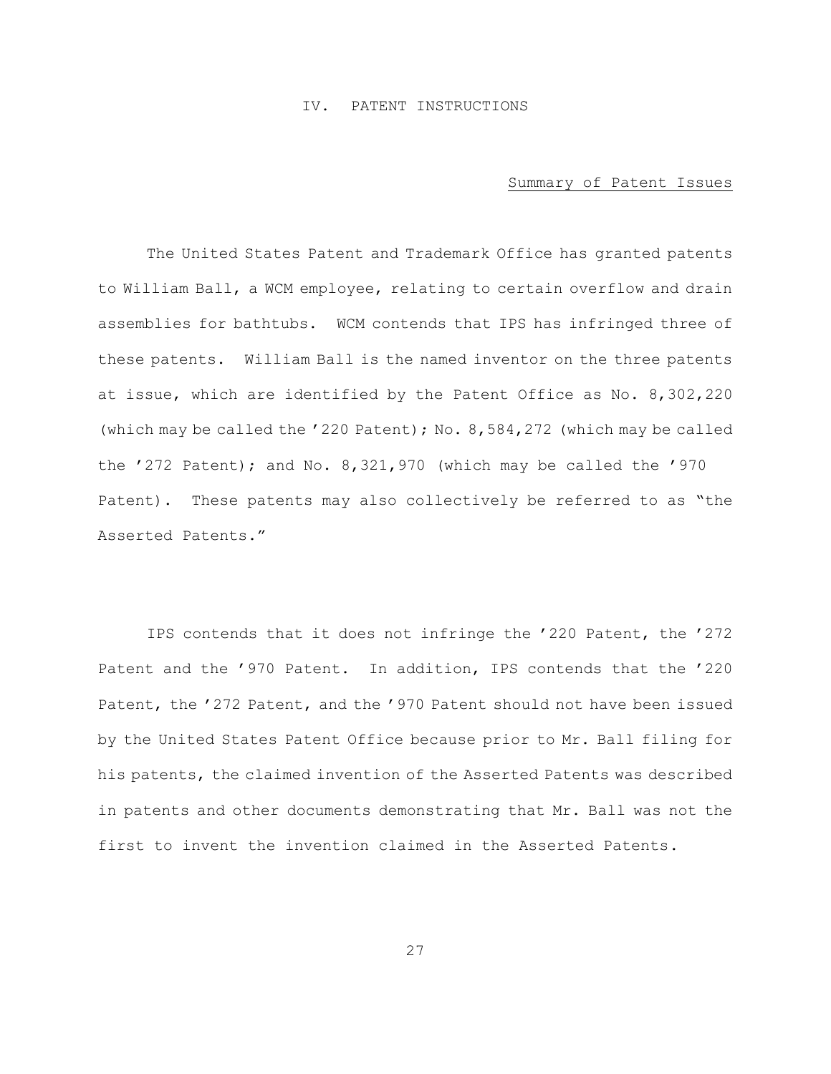### IV. PATENT INSTRUCTIONS

#### Summary of Patent Issues

<span id="page-30-1"></span><span id="page-30-0"></span>The United States Patent and Trademark Office has granted patents to William Ball, a WCM employee, relating to certain overflow and drain assemblies for bathtubs. WCM contends that IPS has infringed three of these patents. William Ball is the named inventor on the three patents at issue, which are identified by the Patent Office as No. 8,302,220 (which may be called the '220 Patent); No. 8,584,272 (which may be called the '272 Patent); and No. 8,321,970 (which may be called the '970 Patent). These patents may also collectively be referred to as "the Asserted Patents."

IPS contends that it does not infringe the '220 Patent, the '272 Patent and the '970 Patent. In addition, IPS contends that the '220 Patent, the '272 Patent, and the '970 Patent should not have been issued by the United States Patent Office because prior to Mr. Ball filing for his patents, the claimed invention of the Asserted Patents was described in patents and other documents demonstrating that Mr. Ball was not the first to invent the invention claimed in the Asserted Patents.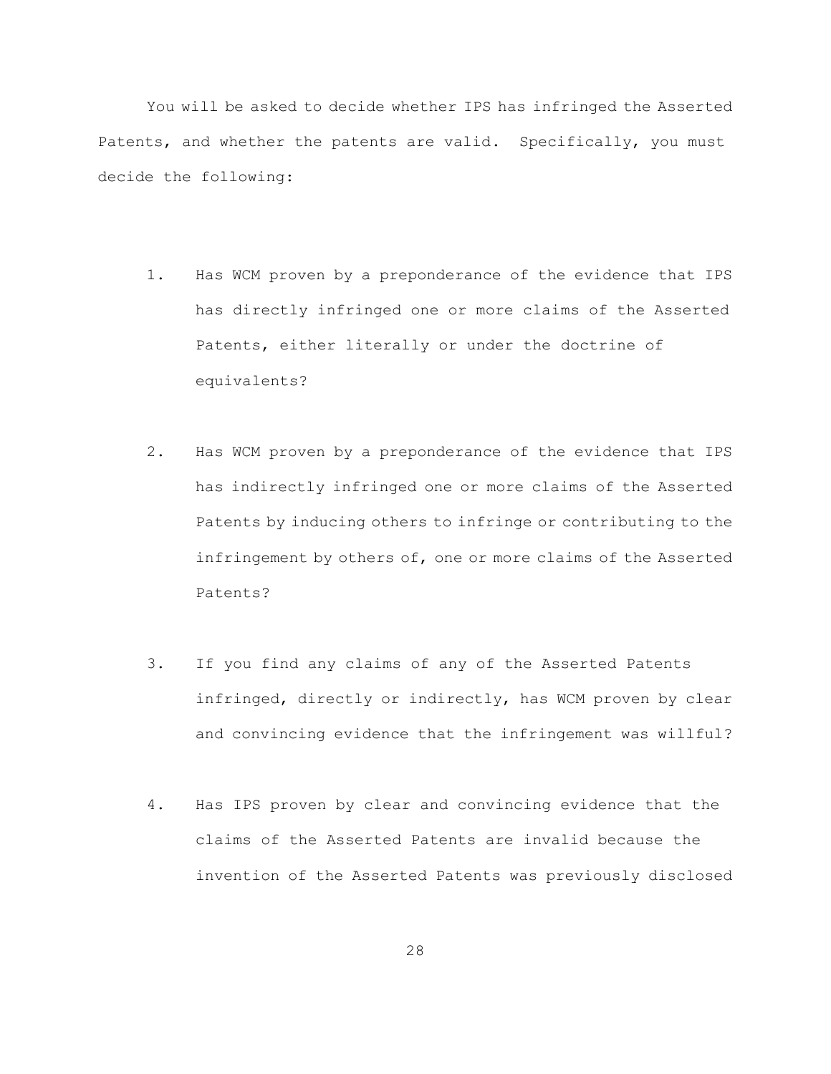You will be asked to decide whether IPS has infringed the Asserted Patents, and whether the patents are valid. Specifically, you must decide the following:

- 1. Has WCM proven by a preponderance of the evidence that IPS has directly infringed one or more claims of the Asserted Patents, either literally or under the doctrine of equivalents?
- 2. Has WCM proven by a preponderance of the evidence that IPS has indirectly infringed one or more claims of the Asserted Patents by inducing others to infringe or contributing to the infringement by others of, one or more claims of the Asserted Patents?
- 3. If you find any claims of any of the Asserted Patents infringed, directly or indirectly, has WCM proven by clear and convincing evidence that the infringement was willful?
- 4. Has IPS proven by clear and convincing evidence that the claims of the Asserted Patents are invalid because the invention of the Asserted Patents was previously disclosed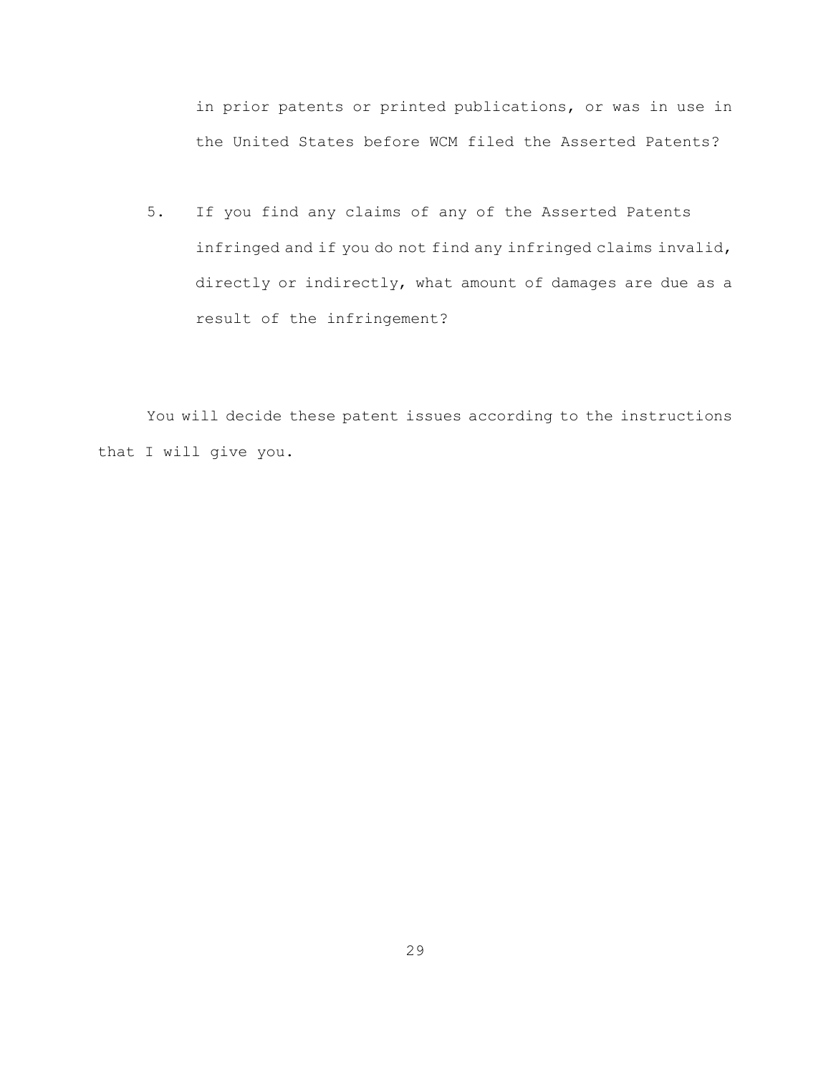in prior patents or printed publications, or was in use in the United States before WCM filed the Asserted Patents?

5. If you find any claims of any of the Asserted Patents infringed and if you do not find any infringed claims invalid, directly or indirectly, what amount of damages are due as a result of the infringement?

You will decide these patent issues according to the instructions that I will give you.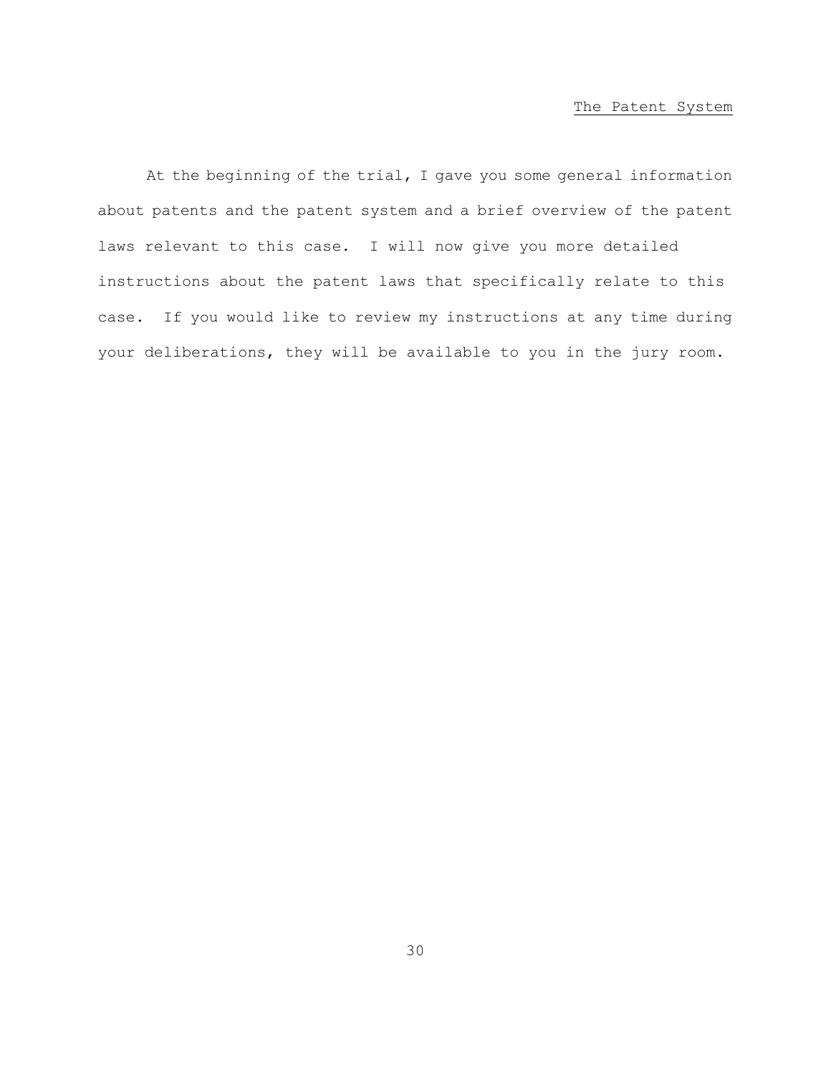### The Patent System

<span id="page-33-0"></span>At the beginning of the trial, I gave you some general information about patents and the patent system and a brief overview of the patent laws relevant to this case. I will now give you more detailed instructions about the patent laws that specifically relate to this case. If you would like to review my instructions at any time during your deliberations, they will be available to you in the jury room.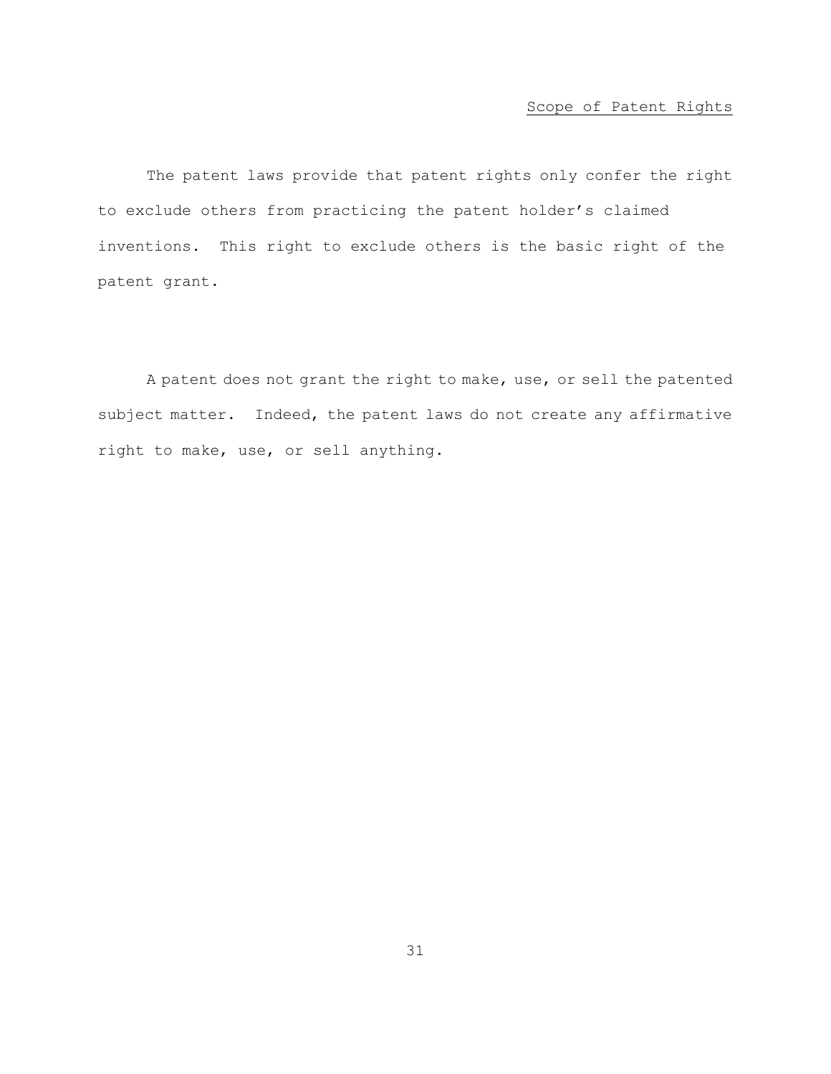# Scope of Patent Rights

<span id="page-34-0"></span>The patent laws provide that patent rights only confer the right to exclude others from practicing the patent holder's claimed inventions. This right to exclude others is the basic right of the patent grant.

A patent does not grant the right to make, use, or sell the patented subject matter. Indeed, the patent laws do not create any affirmative right to make, use, or sell anything.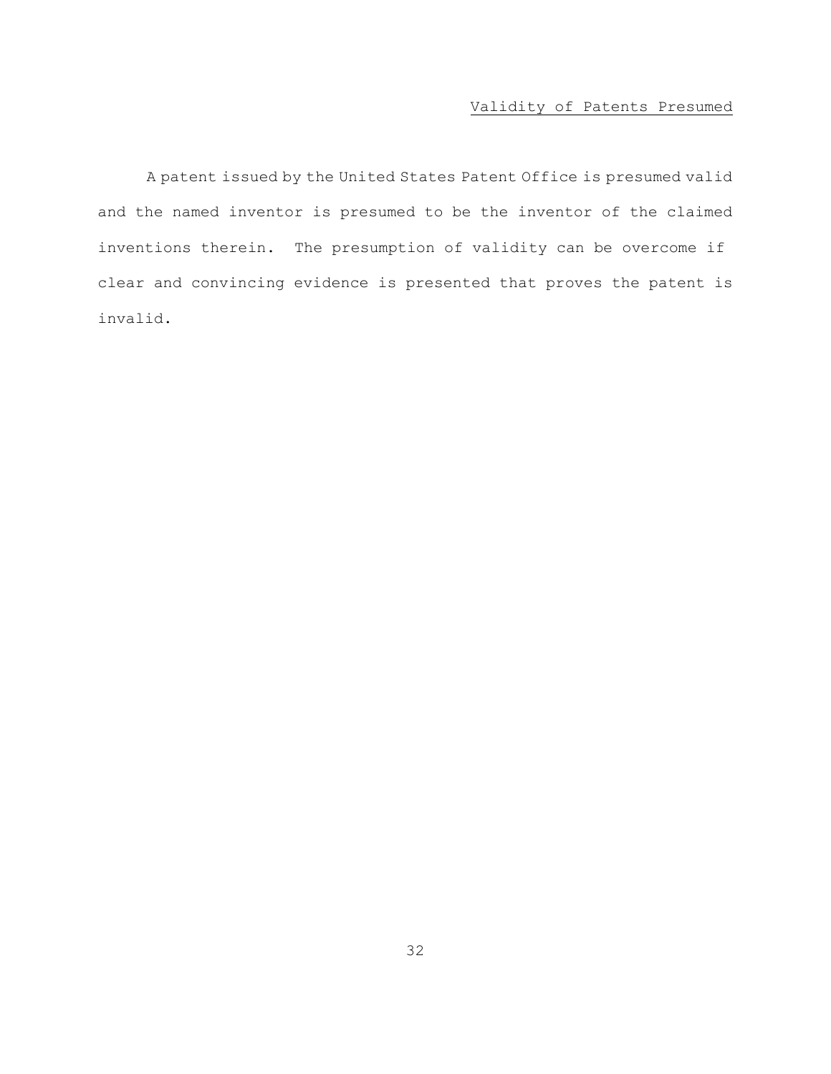# Validity of Patents Presumed

<span id="page-35-0"></span>A patent issued by the United States Patent Office is presumed valid and the named inventor is presumed to be the inventor of the claimed inventions therein. The presumption of validity can be overcome if clear and convincing evidence is presented that proves the patent is invalid.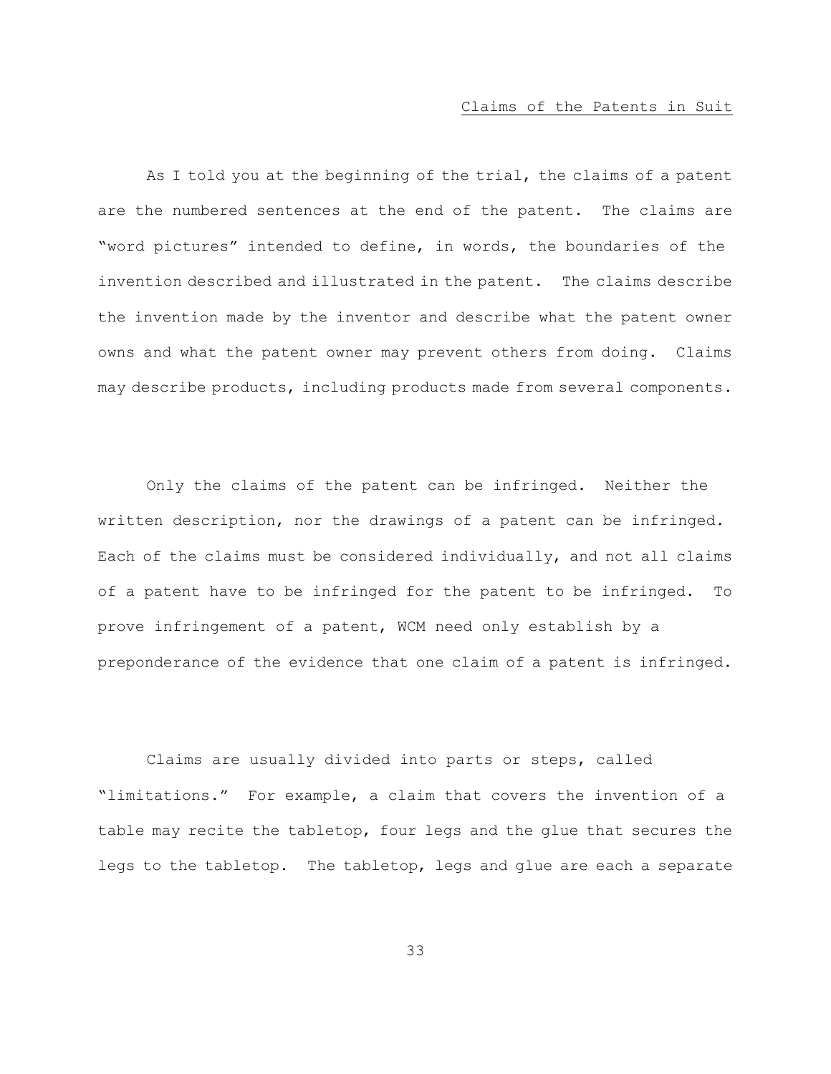### Claims of the Patents in Suit

As I told you at the beginning of the trial, the claims of a patent are the numbered sentences at the end of the patent. The claims are "word pictures" intended to define, in words, the boundaries of the invention described and illustrated in the patent. The claims describe the invention made by the inventor and describe what the patent owner owns and what the patent owner may prevent others from doing. Claims may describe products, including products made from several components.

Only the claims of the patent can be infringed. Neither the written description, nor the drawings of a patent can be infringed. Each of the claims must be considered individually, and not all claims of a patent have to be infringed for the patent to be infringed. To prove infringement of a patent, WCM need only establish by a preponderance of the evidence that one claim of a patent is infringed.

Claims are usually divided into parts or steps, called "limitations." For example, a claim that covers the invention of a table may recite the tabletop, four legs and the glue that secures the legs to the tabletop. The tabletop, legs and glue are each a separate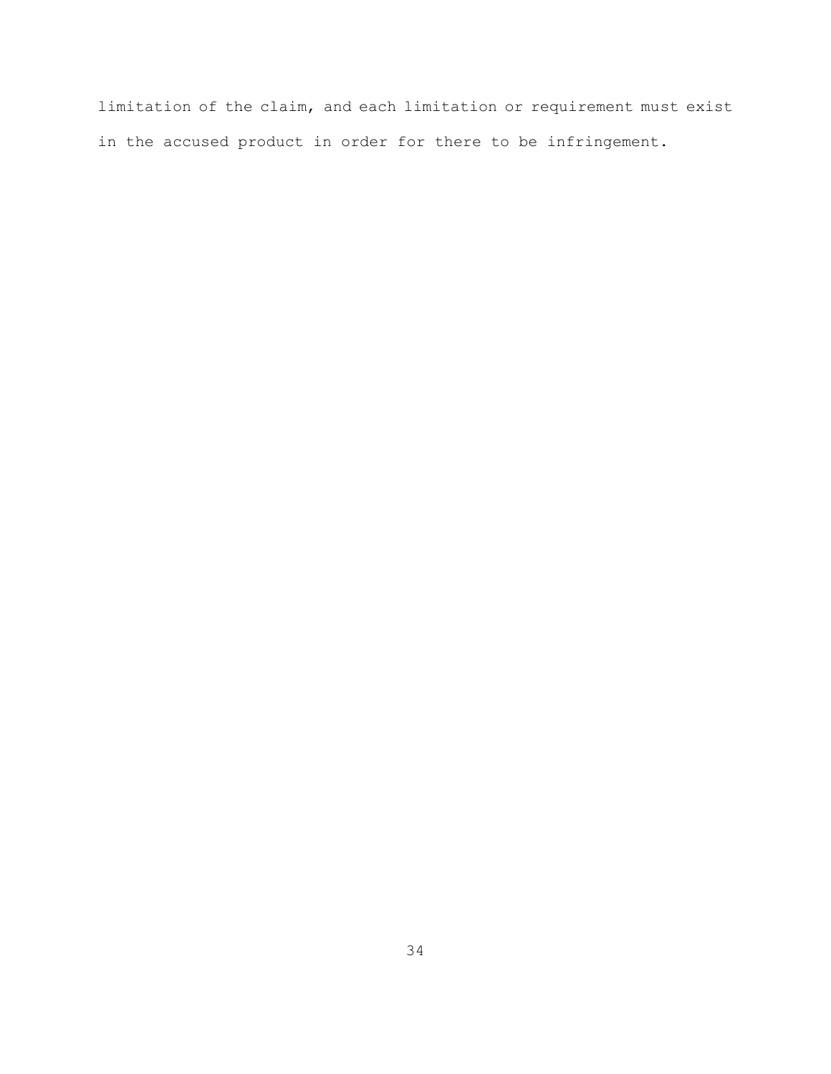limitation of the claim, and each limitation or requirement must exist in the accused product in order for there to be infringement.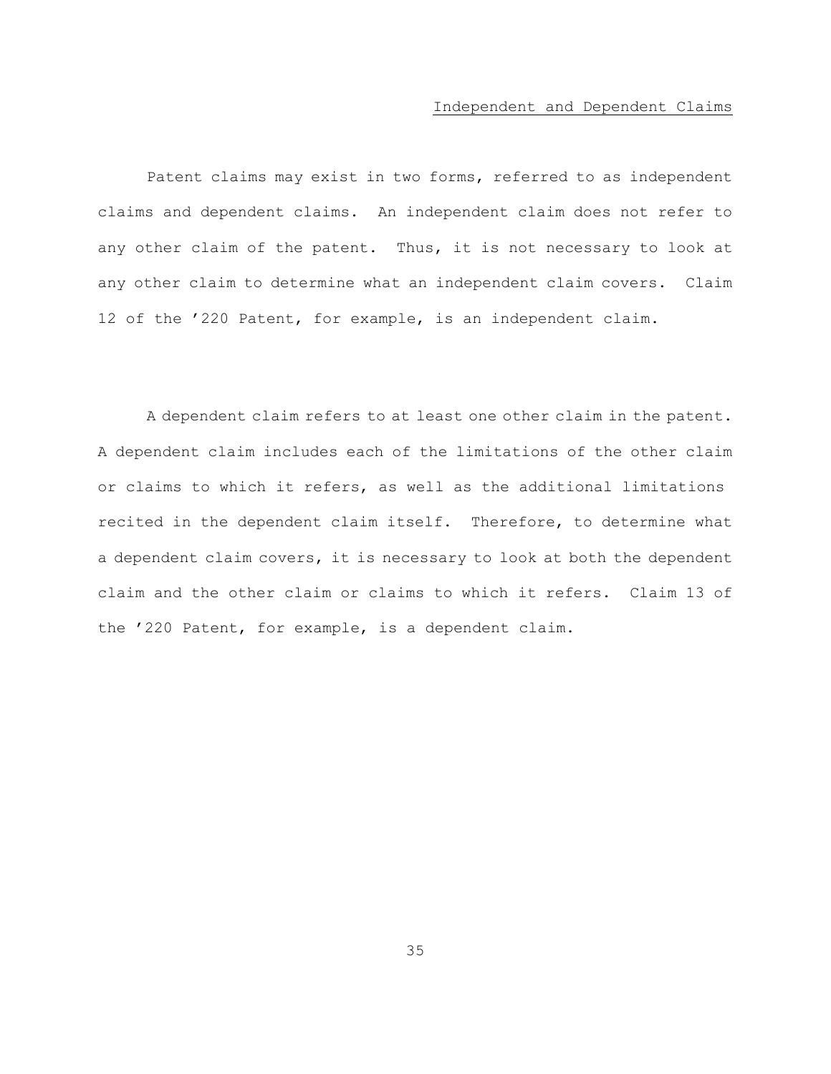#### Independent and Dependent Claims

Patent claims may exist in two forms, referred to as independent claims and dependent claims. An independent claim does not refer to any other claim of the patent. Thus, it is not necessary to look at any other claim to determine what an independent claim covers. Claim 12 of the '220 Patent, for example, is an independent claim.

A dependent claim refers to at least one other claim in the patent. A dependent claim includes each of the limitations of the other claim or claims to which it refers, as well as the additional limitations recited in the dependent claim itself. Therefore, to determine what a dependent claim covers, it is necessary to look at both the dependent claim and the other claim or claims to which it refers. Claim 13 of the '220 Patent, for example, is a dependent claim.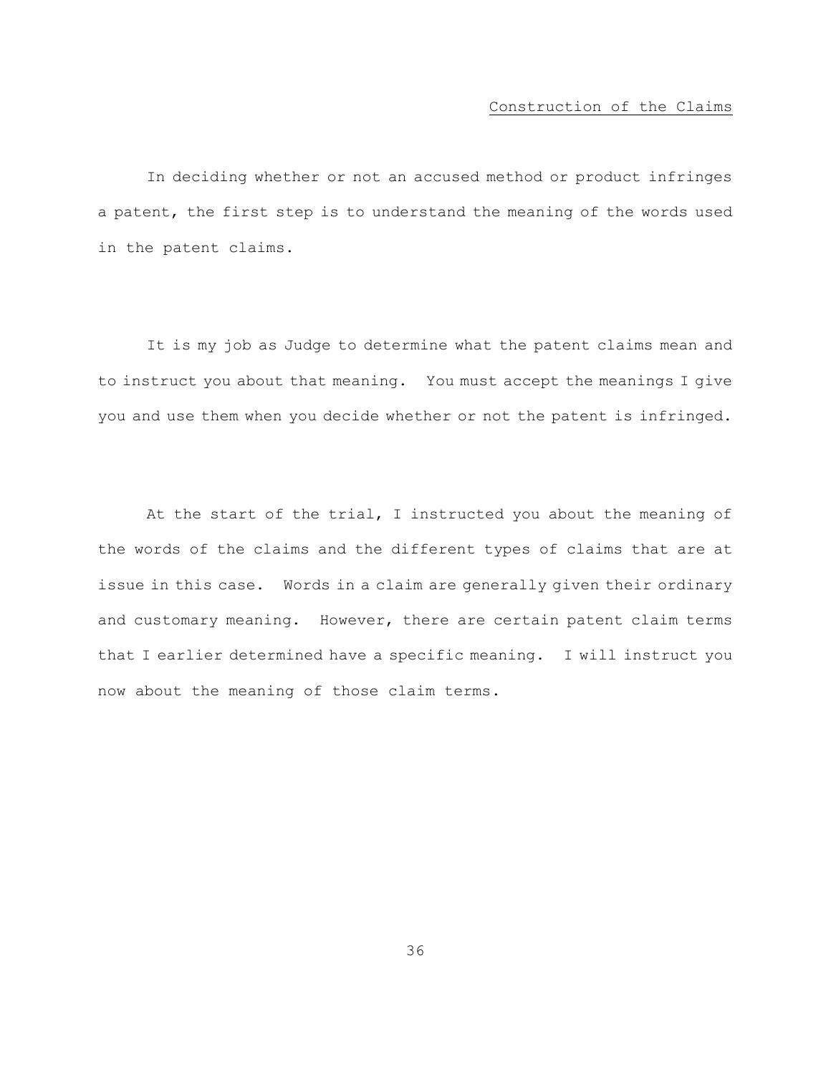# Construction of the Claims

In deciding whether or not an accused method or product infringes a patent, the first step is to understand the meaning of the words used in the patent claims.

It is my job as Judge to determine what the patent claims mean and to instruct you about that meaning. You must accept the meanings I give you and use them when you decide whether or not the patent is infringed.

At the start of the trial, I instructed you about the meaning of the words of the claims and the different types of claims that are at issue in this case. Words in a claim are generally given their ordinary and customary meaning. However, there are certain patent claim terms that I earlier determined have a specific meaning. I will instruct you now about the meaning of those claim terms.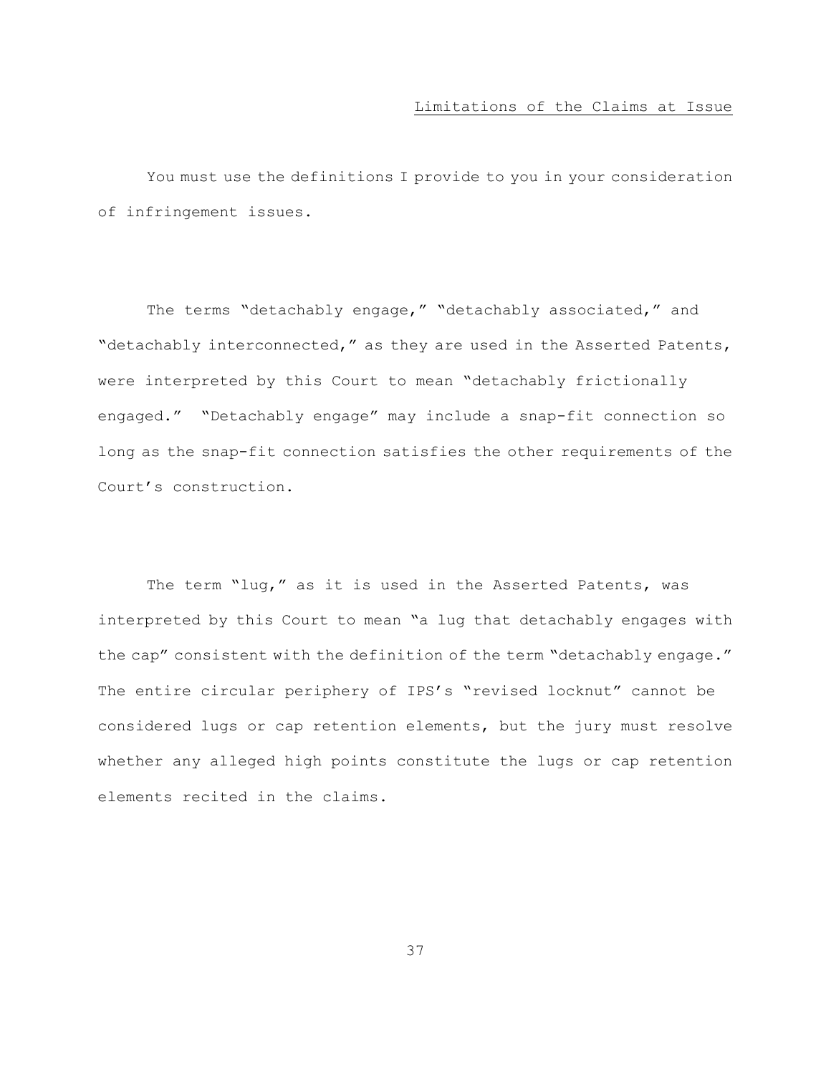# Limitations of the Claims at Issue

You must use the definitions I provide to you in your consideration of infringement issues.

The terms "detachably engage," "detachably associated," and "detachably interconnected," as they are used in the Asserted Patents, were interpreted by this Court to mean "detachably frictionally engaged." "Detachably engage" may include a snap-fit connection so long as the snap-fit connection satisfies the other requirements of the Court's construction.

The term "lug," as it is used in the Asserted Patents, was interpreted by this Court to mean "a lug that detachably engages with the cap" consistent with the definition of the term "detachably engage." The entire circular periphery of IPS's "revised locknut" cannot be considered lugs or cap retention elements, but the jury must resolve whether any alleged high points constitute the lugs or cap retention elements recited in the claims.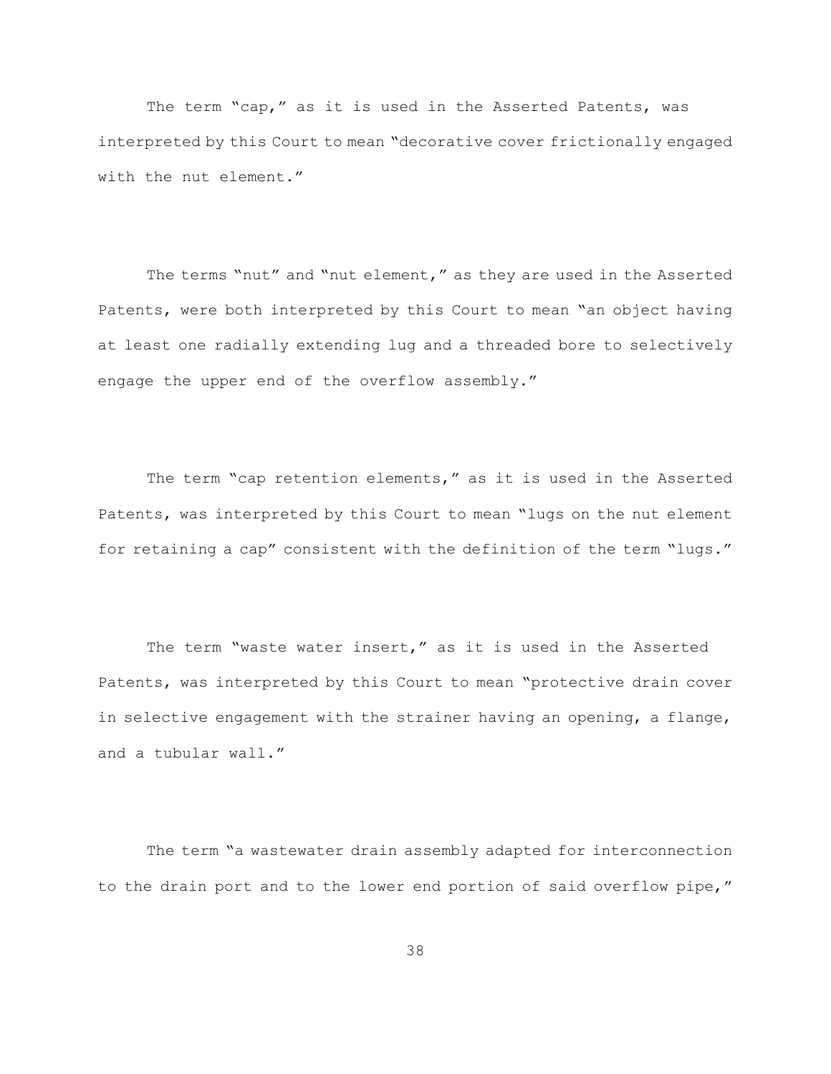The term "cap," as it is used in the Asserted Patents, was interpreted by this Court to mean "decorative cover frictionally engaged with the nut element."

The terms "nut" and "nut element," as they are used in the Asserted Patents, were both interpreted by this Court to mean "an object having at least one radially extending lug and a threaded bore to selectively engage the upper end of the overflow assembly."

The term "cap retention elements," as it is used in the Asserted Patents, was interpreted by this Court to mean "lugs on the nut element for retaining a cap" consistent with the definition of the term "lugs."

The term "waste water insert," as it is used in the Asserted Patents, was interpreted by this Court to mean "protective drain cover in selective engagement with the strainer having an opening, a flange, and a tubular wall."

The term "a wastewater drain assembly adapted for interconnection to the drain port and to the lower end portion of said overflow pipe,"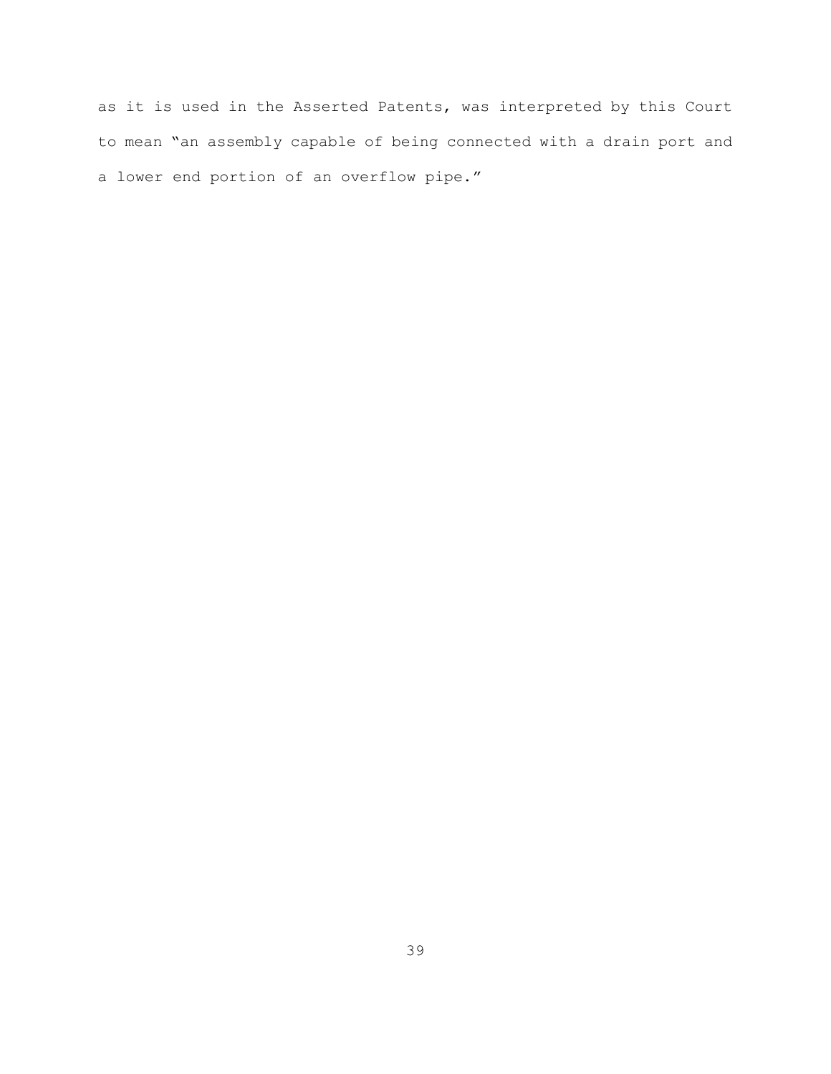as it is used in the Asserted Patents, was interpreted by this Court to mean "an assembly capable of being connected with a drain port and a lower end portion of an overflow pipe."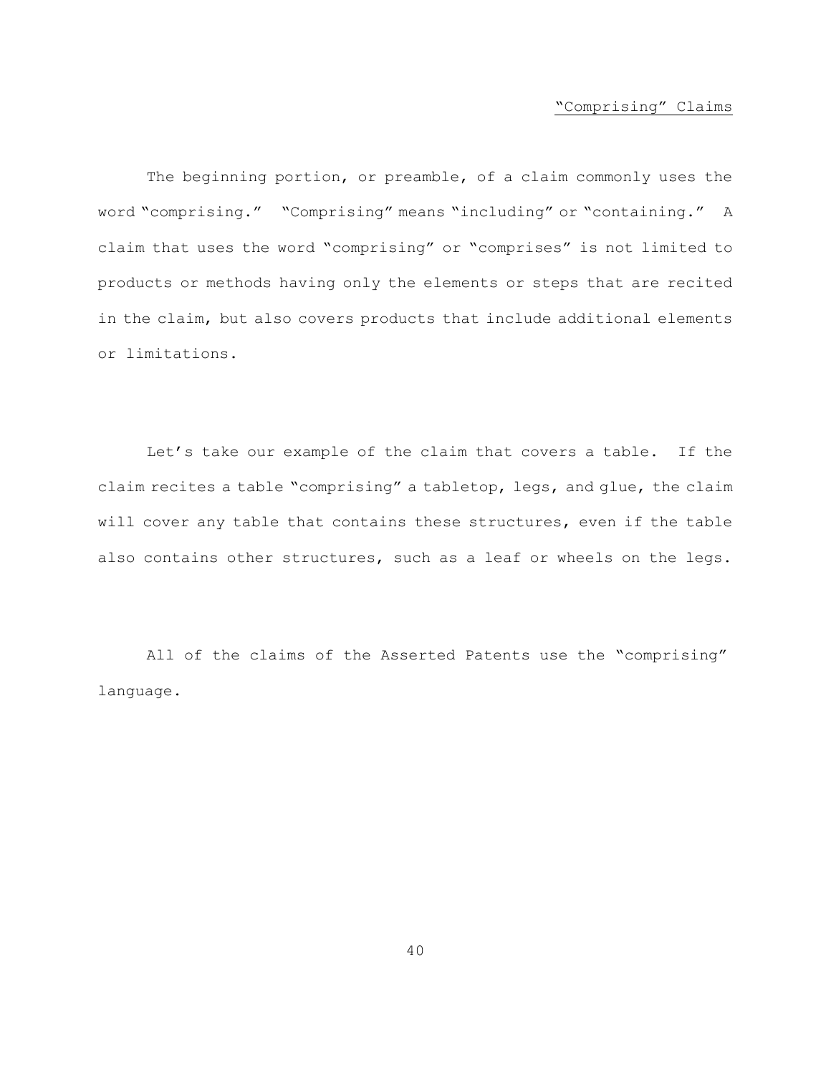# "Comprising" Claims

The beginning portion, or preamble, of a claim commonly uses the word "comprising." "Comprising" means "including" or "containing." A claim that uses the word "comprising" or "comprises" is not limited to products or methods having only the elements or steps that are recited in the claim, but also covers products that include additional elements or limitations.

Let's take our example of the claim that covers a table. If the claim recites a table "comprising" a tabletop, legs, and glue, the claim will cover any table that contains these structures, even if the table also contains other structures, such as a leaf or wheels on the legs.

All of the claims of the Asserted Patents use the "comprising" language.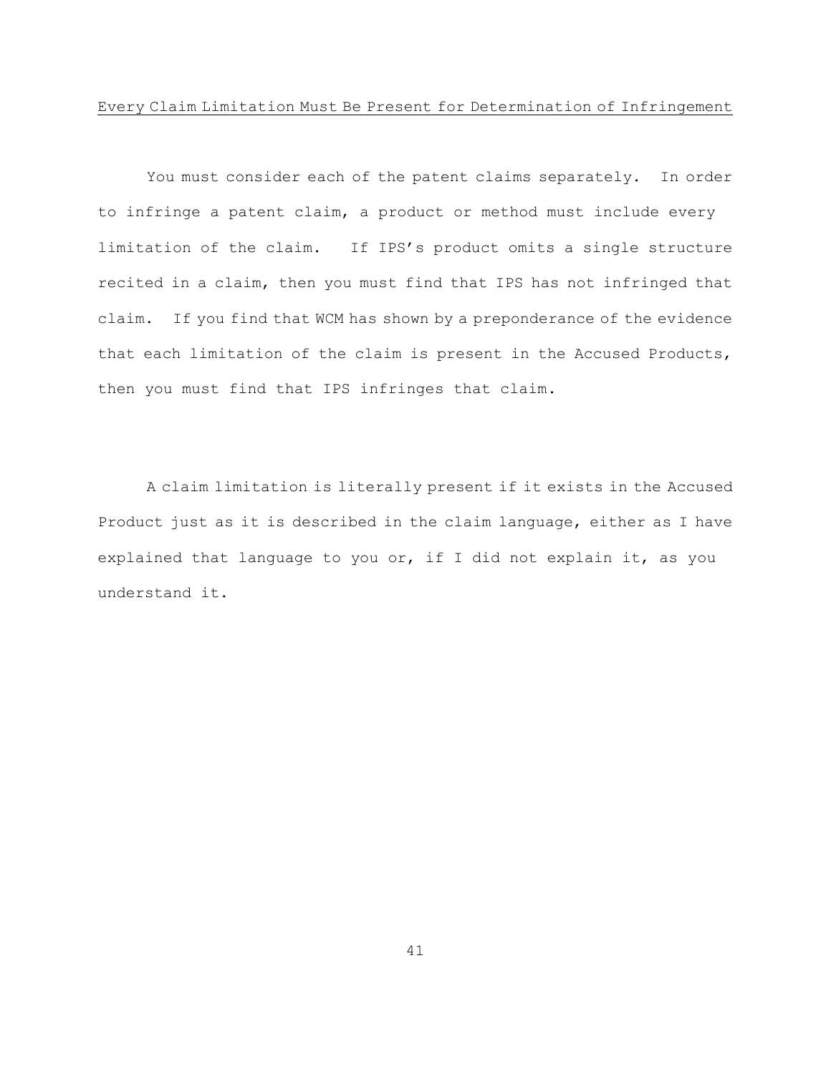# Every Claim Limitation Must Be Present for Determination of Infringement

You must consider each of the patent claims separately. In order to infringe a patent claim, a product or method must include every limitation of the claim. If IPS's product omits a single structure recited in a claim, then you must find that IPS has not infringed that claim. If you find that WCM has shown by a preponderance of the evidence that each limitation of the claim is present in the Accused Products, then you must find that IPS infringes that claim.

A claim limitation is literally present if it exists in the Accused Product just as it is described in the claim language, either as I have explained that language to you or, if I did not explain it, as you understand it.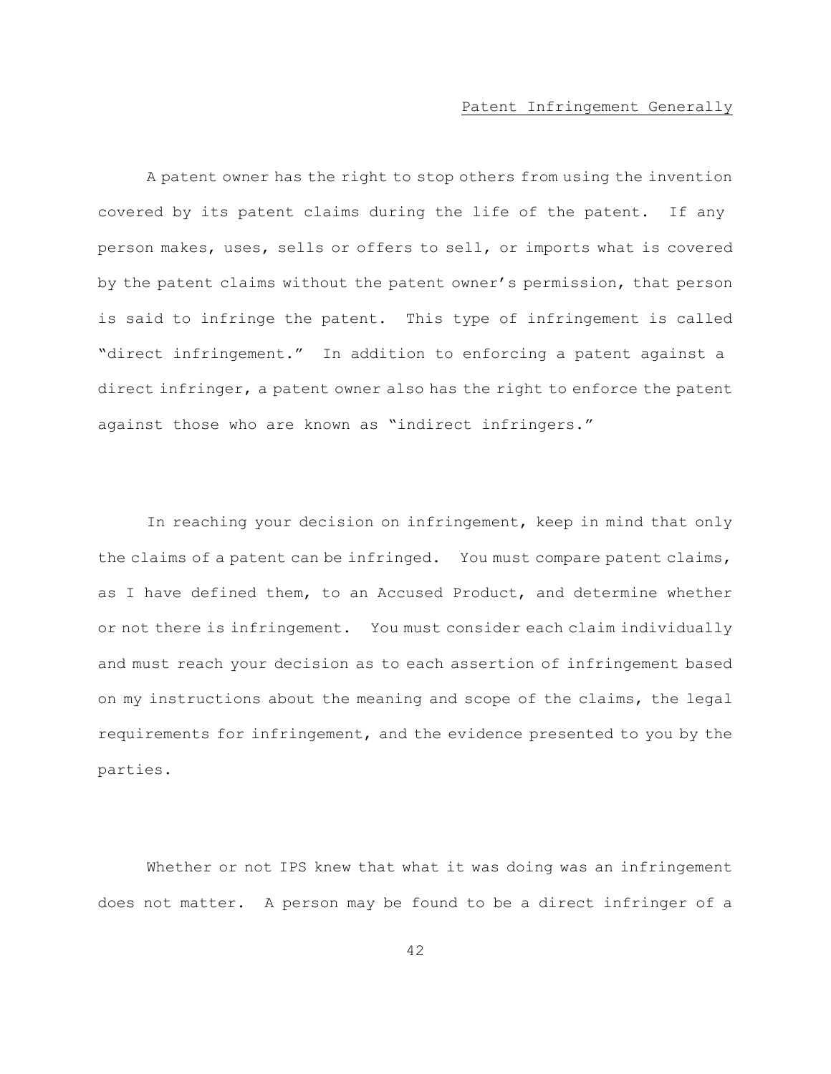### Patent Infringement Generally

A patent owner has the right to stop others from using the invention covered by its patent claims during the life of the patent. If any person makes, uses, sells or offers to sell, or imports what is covered by the patent claims without the patent owner's permission, that person is said to infringe the patent. This type of infringement is called "direct infringement." In addition to enforcing a patent against a direct infringer, a patent owner also has the right to enforce the patent against those who are known as "indirect infringers."

In reaching your decision on infringement, keep in mind that only the claims of a patent can be infringed. You must compare patent claims, as I have defined them, to an Accused Product, and determine whether or not there is infringement. You must consider each claim individually and must reach your decision as to each assertion of infringement based on my instructions about the meaning and scope of the claims, the legal requirements for infringement, and the evidence presented to you by the parties.

Whether or not IPS knew that what it was doing was an infringement does not matter. A person may be found to be a direct infringer of a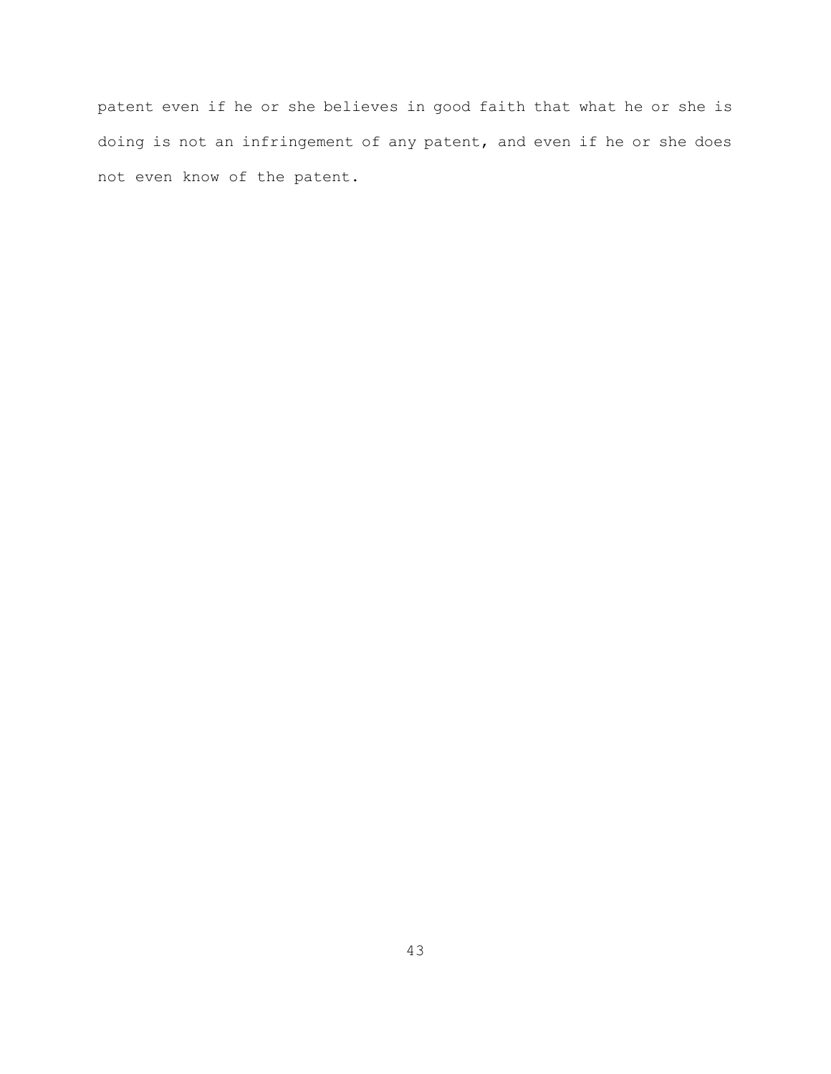patent even if he or she believes in good faith that what he or she is doing is not an infringement of any patent, and even if he or she does not even know of the patent.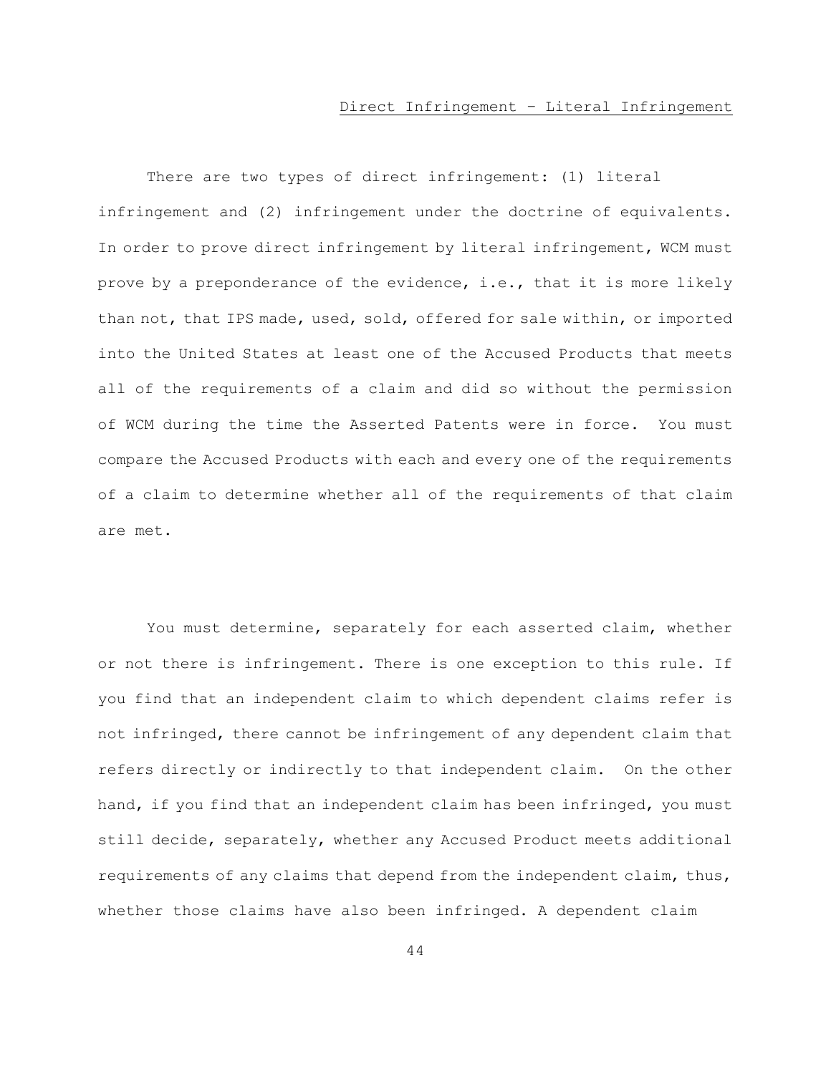There are two types of direct infringement: (1) literal infringement and (2) infringement under the doctrine of equivalents. In order to prove direct infringement by literal infringement, WCM must prove by a preponderance of the evidence, i.e., that it is more likely than not, that IPS made, used, sold, offered for sale within, or imported into the United States at least one of the Accused Products that meets all of the requirements of a claim and did so without the permission of WCM during the time the Asserted Patents were in force. You must compare the Accused Products with each and every one of the requirements of a claim to determine whether all of the requirements of that claim are met.

You must determine, separately for each asserted claim, whether or not there is infringement. There is one exception to this rule. If you find that an independent claim to which dependent claims refer is not infringed, there cannot be infringement of any dependent claim that refers directly or indirectly to that independent claim. On the other hand, if you find that an independent claim has been infringed, you must still decide, separately, whether any Accused Product meets additional requirements of any claims that depend from the independent claim, thus, whether those claims have also been infringed. A dependent claim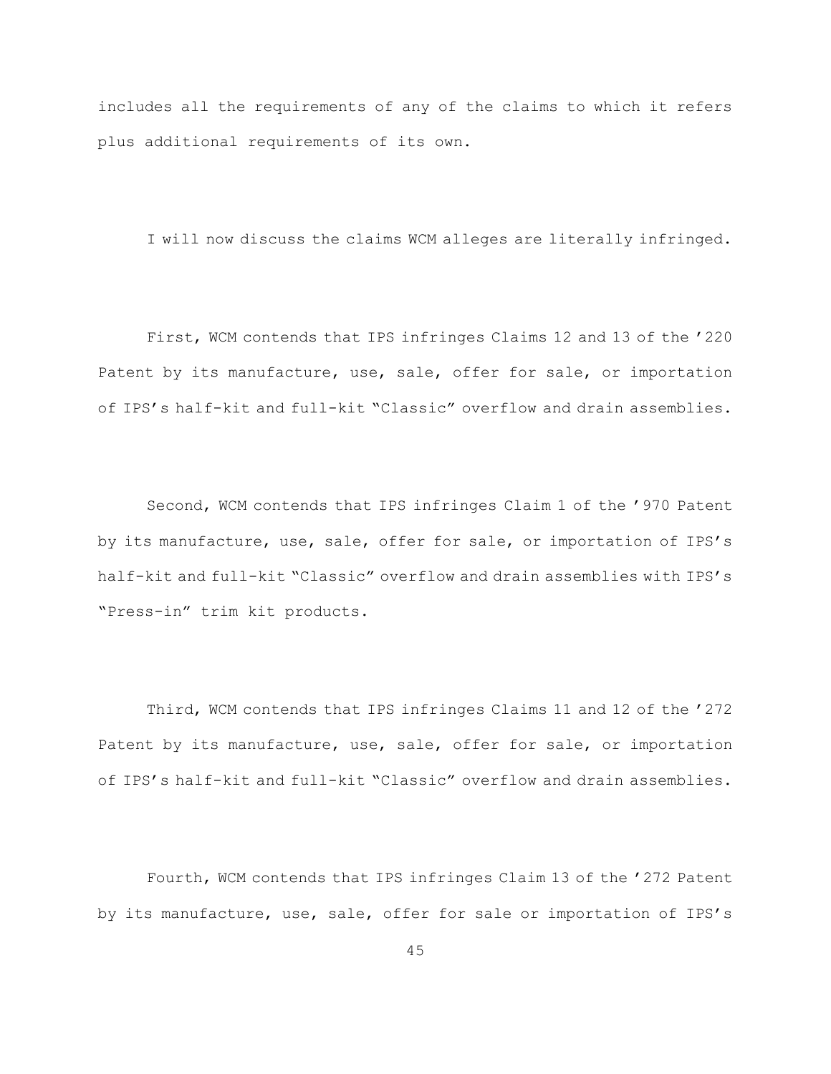includes all the requirements of any of the claims to which it refers plus additional requirements of its own.

I will now discuss the claims WCM alleges are literally infringed.

First, WCM contends that IPS infringes Claims 12 and 13 of the '220 Patent by its manufacture, use, sale, offer for sale, or importation of IPS's half-kit and full-kit "Classic" overflow and drain assemblies.

Second, WCM contends that IPS infringes Claim 1 of the '970 Patent by its manufacture, use, sale, offer for sale, or importation of IPS's half-kit and full-kit "Classic" overflow and drain assemblies with IPS's "Press-in" trim kit products.

Third, WCM contends that IPS infringes Claims 11 and 12 of the '272 Patent by its manufacture, use, sale, offer for sale, or importation of IPS's half-kit and full-kit "Classic" overflow and drain assemblies.

Fourth, WCM contends that IPS infringes Claim 13 of the '272 Patent by its manufacture, use, sale, offer for sale or importation of IPS's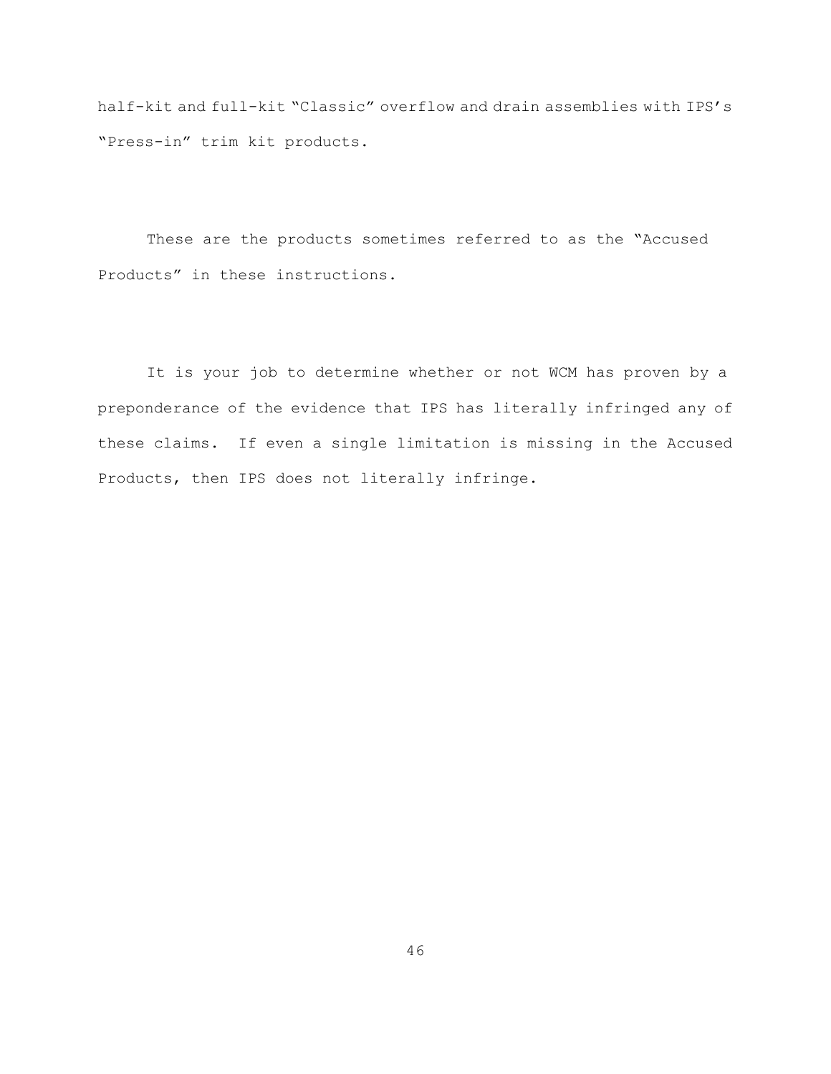half-kit and full-kit "Classic" overflow and drain assemblies with IPS's "Press-in" trim kit products.

These are the products sometimes referred to as the "Accused Products" in these instructions.

It is your job to determine whether or not WCM has proven by a preponderance of the evidence that IPS has literally infringed any of these claims. If even a single limitation is missing in the Accused Products, then IPS does not literally infringe.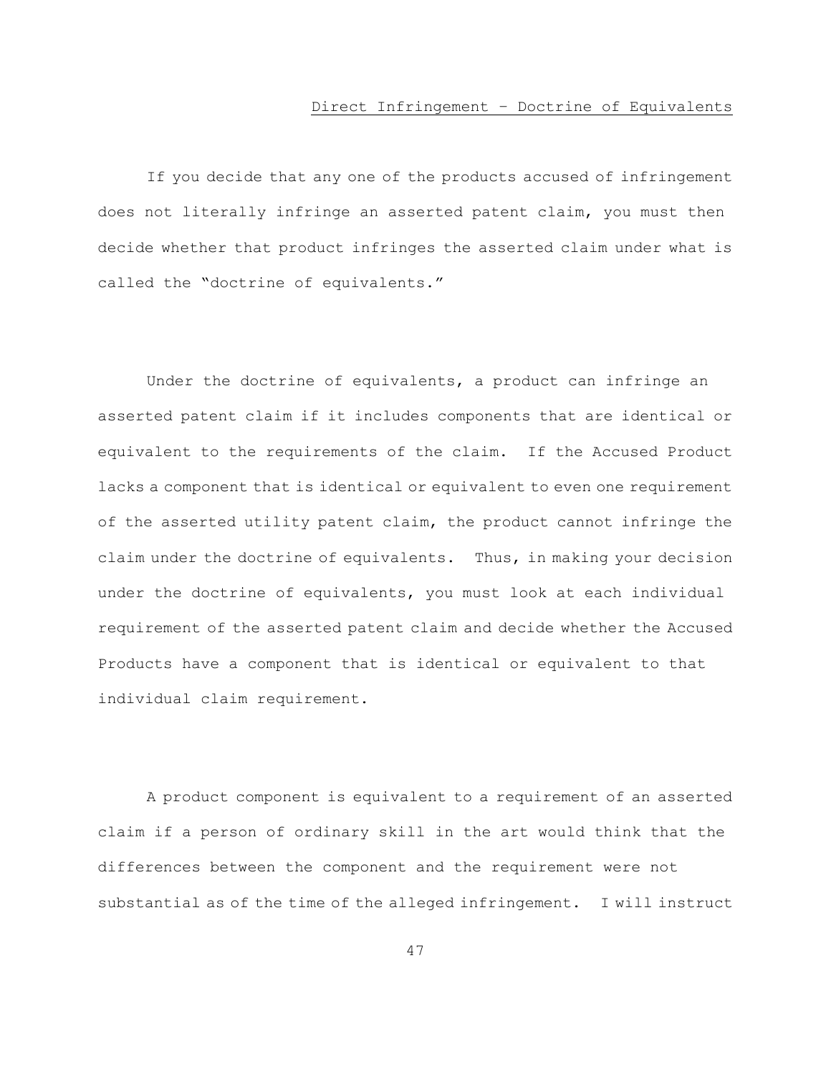# Direct Infringement – Doctrine of Equivalents

If you decide that any one of the products accused of infringement does not literally infringe an asserted patent claim, you must then decide whether that product infringes the asserted claim under what is called the "doctrine of equivalents."

Under the doctrine of equivalents, a product can infringe an asserted patent claim if it includes components that are identical or equivalent to the requirements of the claim. If the Accused Product lacks a component that is identical or equivalent to even one requirement of the asserted utility patent claim, the product cannot infringe the claim under the doctrine of equivalents. Thus, in making your decision under the doctrine of equivalents, you must look at each individual requirement of the asserted patent claim and decide whether the Accused Products have a component that is identical or equivalent to that individual claim requirement.

A product component is equivalent to a requirement of an asserted claim if a person of ordinary skill in the art would think that the differences between the component and the requirement were not substantial as of the time of the alleged infringement. I will instruct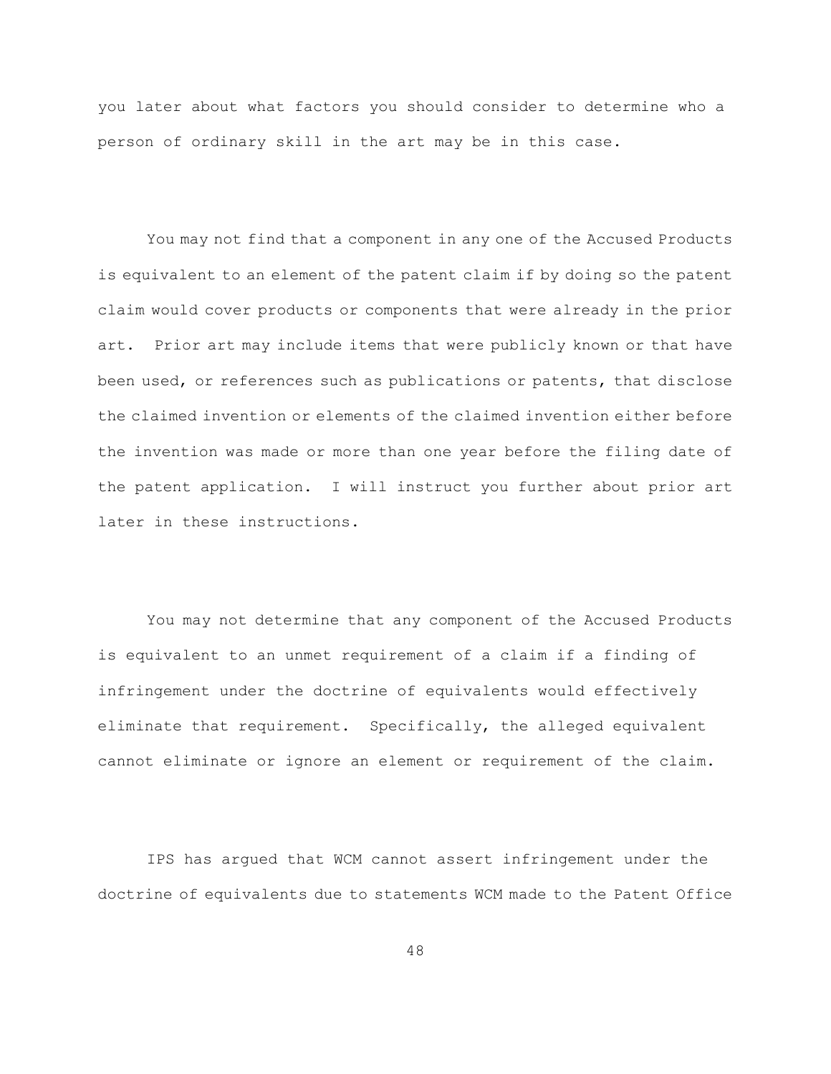you later about what factors you should consider to determine who a person of ordinary skill in the art may be in this case.

You may not find that a component in any one of the Accused Products is equivalent to an element of the patent claim if by doing so the patent claim would cover products or components that were already in the prior art. Prior art may include items that were publicly known or that have been used, or references such as publications or patents, that disclose the claimed invention or elements of the claimed invention either before the invention was made or more than one year before the filing date of the patent application. I will instruct you further about prior art later in these instructions.

You may not determine that any component of the Accused Products is equivalent to an unmet requirement of a claim if a finding of infringement under the doctrine of equivalents would effectively eliminate that requirement. Specifically, the alleged equivalent cannot eliminate or ignore an element or requirement of the claim.

IPS has argued that WCM cannot assert infringement under the doctrine of equivalents due to statements WCM made to the Patent Office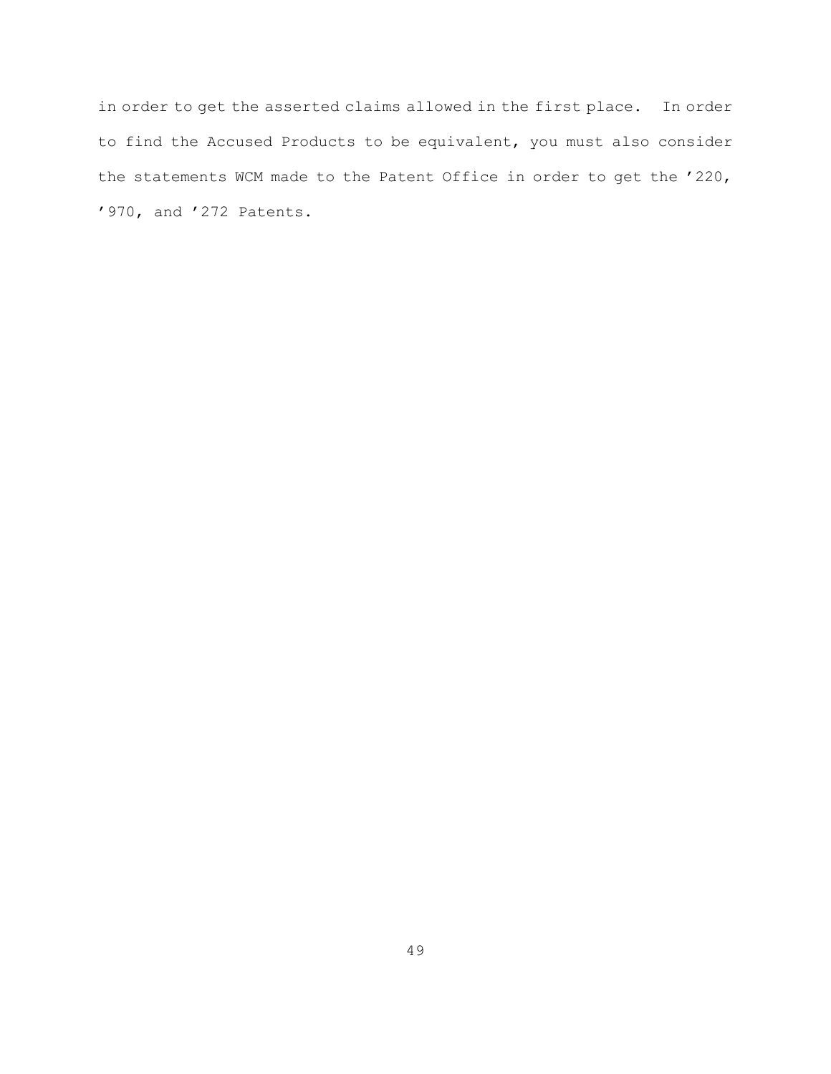in order to get the asserted claims allowed in the first place. In order to find the Accused Products to be equivalent, you must also consider the statements WCM made to the Patent Office in order to get the '220, '970, and '272 Patents.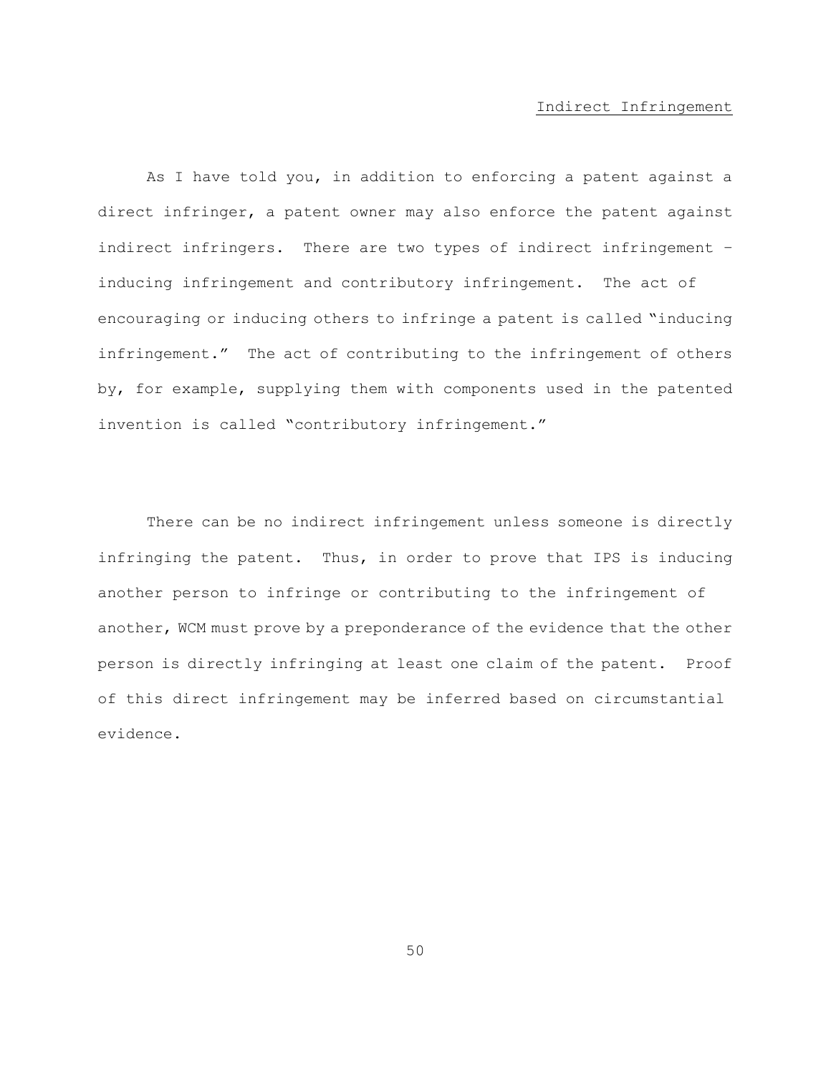#### Indirect Infringement

As I have told you, in addition to enforcing a patent against a direct infringer, a patent owner may also enforce the patent against indirect infringers. There are two types of indirect infringement – inducing infringement and contributory infringement. The act of encouraging or inducing others to infringe a patent is called "inducing infringement." The act of contributing to the infringement of others by, for example, supplying them with components used in the patented invention is called "contributory infringement."

There can be no indirect infringement unless someone is directly infringing the patent. Thus, in order to prove that IPS is inducing another person to infringe or contributing to the infringement of another, WCM must prove by a preponderance of the evidence that the other person is directly infringing at least one claim of the patent. Proof of this direct infringement may be inferred based on circumstantial evidence.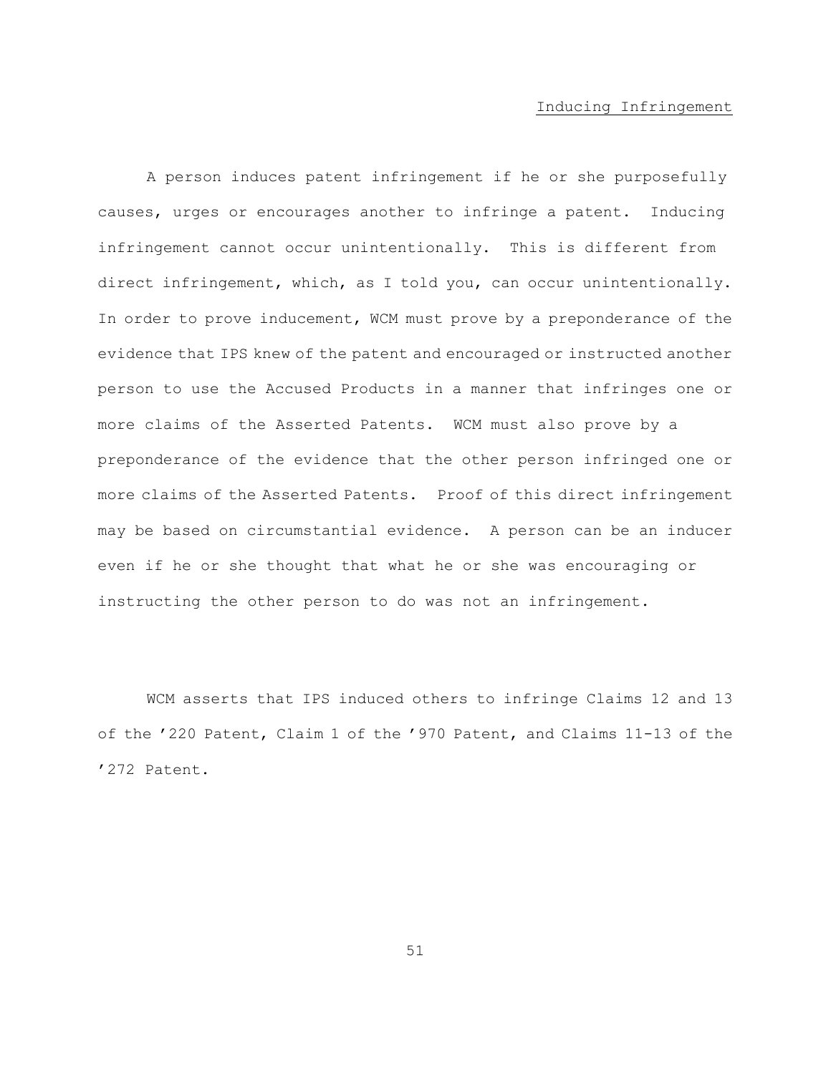#### Inducing Infringement

A person induces patent infringement if he or she purposefully causes, urges or encourages another to infringe a patent. Inducing infringement cannot occur unintentionally. This is different from direct infringement, which, as I told you, can occur unintentionally. In order to prove inducement, WCM must prove by a preponderance of the evidence that IPS knew of the patent and encouraged or instructed another person to use the Accused Products in a manner that infringes one or more claims of the Asserted Patents. WCM must also prove by a preponderance of the evidence that the other person infringed one or more claims of the Asserted Patents. Proof of this direct infringement may be based on circumstantial evidence. A person can be an inducer even if he or she thought that what he or she was encouraging or instructing the other person to do was not an infringement.

WCM asserts that IPS induced others to infringe Claims 12 and 13 of the '220 Patent, Claim 1 of the '970 Patent, and Claims 11-13 of the '272 Patent.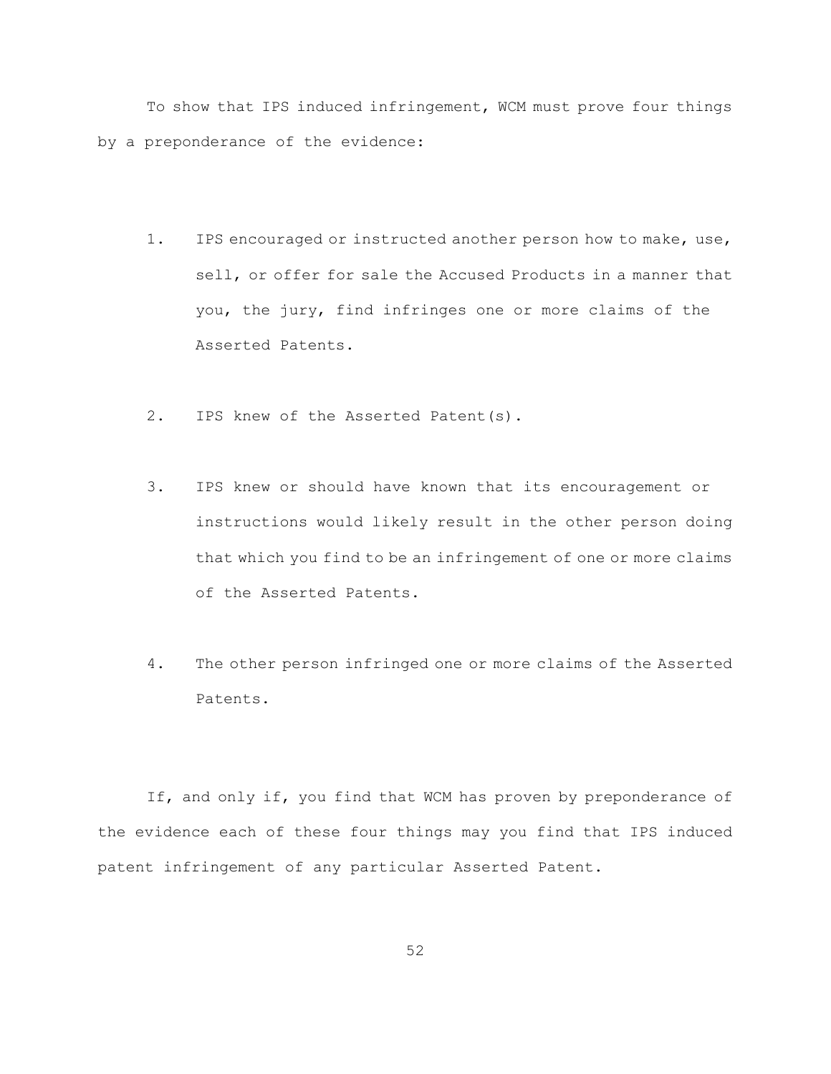To show that IPS induced infringement, WCM must prove four things by a preponderance of the evidence:

- 1. IPS encouraged or instructed another person how to make, use, sell, or offer for sale the Accused Products in a manner that you, the jury, find infringes one or more claims of the Asserted Patents.
- 2. IPS knew of the Asserted Patent(s).
- 3. IPS knew or should have known that its encouragement or instructions would likely result in the other person doing that which you find to be an infringement of one or more claims of the Asserted Patents.
- 4. The other person infringed one or more claims of the Asserted Patents.

If, and only if, you find that WCM has proven by preponderance of the evidence each of these four things may you find that IPS induced patent infringement of any particular Asserted Patent.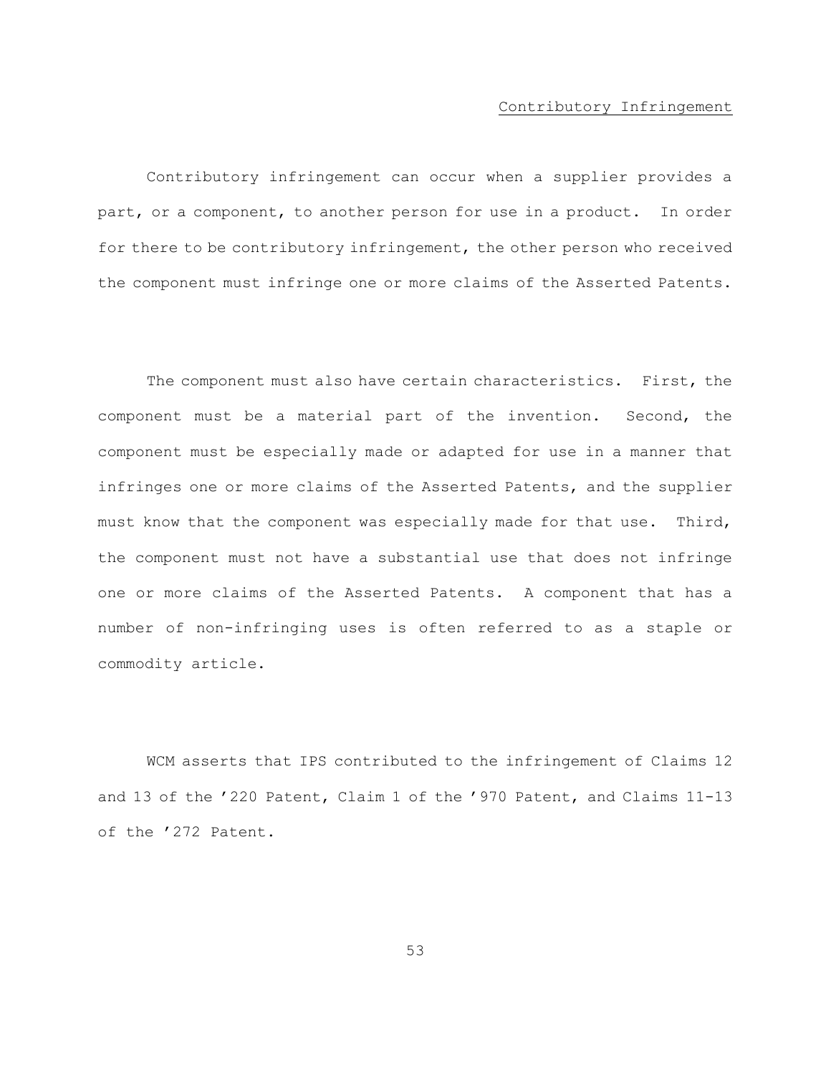#### Contributory Infringement

Contributory infringement can occur when a supplier provides a part, or a component, to another person for use in a product. In order for there to be contributory infringement, the other person who received the component must infringe one or more claims of the Asserted Patents.

The component must also have certain characteristics. First, the component must be a material part of the invention. Second, the component must be especially made or adapted for use in a manner that infringes one or more claims of the Asserted Patents, and the supplier must know that the component was especially made for that use. Third, the component must not have a substantial use that does not infringe one or more claims of the Asserted Patents. A component that has a number of non-infringing uses is often referred to as a staple or commodity article.

WCM asserts that IPS contributed to the infringement of Claims 12 and 13 of the '220 Patent, Claim 1 of the '970 Patent, and Claims 11-13 of the '272 Patent.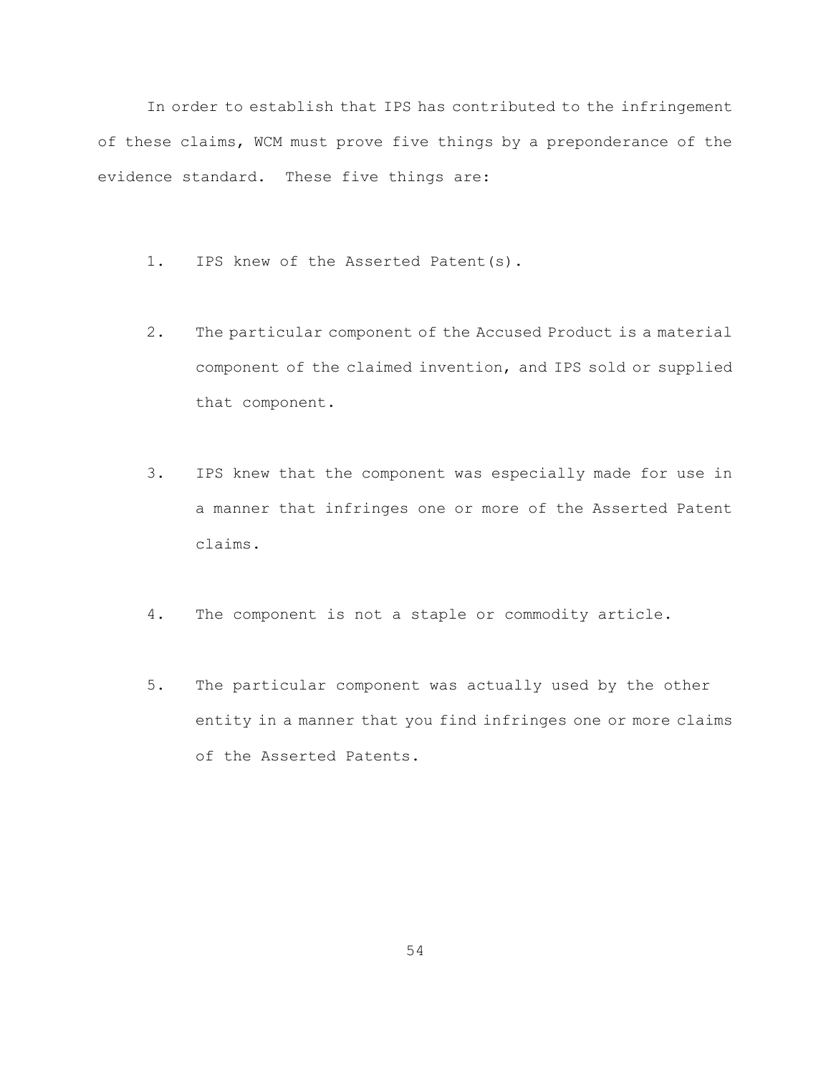In order to establish that IPS has contributed to the infringement of these claims, WCM must prove five things by a preponderance of the evidence standard. These five things are:

- 1. IPS knew of the Asserted Patent(s).
- 2. The particular component of the Accused Product is a material component of the claimed invention, and IPS sold or supplied that component.
- 3. IPS knew that the component was especially made for use in a manner that infringes one or more of the Asserted Patent claims.
- 4. The component is not a staple or commodity article.
- 5. The particular component was actually used by the other entity in a manner that you find infringes one or more claims of the Asserted Patents.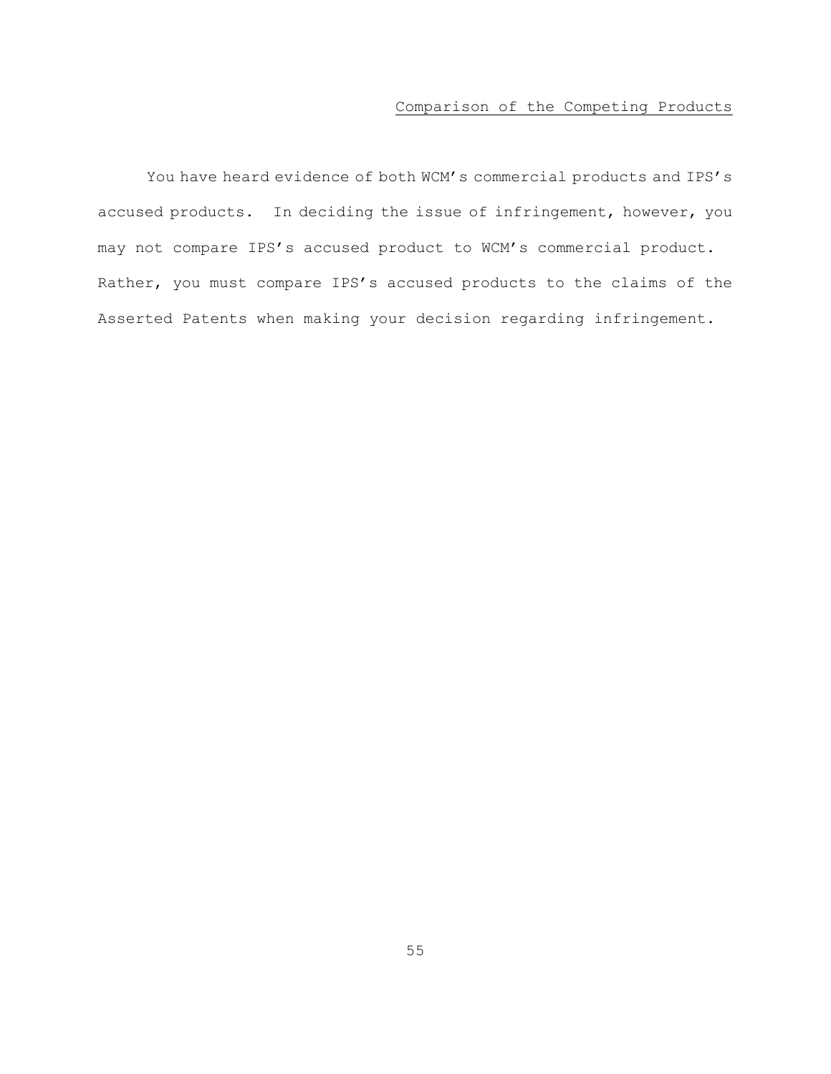# Comparison of the Competing Products

You have heard evidence of both WCM's commercial products and IPS's accused products. In deciding the issue of infringement, however, you may not compare IPS's accused product to WCM's commercial product. Rather, you must compare IPS's accused products to the claims of the Asserted Patents when making your decision regarding infringement.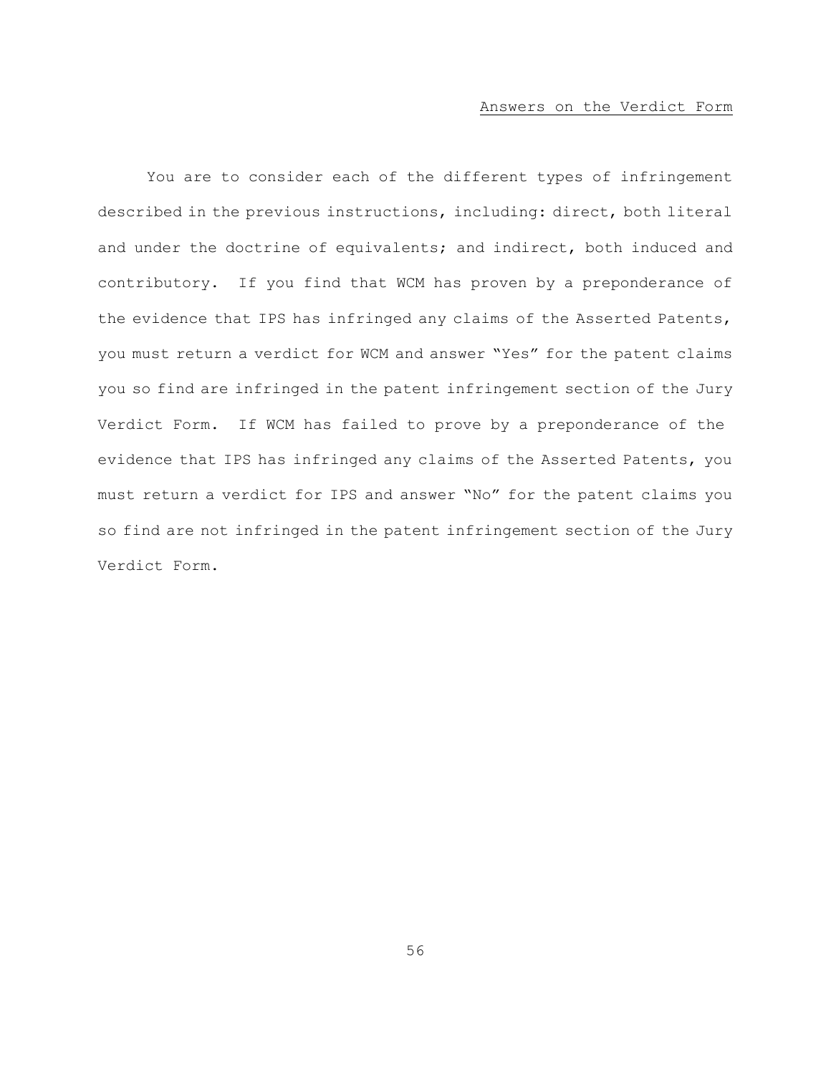#### Answers on the Verdict Form

You are to consider each of the different types of infringement described in the previous instructions, including: direct, both literal and under the doctrine of equivalents; and indirect, both induced and contributory. If you find that WCM has proven by a preponderance of the evidence that IPS has infringed any claims of the Asserted Patents, you must return a verdict for WCM and answer "Yes" for the patent claims you so find are infringed in the patent infringement section of the Jury Verdict Form. If WCM has failed to prove by a preponderance of the evidence that IPS has infringed any claims of the Asserted Patents, you must return a verdict for IPS and answer "No" for the patent claims you so find are not infringed in the patent infringement section of the Jury Verdict Form.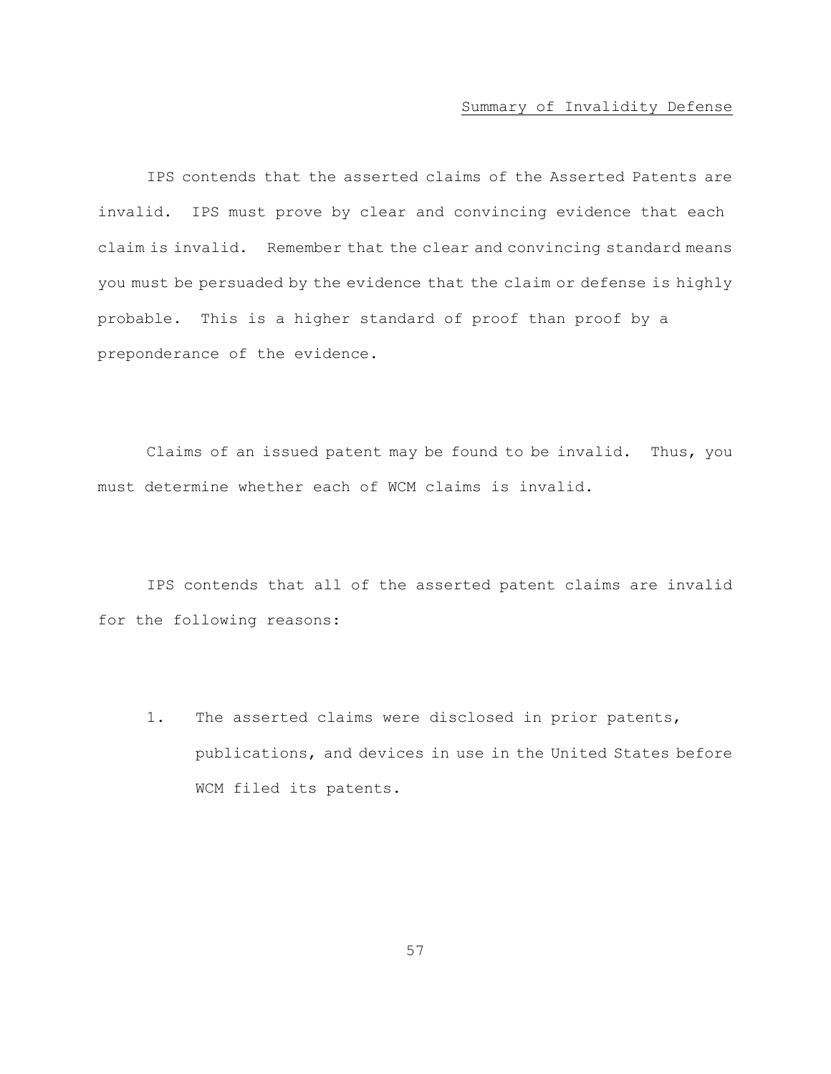### Summary of Invalidity Defense

IPS contends that the asserted claims of the Asserted Patents are invalid. IPS must prove by clear and convincing evidence that each claim is invalid. Remember that the clear and convincing standard means you must be persuaded by the evidence that the claim or defense is highly probable. This is a higher standard of proof than proof by a preponderance of the evidence.

Claims of an issued patent may be found to be invalid. Thus, you must determine whether each of WCM claims is invalid.

IPS contends that all of the asserted patent claims are invalid for the following reasons:

1. The asserted claims were disclosed in prior patents, publications, and devices in use in the United States before WCM filed its patents.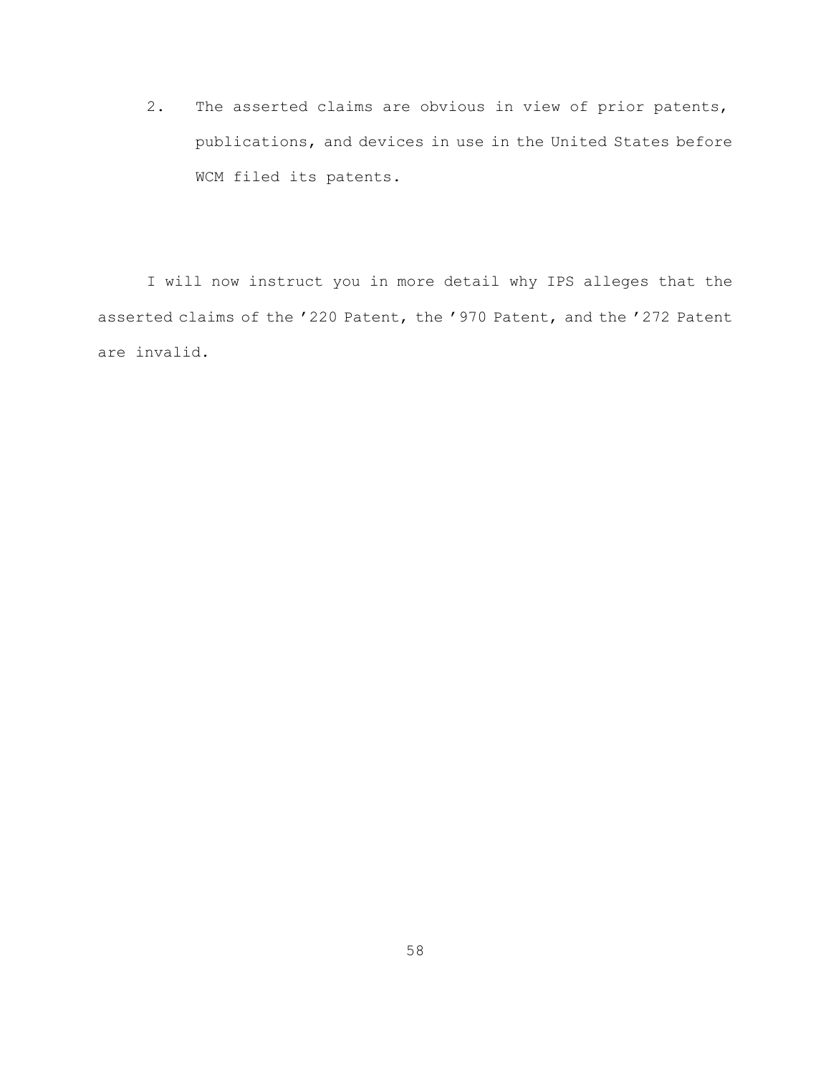2. The asserted claims are obvious in view of prior patents, publications, and devices in use in the United States before WCM filed its patents.

I will now instruct you in more detail why IPS alleges that the asserted claims of the '220 Patent, the '970 Patent, and the '272 Patent are invalid.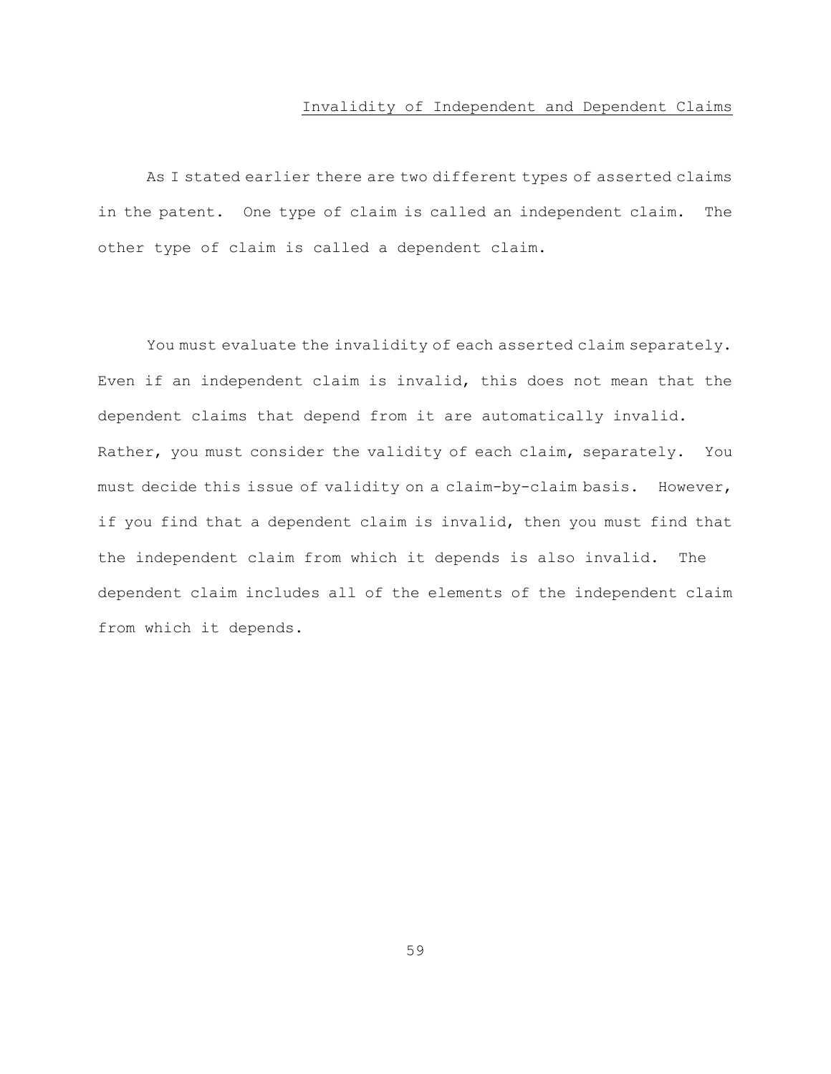# Invalidity of Independent and Dependent Claims

As I stated earlier there are two different types of asserted claims in the patent. One type of claim is called an independent claim. The other type of claim is called a dependent claim.

You must evaluate the invalidity of each asserted claim separately. Even if an independent claim is invalid, this does not mean that the dependent claims that depend from it are automatically invalid. Rather, you must consider the validity of each claim, separately. You must decide this issue of validity on a claim-by-claim basis. However, if you find that a dependent claim is invalid, then you must find that the independent claim from which it depends is also invalid. The dependent claim includes all of the elements of the independent claim from which it depends.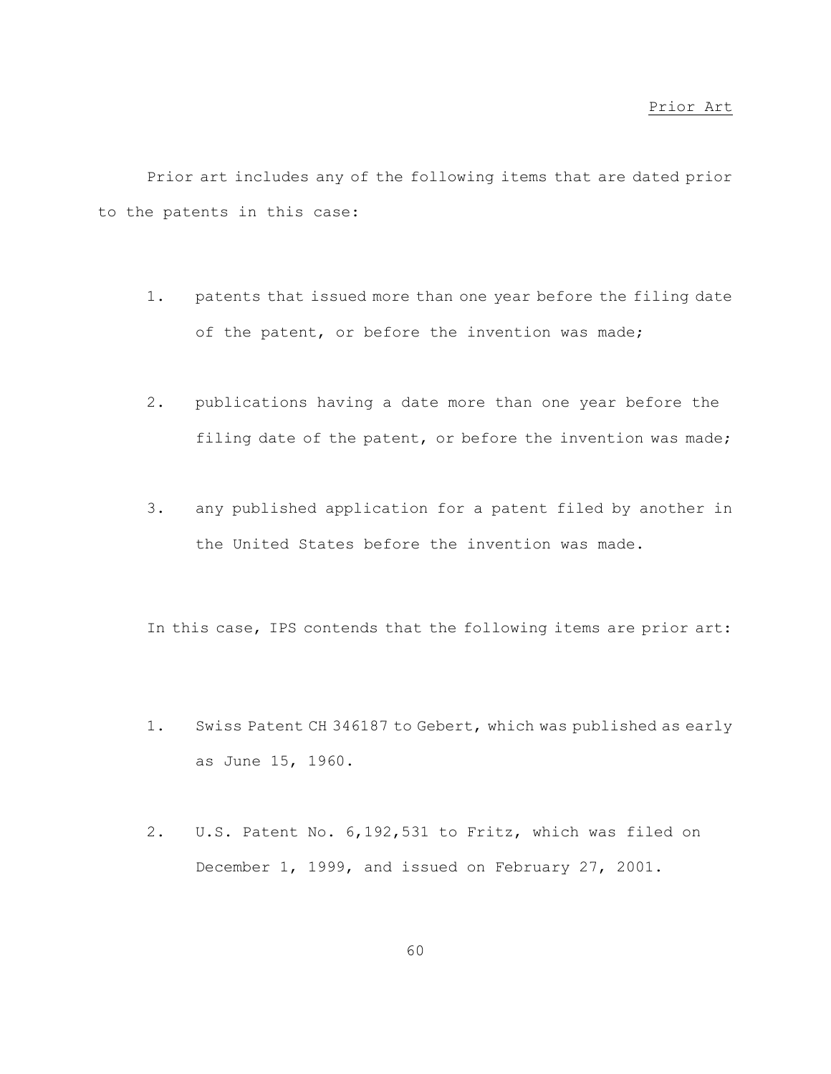Prior art includes any of the following items that are dated prior to the patents in this case:

- 1. patents that issued more than one year before the filing date of the patent, or before the invention was made;
- 2. publications having a date more than one year before the filing date of the patent, or before the invention was made;
- 3. any published application for a patent filed by another in the United States before the invention was made.

In this case, IPS contends that the following items are prior art:

- 1. Swiss Patent CH 346187 to Gebert, which was published as early as June 15, 1960.
- 2. U.S. Patent No. 6,192,531 to Fritz, which was filed on December 1, 1999, and issued on February 27, 2001.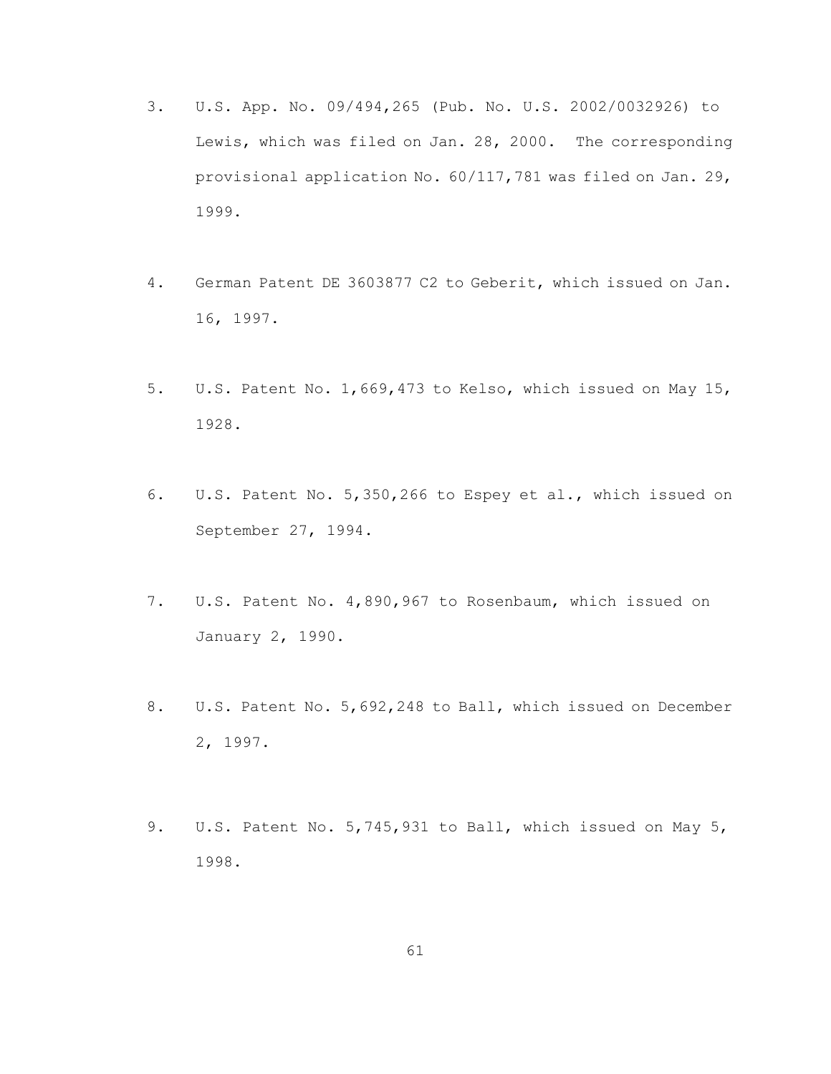- 3. U.S. App. No. 09/494,265 (Pub. No. U.S. 2002/0032926) to Lewis, which was filed on Jan. 28, 2000. The corresponding provisional application No. 60/117,781 was filed on Jan. 29, 1999.
- 4. German Patent DE 3603877 C2 to Geberit, which issued on Jan. 16, 1997.
- 5. U.S. Patent No. 1,669,473 to Kelso, which issued on May 15, 1928.
- 6. U.S. Patent No. 5,350,266 to Espey et al., which issued on September 27, 1994.
- 7. U.S. Patent No. 4,890,967 to Rosenbaum, which issued on January 2, 1990.
- 8. U.S. Patent No. 5,692,248 to Ball, which issued on December 2, 1997.
- 9. U.S. Patent No. 5, 745, 931 to Ball, which issued on May 5, 1998.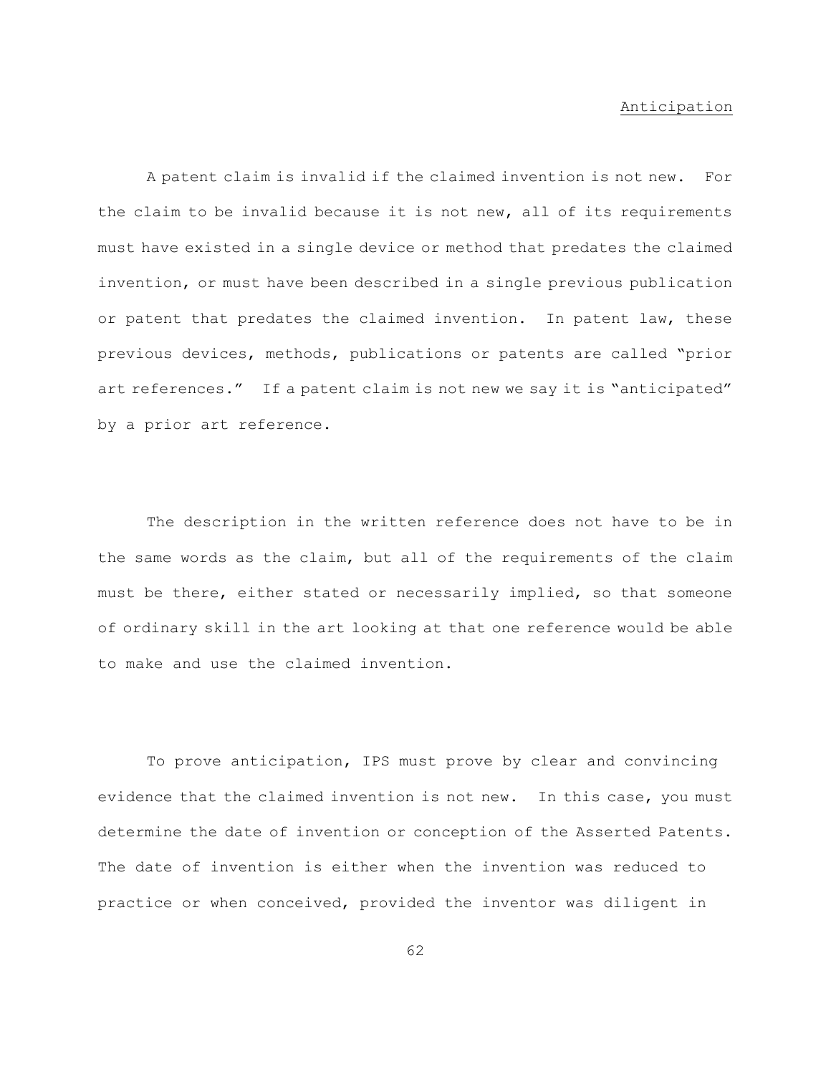# Anticipation

A patent claim is invalid if the claimed invention is not new. For the claim to be invalid because it is not new, all of its requirements must have existed in a single device or method that predates the claimed invention, or must have been described in a single previous publication or patent that predates the claimed invention. In patent law, these previous devices, methods, publications or patents are called "prior art references." If a patent claim is not new we say it is "anticipated" by a prior art reference.

The description in the written reference does not have to be in the same words as the claim, but all of the requirements of the claim must be there, either stated or necessarily implied, so that someone of ordinary skill in the art looking at that one reference would be able to make and use the claimed invention.

To prove anticipation, IPS must prove by clear and convincing evidence that the claimed invention is not new. In this case, you must determine the date of invention or conception of the Asserted Patents. The date of invention is either when the invention was reduced to practice or when conceived, provided the inventor was diligent in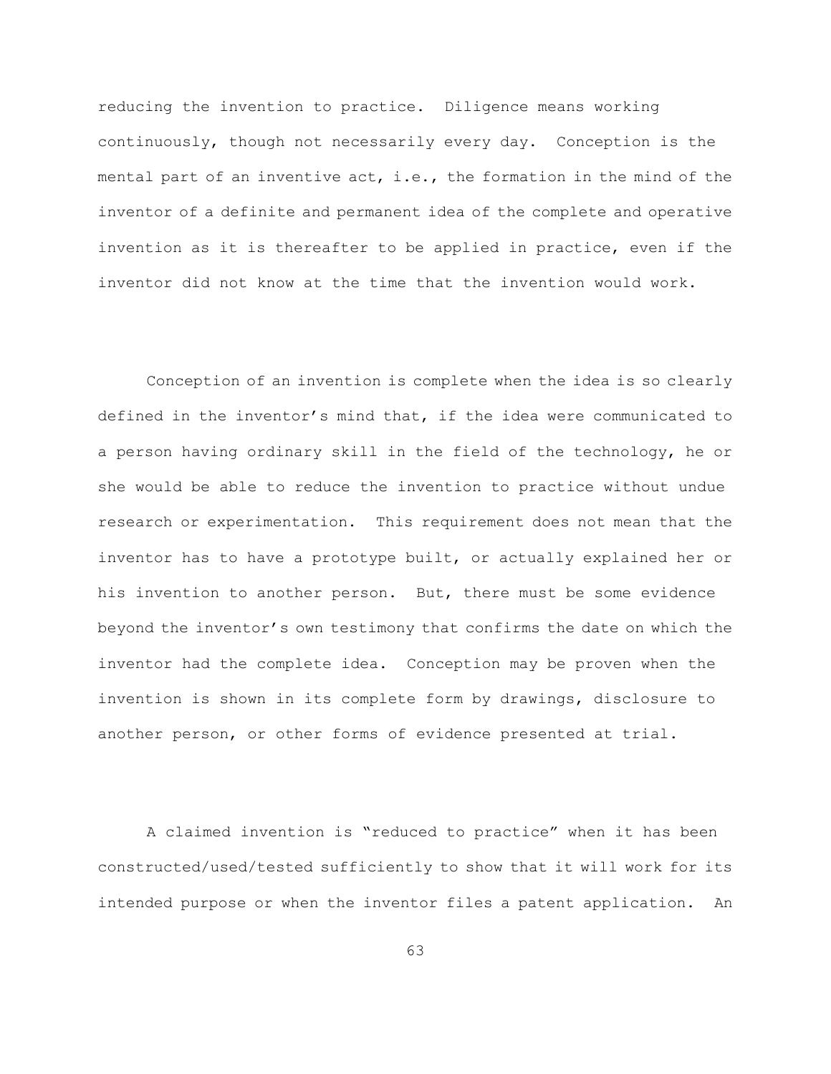reducing the invention to practice. Diligence means working continuously, though not necessarily every day. Conception is the mental part of an inventive act, i.e., the formation in the mind of the inventor of a definite and permanent idea of the complete and operative invention as it is thereafter to be applied in practice, even if the inventor did not know at the time that the invention would work.

Conception of an invention is complete when the idea is so clearly defined in the inventor's mind that, if the idea were communicated to a person having ordinary skill in the field of the technology, he or she would be able to reduce the invention to practice without undue research or experimentation. This requirement does not mean that the inventor has to have a prototype built, or actually explained her or his invention to another person. But, there must be some evidence beyond the inventor's own testimony that confirms the date on which the inventor had the complete idea. Conception may be proven when the invention is shown in its complete form by drawings, disclosure to another person, or other forms of evidence presented at trial.

A claimed invention is "reduced to practice" when it has been constructed/used/tested sufficiently to show that it will work for its intended purpose or when the inventor files a patent application. An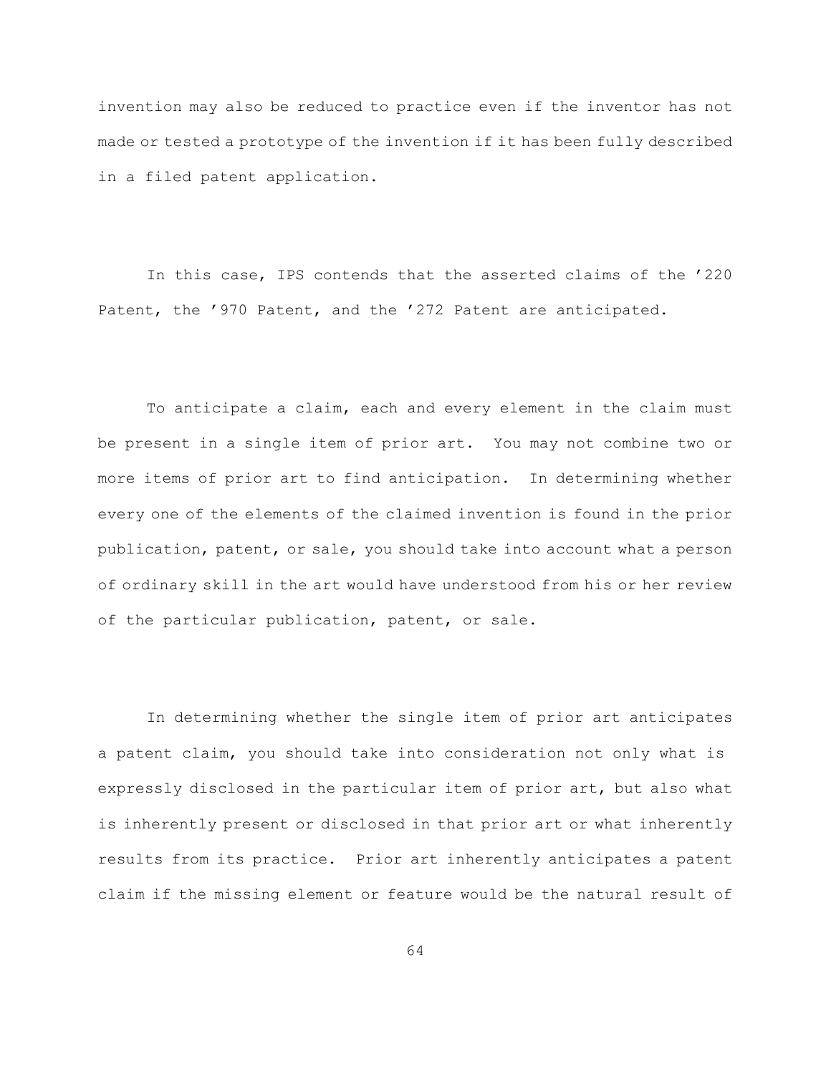invention may also be reduced to practice even if the inventor has not made or tested a prototype of the invention if it has been fully described in a filed patent application.

In this case, IPS contends that the asserted claims of the '220 Patent, the '970 Patent, and the '272 Patent are anticipated.

To anticipate a claim, each and every element in the claim must be present in a single item of prior art. You may not combine two or more items of prior art to find anticipation. In determining whether every one of the elements of the claimed invention is found in the prior publication, patent, or sale, you should take into account what a person of ordinary skill in the art would have understood from his or her review of the particular publication, patent, or sale.

In determining whether the single item of prior art anticipates a patent claim, you should take into consideration not only what is expressly disclosed in the particular item of prior art, but also what is inherently present or disclosed in that prior art or what inherently results from its practice. Prior art inherently anticipates a patent claim if the missing element or feature would be the natural result of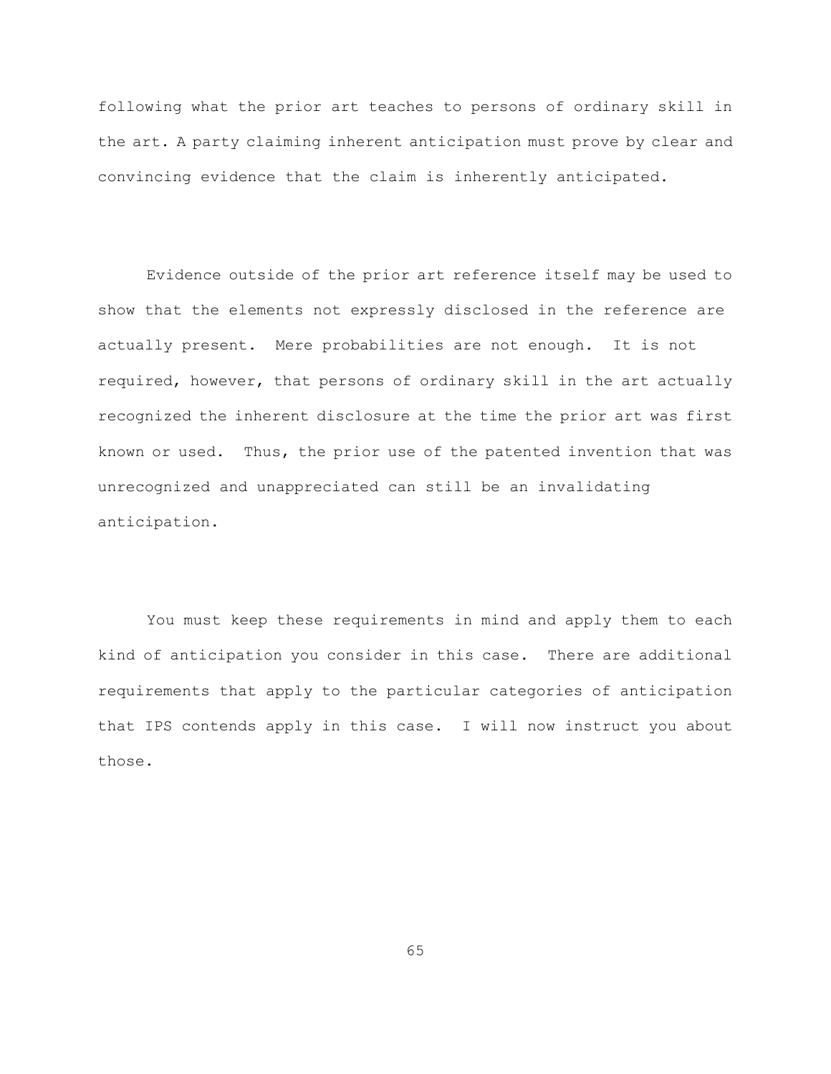following what the prior art teaches to persons of ordinary skill in the art. A party claiming inherent anticipation must prove by clear and convincing evidence that the claim is inherently anticipated.

Evidence outside of the prior art reference itself may be used to show that the elements not expressly disclosed in the reference are actually present. Mere probabilities are not enough. It is not required, however, that persons of ordinary skill in the art actually recognized the inherent disclosure at the time the prior art was first known or used. Thus, the prior use of the patented invention that was unrecognized and unappreciated can still be an invalidating anticipation.

You must keep these requirements in mind and apply them to each kind of anticipation you consider in this case. There are additional requirements that apply to the particular categories of anticipation that IPS contends apply in this case. I will now instruct you about those.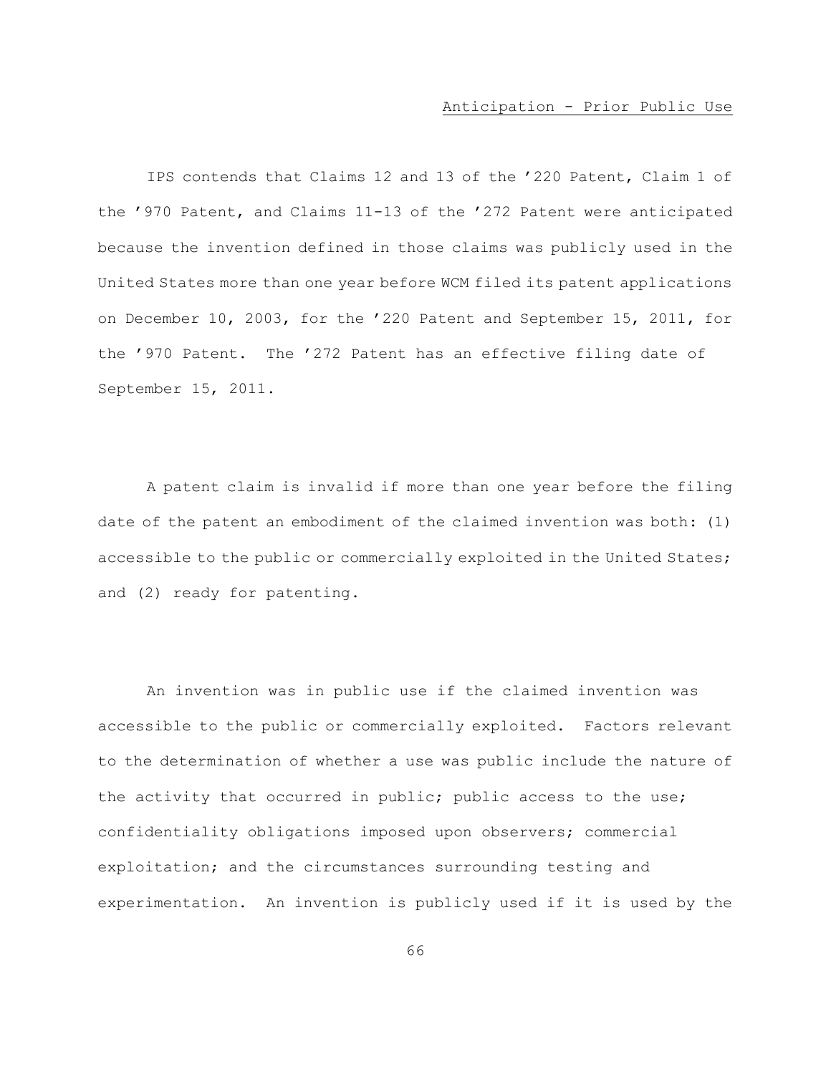# Anticipation - Prior Public Use

IPS contends that Claims 12 and 13 of the '220 Patent, Claim 1 of the '970 Patent, and Claims 11-13 of the '272 Patent were anticipated because the invention defined in those claims was publicly used in the United States more than one year before WCM filed its patent applications on December 10, 2003, for the '220 Patent and September 15, 2011, for the '970 Patent. The '272 Patent has an effective filing date of September 15, 2011.

A patent claim is invalid if more than one year before the filing date of the patent an embodiment of the claimed invention was both: (1) accessible to the public or commercially exploited in the United States; and (2) ready for patenting.

An invention was in public use if the claimed invention was accessible to the public or commercially exploited. Factors relevant to the determination of whether a use was public include the nature of the activity that occurred in public; public access to the use; confidentiality obligations imposed upon observers; commercial exploitation; and the circumstances surrounding testing and experimentation. An invention is publicly used if it is used by the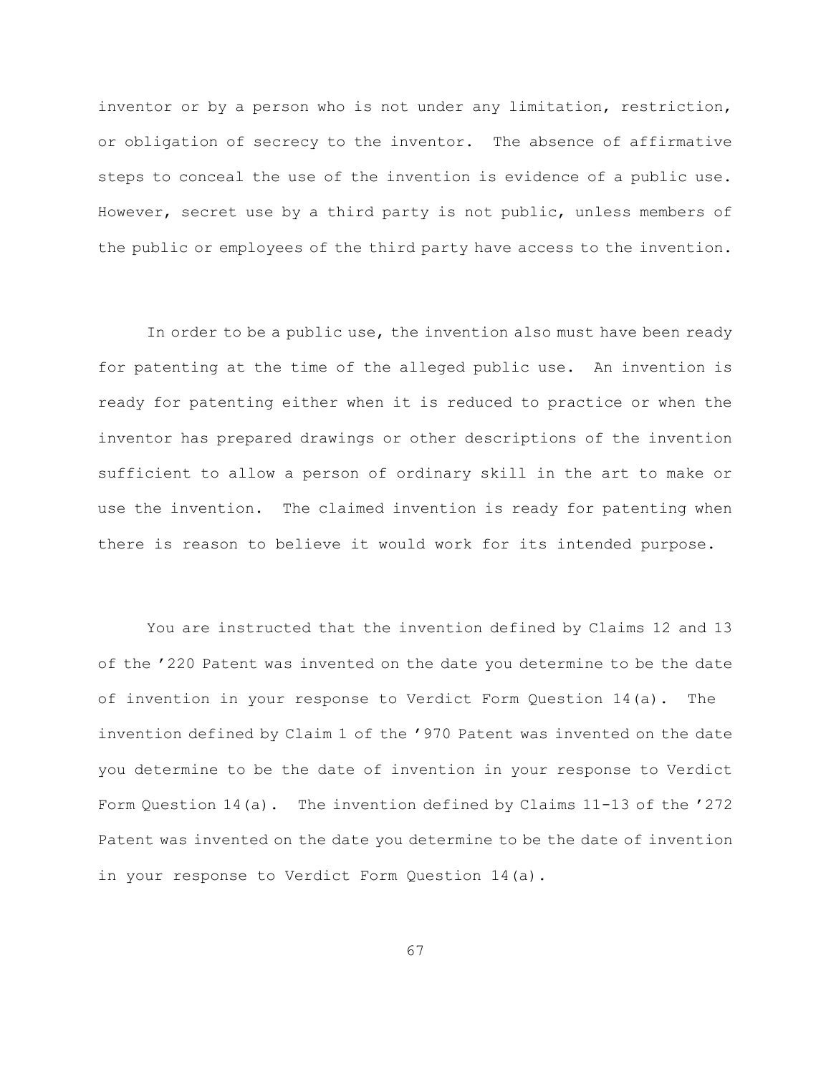inventor or by a person who is not under any limitation, restriction, or obligation of secrecy to the inventor. The absence of affirmative steps to conceal the use of the invention is evidence of a public use. However, secret use by a third party is not public, unless members of the public or employees of the third party have access to the invention.

In order to be a public use, the invention also must have been ready for patenting at the time of the alleged public use. An invention is ready for patenting either when it is reduced to practice or when the inventor has prepared drawings or other descriptions of the invention sufficient to allow a person of ordinary skill in the art to make or use the invention. The claimed invention is ready for patenting when there is reason to believe it would work for its intended purpose.

You are instructed that the invention defined by Claims 12 and 13 of the '220 Patent was invented on the date you determine to be the date of invention in your response to Verdict Form Question 14(a). The invention defined by Claim 1 of the '970 Patent was invented on the date you determine to be the date of invention in your response to Verdict Form Question 14(a). The invention defined by Claims 11-13 of the '272 Patent was invented on the date you determine to be the date of invention in your response to Verdict Form Question 14(a).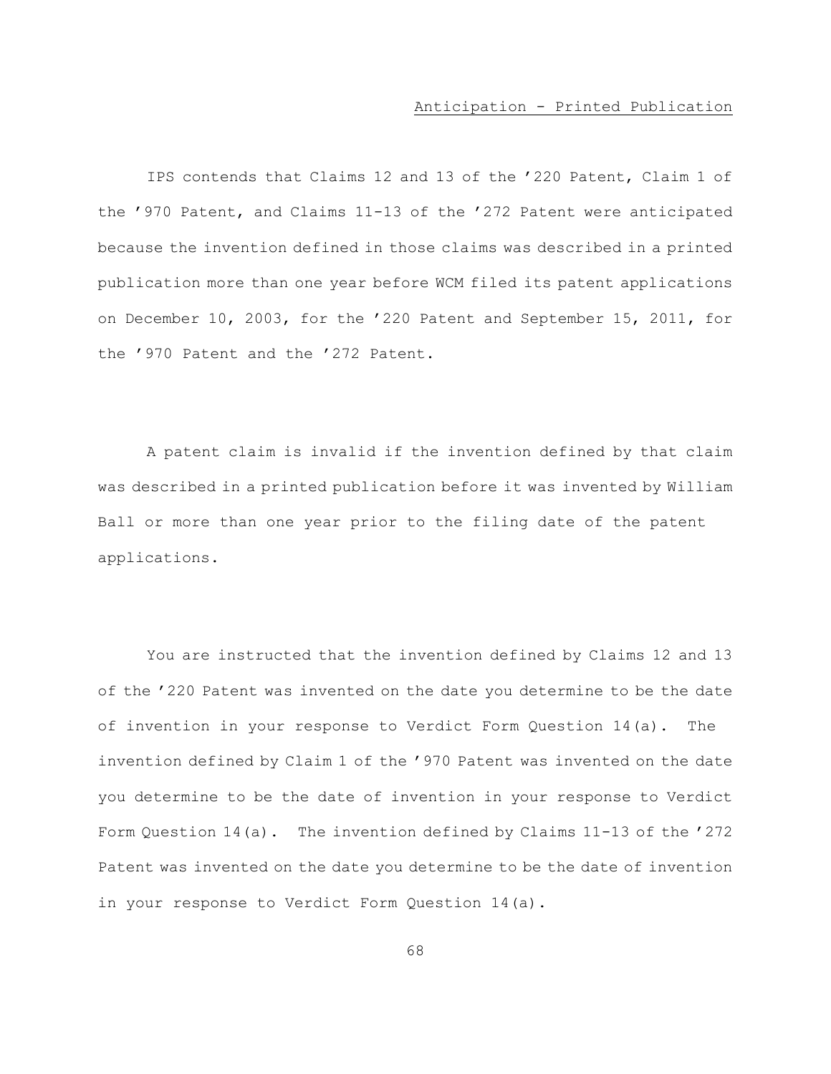# Anticipation - Printed Publication

IPS contends that Claims 12 and 13 of the '220 Patent, Claim 1 of the '970 Patent, and Claims 11-13 of the '272 Patent were anticipated because the invention defined in those claims was described in a printed publication more than one year before WCM filed its patent applications on December 10, 2003, for the '220 Patent and September 15, 2011, for the '970 Patent and the '272 Patent.

A patent claim is invalid if the invention defined by that claim was described in a printed publication before it was invented by William Ball or more than one year prior to the filing date of the patent applications.

You are instructed that the invention defined by Claims 12 and 13 of the '220 Patent was invented on the date you determine to be the date of invention in your response to Verdict Form Question 14(a). The invention defined by Claim 1 of the '970 Patent was invented on the date you determine to be the date of invention in your response to Verdict Form Question 14(a). The invention defined by Claims 11-13 of the '272 Patent was invented on the date you determine to be the date of invention in your response to Verdict Form Question 14(a).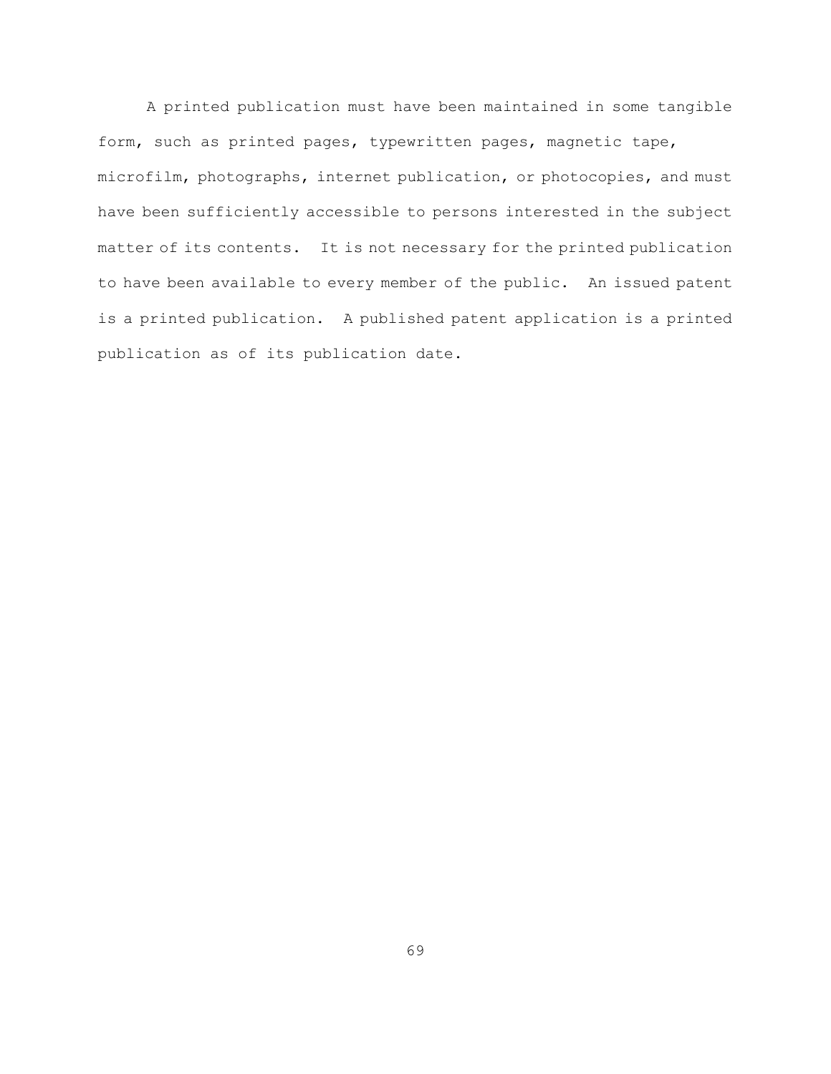A printed publication must have been maintained in some tangible form, such as printed pages, typewritten pages, magnetic tape, microfilm, photographs, internet publication, or photocopies, and must have been sufficiently accessible to persons interested in the subject matter of its contents. It is not necessary for the printed publication to have been available to every member of the public. An issued patent is a printed publication. A published patent application is a printed publication as of its publication date.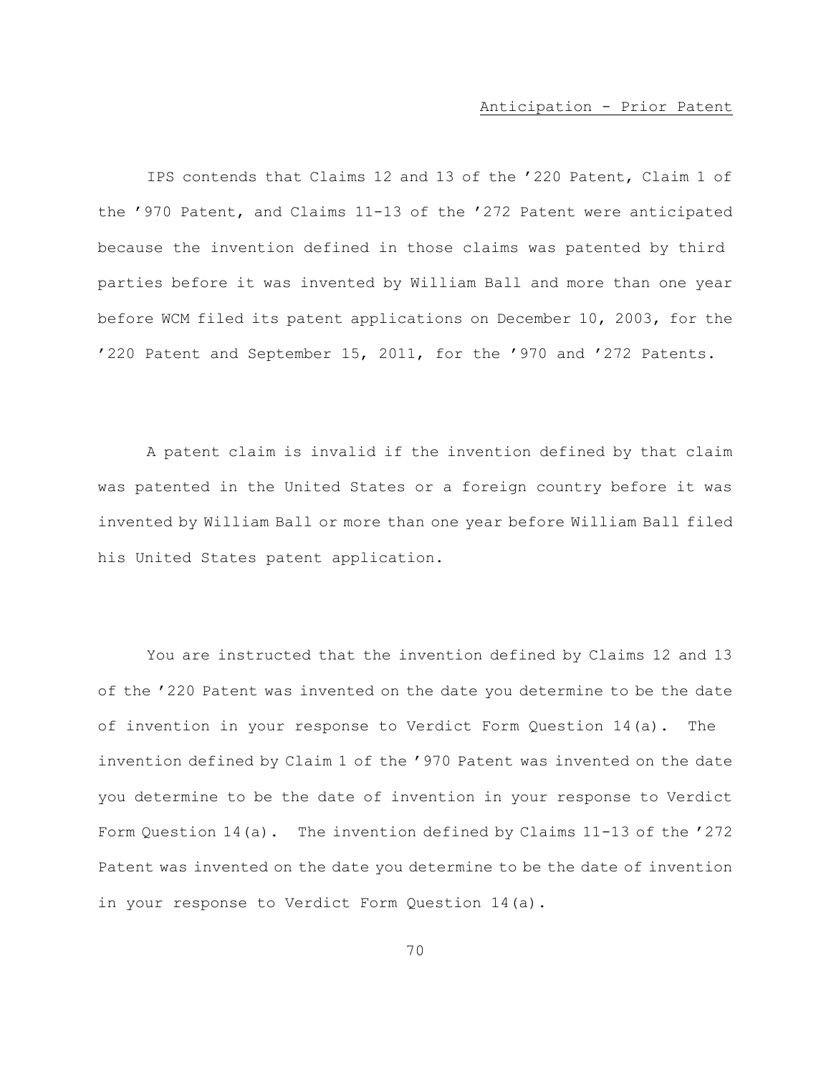#### Anticipation - Prior Patent

IPS contends that Claims 12 and 13 of the '220 Patent, Claim 1 of the '970 Patent, and Claims 11-13 of the '272 Patent were anticipated because the invention defined in those claims was patented by third parties before it was invented by William Ball and more than one year before WCM filed its patent applications on December 10, 2003, for the '220 Patent and September 15, 2011, for the '970 and '272 Patents.

A patent claim is invalid if the invention defined by that claim was patented in the United States or a foreign country before it was invented by William Ball or more than one year before William Ball filed his United States patent application.

You are instructed that the invention defined by Claims 12 and 13 of the '220 Patent was invented on the date you determine to be the date of invention in your response to Verdict Form Question 14(a). The invention defined by Claim 1 of the '970 Patent was invented on the date you determine to be the date of invention in your response to Verdict Form Question 14(a). The invention defined by Claims 11-13 of the '272 Patent was invented on the date you determine to be the date of invention in your response to Verdict Form Question 14(a).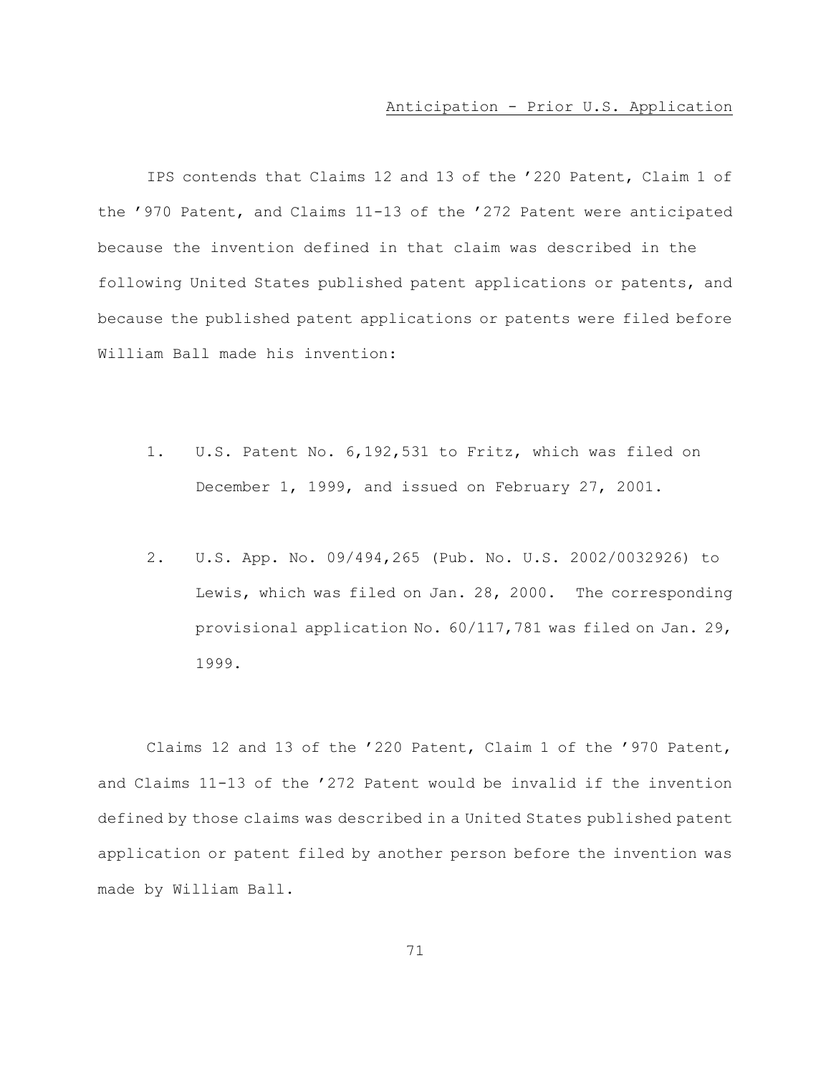#### Anticipation - Prior U.S. Application

IPS contends that Claims 12 and 13 of the '220 Patent, Claim 1 of the '970 Patent, and Claims 11-13 of the '272 Patent were anticipated because the invention defined in that claim was described in the following United States published patent applications or patents, and because the published patent applications or patents were filed before William Ball made his invention:

- 1. U.S. Patent No. 6,192,531 to Fritz, which was filed on December 1, 1999, and issued on February 27, 2001.
- 2. U.S. App. No. 09/494,265 (Pub. No. U.S. 2002/0032926) to Lewis, which was filed on Jan. 28, 2000. The corresponding provisional application No. 60/117,781 was filed on Jan. 29, 1999.

Claims 12 and 13 of the '220 Patent, Claim 1 of the '970 Patent, and Claims 11-13 of the '272 Patent would be invalid if the invention defined by those claims was described in a United States published patent application or patent filed by another person before the invention was made by William Ball.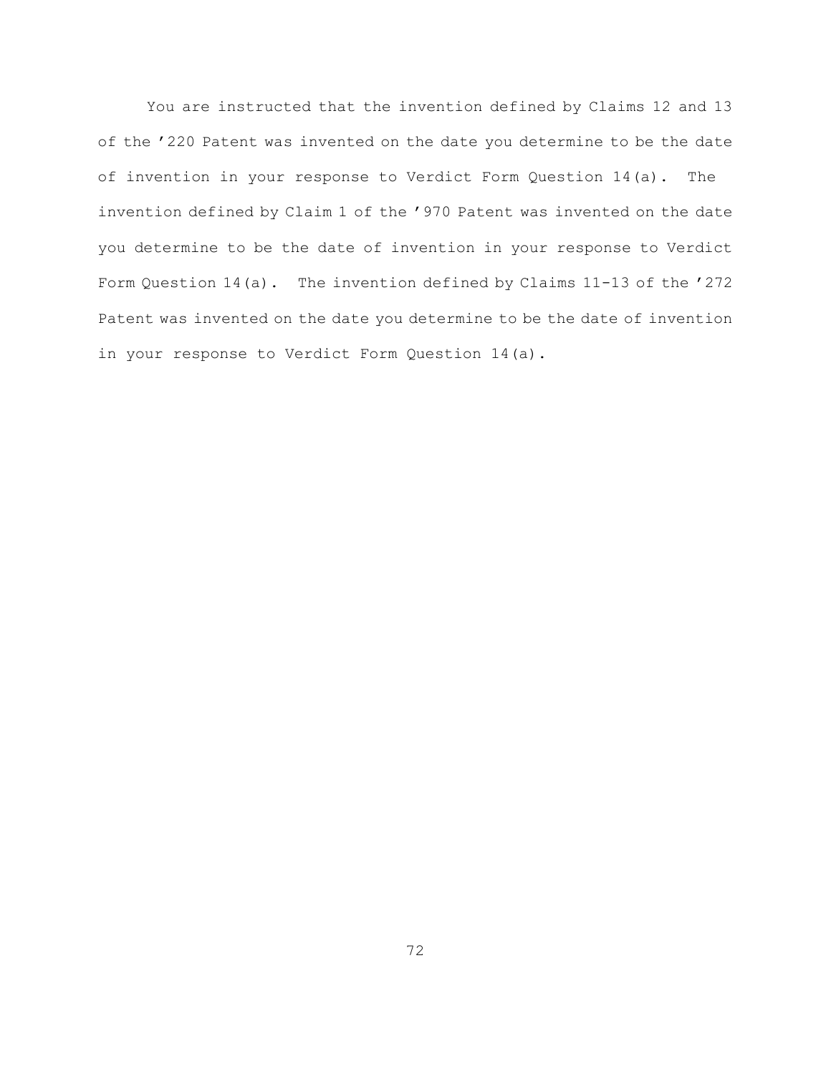You are instructed that the invention defined by Claims 12 and 13 of the '220 Patent was invented on the date you determine to be the date of invention in your response to Verdict Form Question 14(a). The invention defined by Claim 1 of the '970 Patent was invented on the date you determine to be the date of invention in your response to Verdict Form Question 14(a). The invention defined by Claims 11-13 of the '272 Patent was invented on the date you determine to be the date of invention in your response to Verdict Form Question 14(a).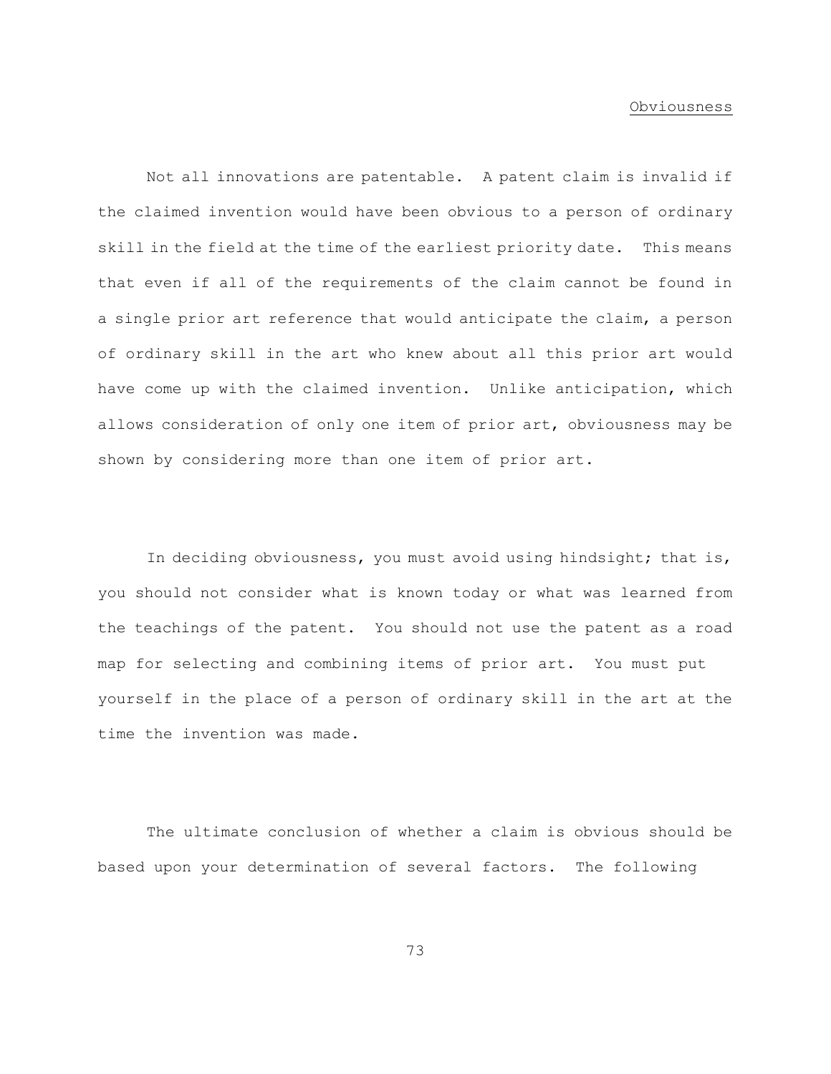#### Obviousness

Not all innovations are patentable. A patent claim is invalid if the claimed invention would have been obvious to a person of ordinary skill in the field at the time of the earliest priority date. This means that even if all of the requirements of the claim cannot be found in a single prior art reference that would anticipate the claim, a person of ordinary skill in the art who knew about all this prior art would have come up with the claimed invention. Unlike anticipation, which allows consideration of only one item of prior art, obviousness may be shown by considering more than one item of prior art.

In deciding obviousness, you must avoid using hindsight; that is, you should not consider what is known today or what was learned from the teachings of the patent. You should not use the patent as a road map for selecting and combining items of prior art. You must put yourself in the place of a person of ordinary skill in the art at the time the invention was made.

The ultimate conclusion of whether a claim is obvious should be based upon your determination of several factors. The following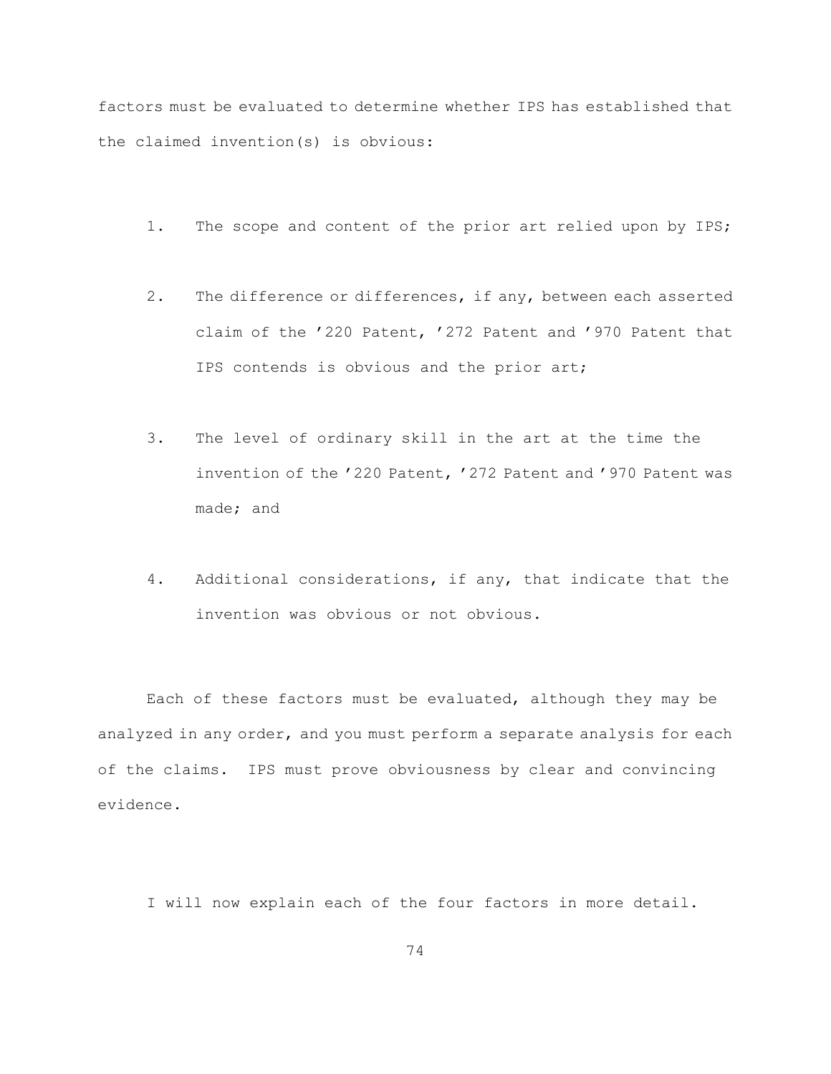factors must be evaluated to determine whether IPS has established that the claimed invention(s) is obvious:

- 1. The scope and content of the prior art relied upon by IPS;
- 2. The difference or differences, if any, between each asserted claim of the '220 Patent, '272 Patent and '970 Patent that IPS contends is obvious and the prior art;
- 3. The level of ordinary skill in the art at the time the invention of the '220 Patent, '272 Patent and '970 Patent was made; and
- 4. Additional considerations, if any, that indicate that the invention was obvious or not obvious.

Each of these factors must be evaluated, although they may be analyzed in any order, and you must perform a separate analysis for each of the claims. IPS must prove obviousness by clear and convincing evidence.

I will now explain each of the four factors in more detail.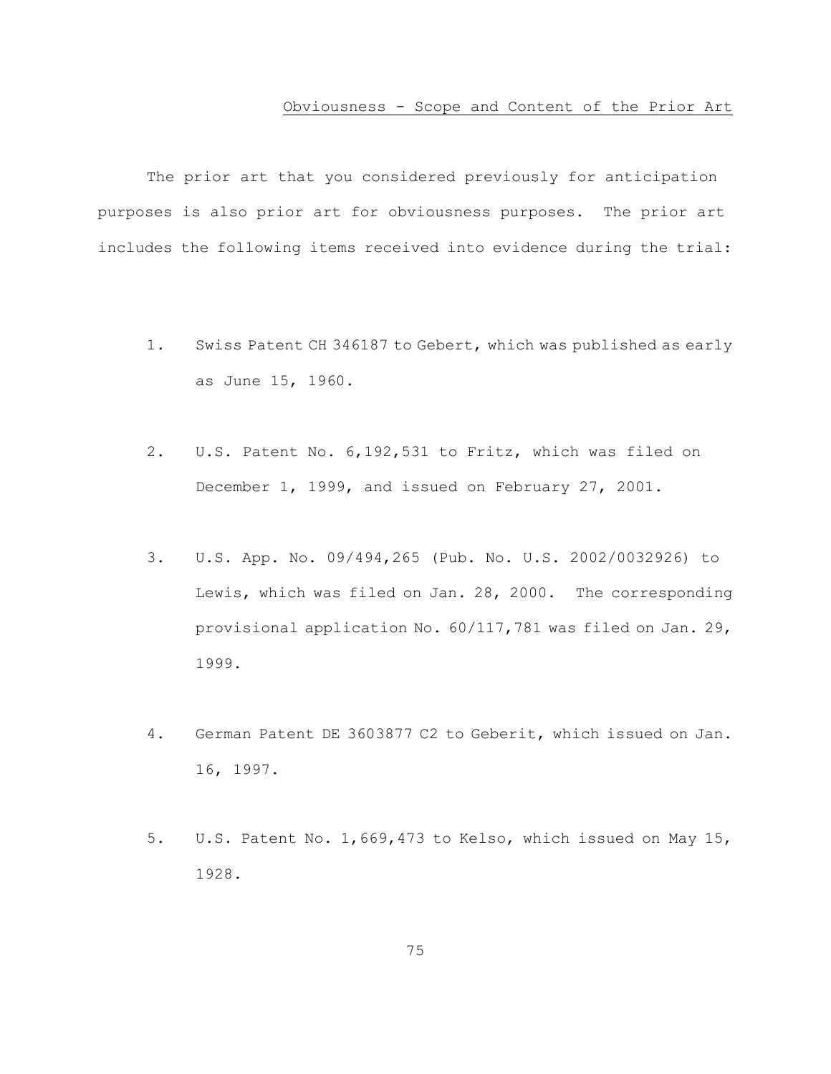#### Obviousness - Scope and Content of the Prior Art

The prior art that you considered previously for anticipation purposes is also prior art for obviousness purposes. The prior art includes the following items received into evidence during the trial:

- 1. Swiss Patent CH 346187 to Gebert, which was published as early as June 15, 1960.
- 2. U.S. Patent No. 6,192,531 to Fritz, which was filed on December 1, 1999, and issued on February 27, 2001.
- 3. U.S. App. No. 09/494,265 (Pub. No. U.S. 2002/0032926) to Lewis, which was filed on Jan. 28, 2000. The corresponding provisional application No. 60/117,781 was filed on Jan. 29, 1999.
- 4. German Patent DE 3603877 C2 to Geberit, which issued on Jan. 16, 1997.
- 5. U.S. Patent No. 1,669,473 to Kelso, which issued on May 15, 1928.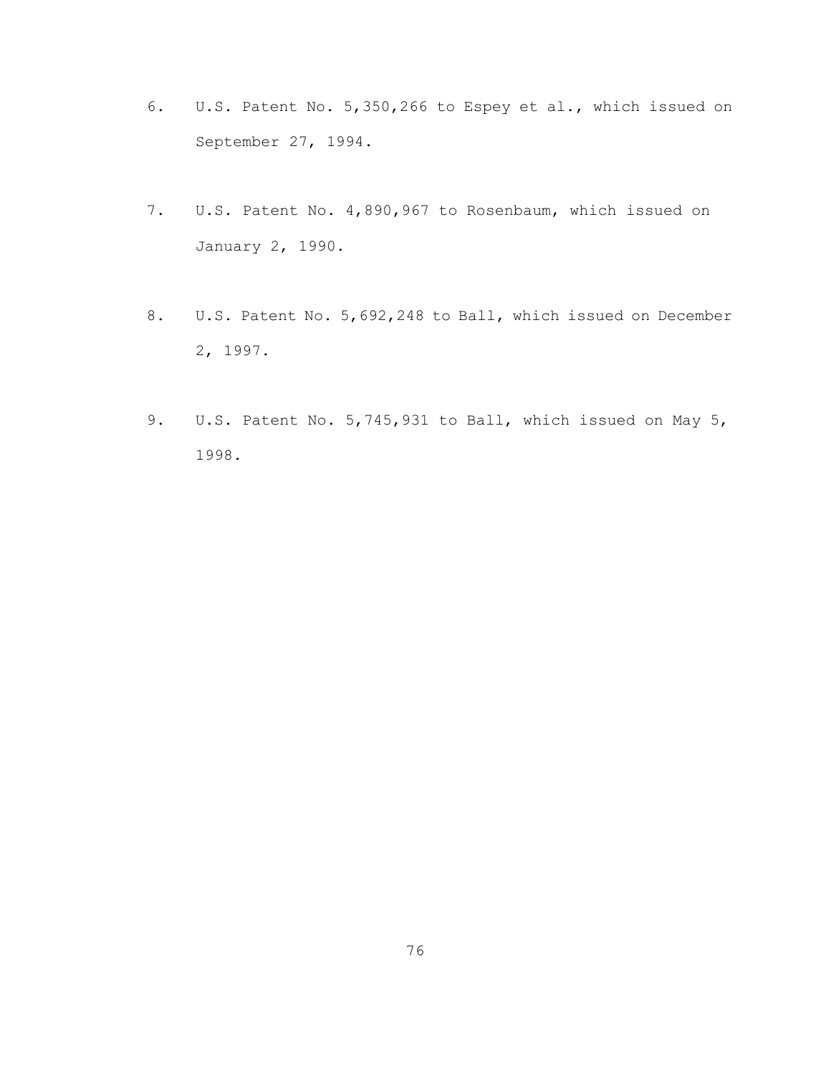- 6. U.S. Patent No. 5,350,266 to Espey et al., which issued on September 27, 1994.
- 7. U.S. Patent No. 4,890,967 to Rosenbaum, which issued on January 2, 1990.
- 8. U.S. Patent No. 5,692,248 to Ball, which issued on December 2, 1997.
- 9. U.S. Patent No. 5,745,931 to Ball, which issued on May 5, 1998.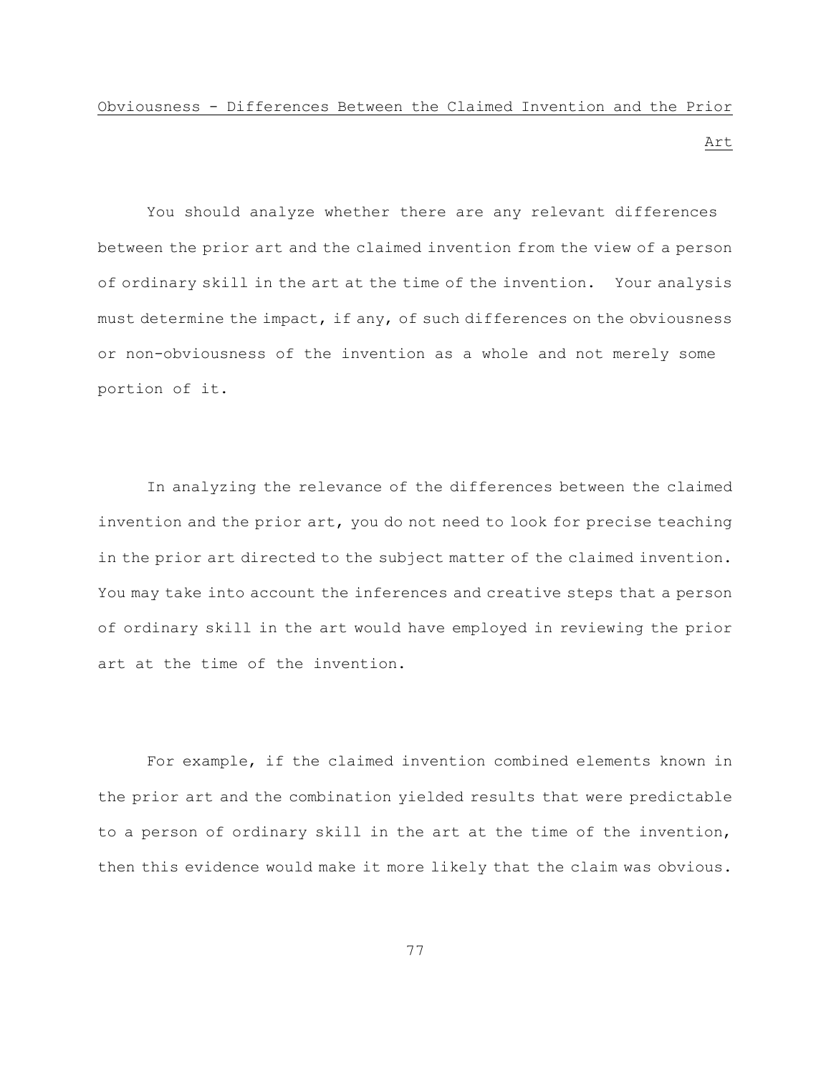# Obviousness - Differences Between the Claimed Invention and the Prior

Art

You should analyze whether there are any relevant differences between the prior art and the claimed invention from the view of a person of ordinary skill in the art at the time of the invention. Your analysis must determine the impact, if any, of such differences on the obviousness or non-obviousness of the invention as a whole and not merely some portion of it.

In analyzing the relevance of the differences between the claimed invention and the prior art, you do not need to look for precise teaching in the prior art directed to the subject matter of the claimed invention. You may take into account the inferences and creative steps that a person of ordinary skill in the art would have employed in reviewing the prior art at the time of the invention.

For example, if the claimed invention combined elements known in the prior art and the combination yielded results that were predictable to a person of ordinary skill in the art at the time of the invention, then this evidence would make it more likely that the claim was obvious.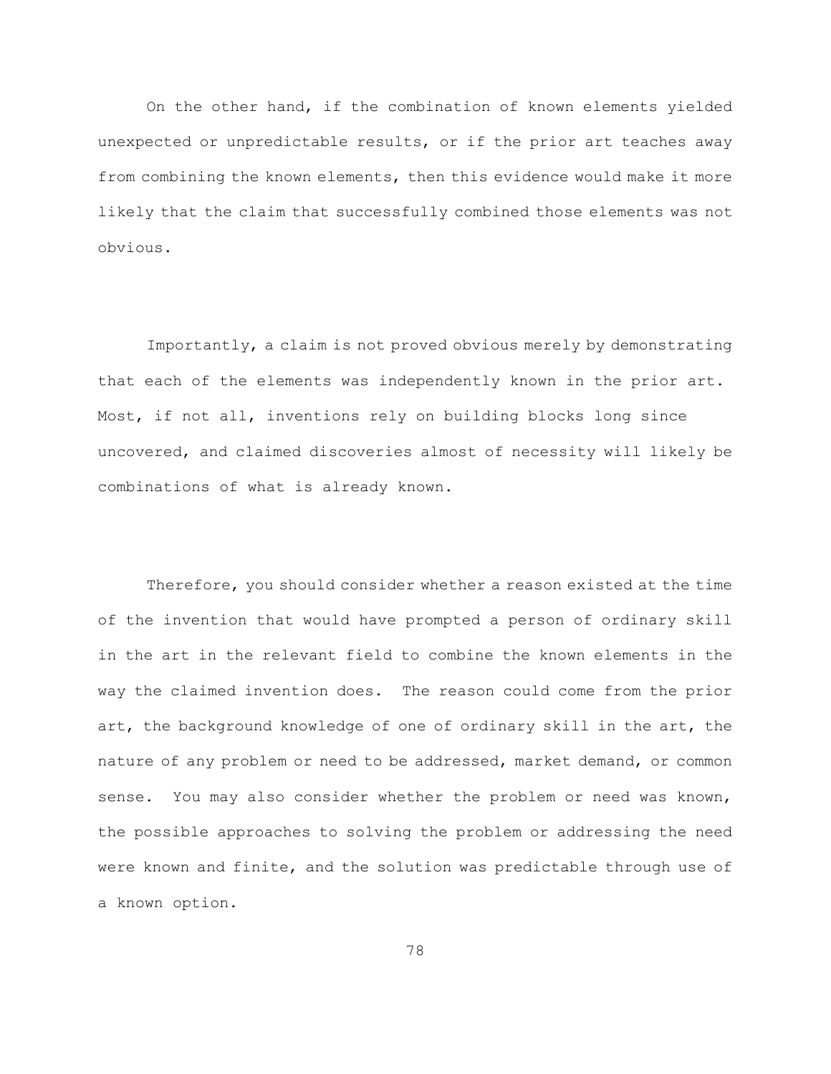On the other hand, if the combination of known elements yielded unexpected or unpredictable results, or if the prior art teaches away from combining the known elements, then this evidence would make it more likely that the claim that successfully combined those elements was not obvious.

Importantly, a claim is not proved obvious merely by demonstrating that each of the elements was independently known in the prior art. Most, if not all, inventions rely on building blocks long since uncovered, and claimed discoveries almost of necessity will likely be combinations of what is already known.

Therefore, you should consider whether a reason existed at the time of the invention that would have prompted a person of ordinary skill in the art in the relevant field to combine the known elements in the way the claimed invention does. The reason could come from the prior art, the background knowledge of one of ordinary skill in the art, the nature of any problem or need to be addressed, market demand, or common sense. You may also consider whether the problem or need was known, the possible approaches to solving the problem or addressing the need were known and finite, and the solution was predictable through use of a known option.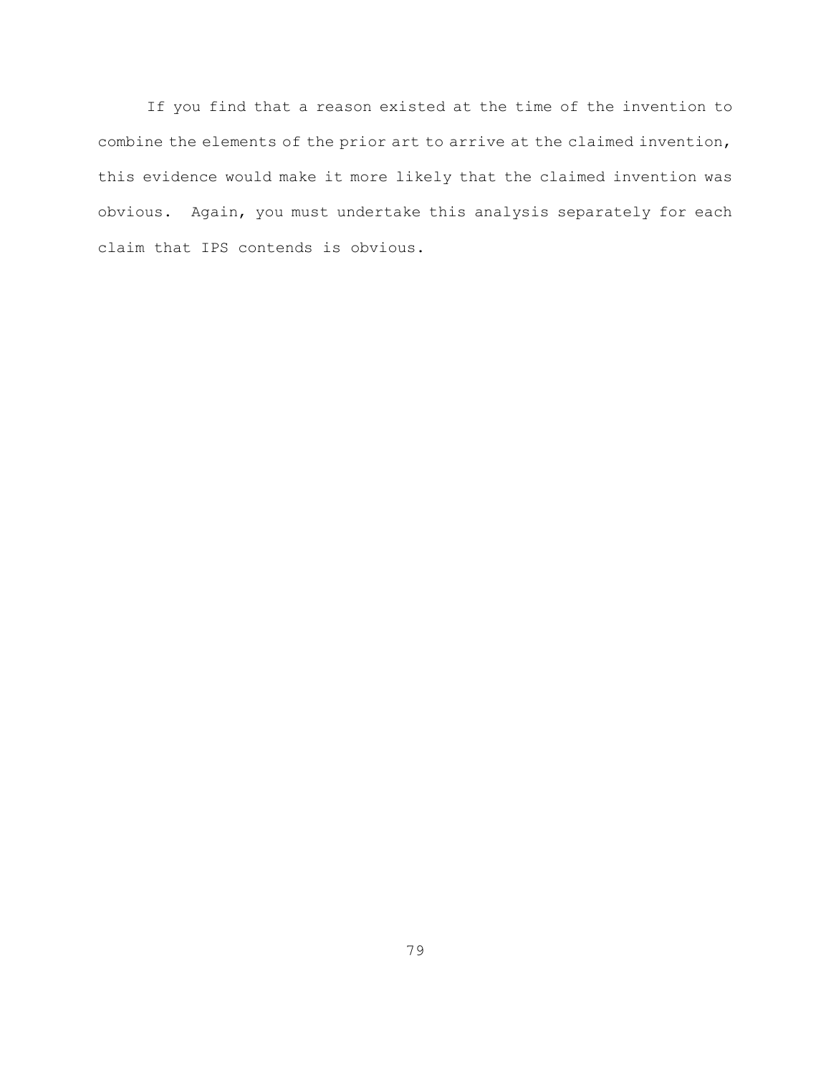If you find that a reason existed at the time of the invention to combine the elements of the prior art to arrive at the claimed invention, this evidence would make it more likely that the claimed invention was obvious. Again, you must undertake this analysis separately for each claim that IPS contends is obvious.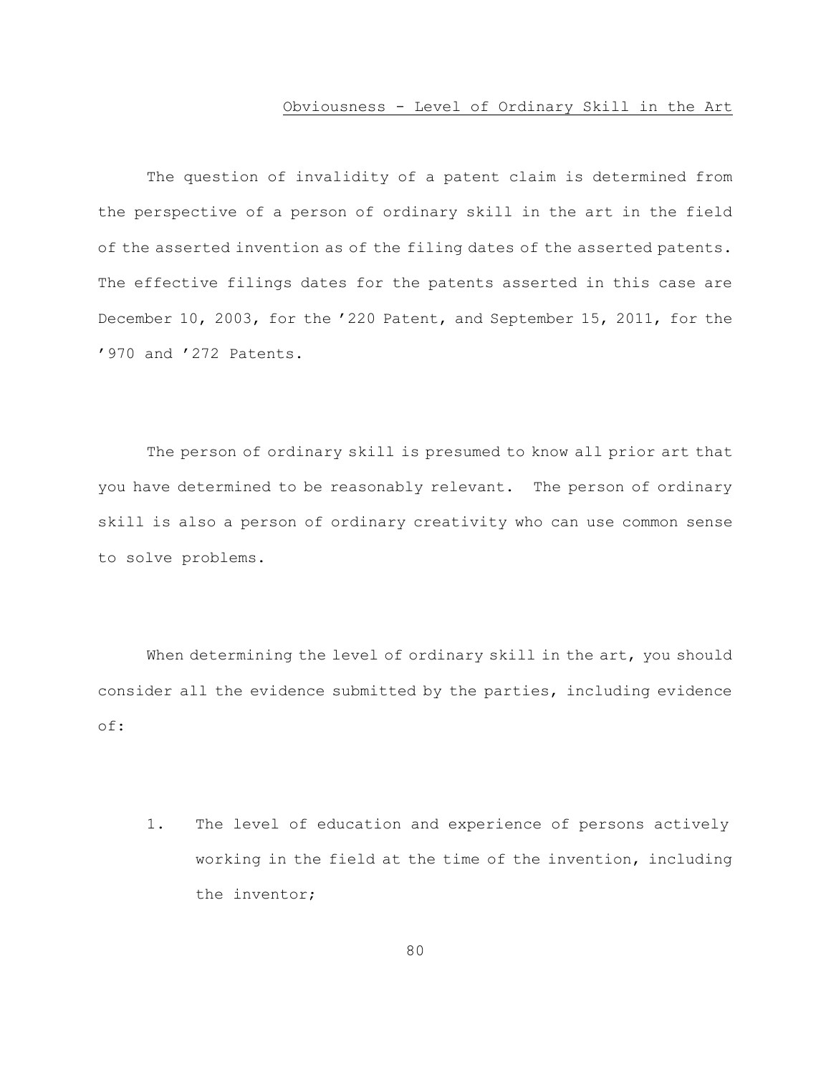#### Obviousness - Level of Ordinary Skill in the Art

The question of invalidity of a patent claim is determined from the perspective of a person of ordinary skill in the art in the field of the asserted invention as of the filing dates of the asserted patents. The effective filings dates for the patents asserted in this case are December 10, 2003, for the '220 Patent, and September 15, 2011, for the '970 and '272 Patents.

The person of ordinary skill is presumed to know all prior art that you have determined to be reasonably relevant. The person of ordinary skill is also a person of ordinary creativity who can use common sense to solve problems.

When determining the level of ordinary skill in the art, you should consider all the evidence submitted by the parties, including evidence of:

1. The level of education and experience of persons actively working in the field at the time of the invention, including the inventor;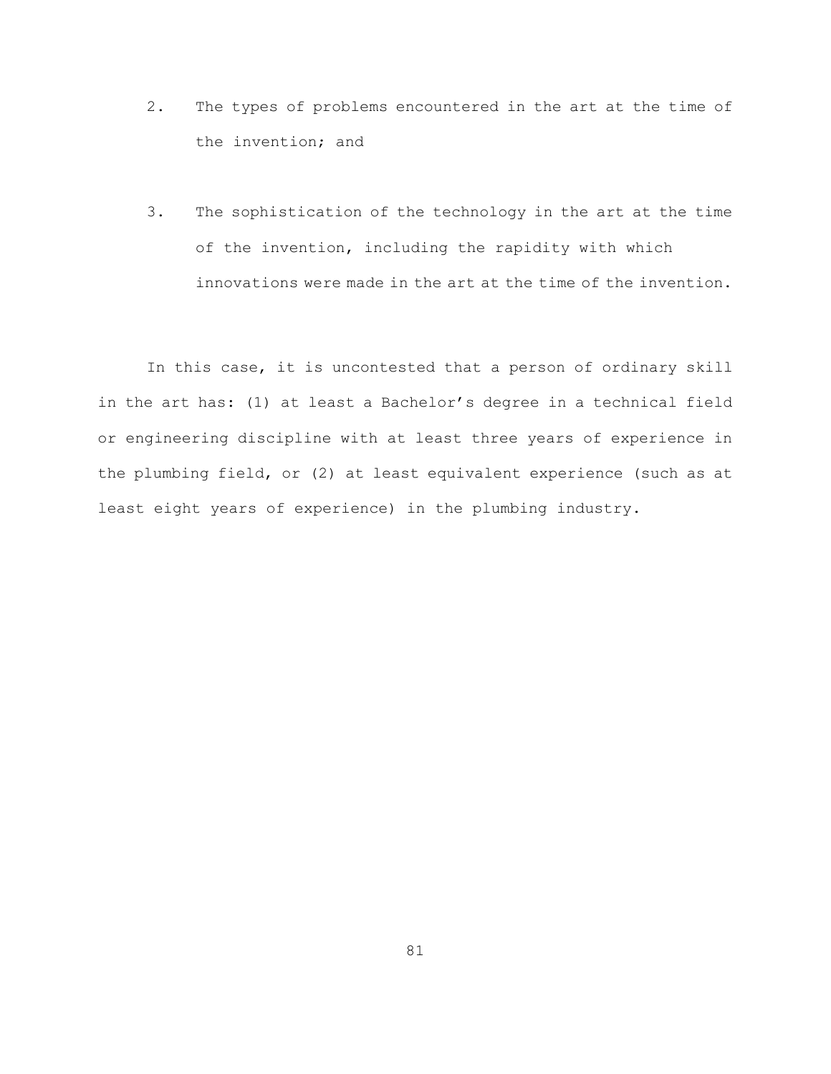- 2. The types of problems encountered in the art at the time of the invention; and
- 3. The sophistication of the technology in the art at the time of the invention, including the rapidity with which innovations were made in the art at the time of the invention.

In this case, it is uncontested that a person of ordinary skill in the art has: (1) at least a Bachelor's degree in a technical field or engineering discipline with at least three years of experience in the plumbing field, or (2) at least equivalent experience (such as at least eight years of experience) in the plumbing industry.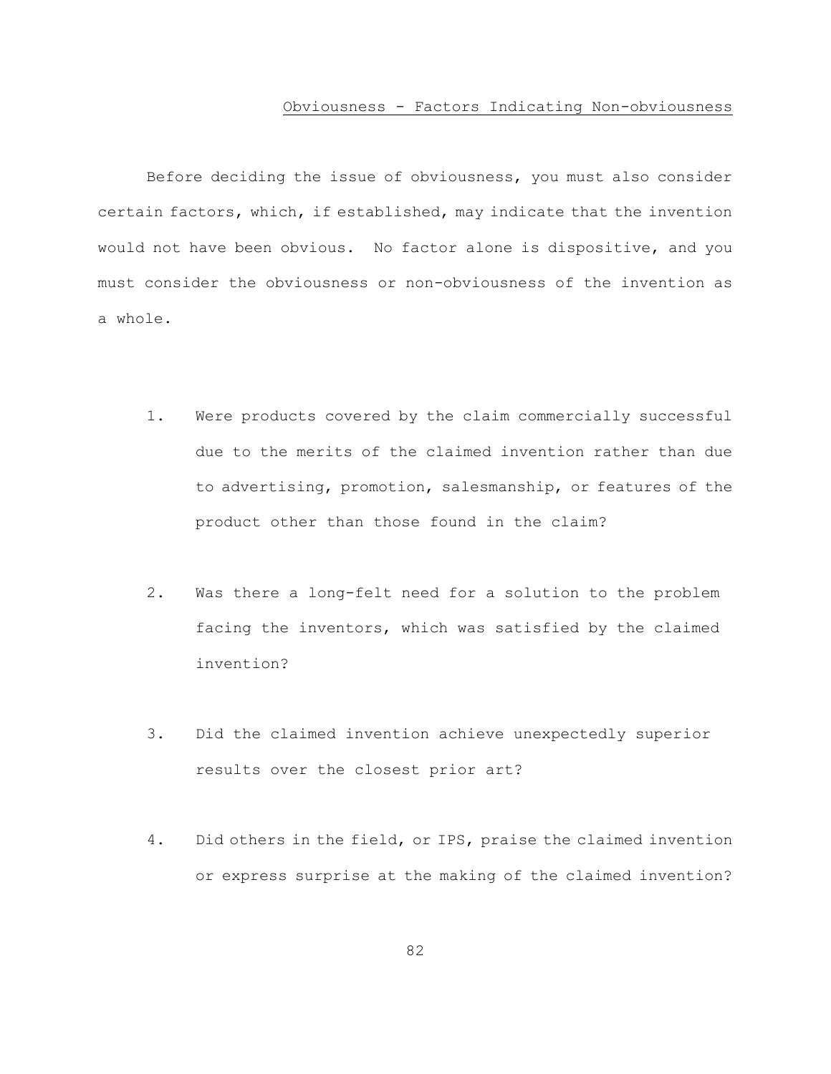#### Obviousness - Factors Indicating Non-obviousness

Before deciding the issue of obviousness, you must also consider certain factors, which, if established, may indicate that the invention would not have been obvious. No factor alone is dispositive, and you must consider the obviousness or non-obviousness of the invention as a whole.

- 1. Were products covered by the claim commercially successful due to the merits of the claimed invention rather than due to advertising, promotion, salesmanship, or features of the product other than those found in the claim?
- 2. Was there a long-felt need for a solution to the problem facing the inventors, which was satisfied by the claimed invention?
- 3. Did the claimed invention achieve unexpectedly superior results over the closest prior art?
- 4. Did others in the field, or IPS, praise the claimed invention or express surprise at the making of the claimed invention?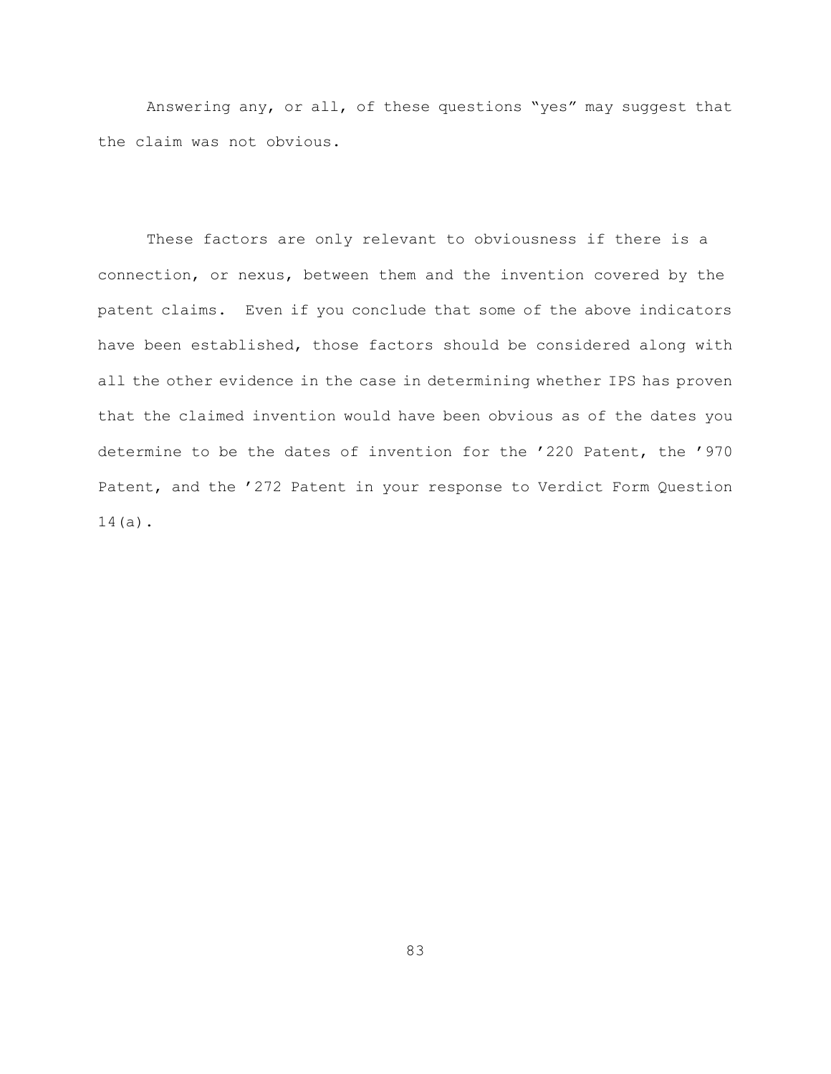Answering any, or all, of these questions "yes" may suggest that the claim was not obvious.

These factors are only relevant to obviousness if there is a connection, or nexus, between them and the invention covered by the patent claims. Even if you conclude that some of the above indicators have been established, those factors should be considered along with all the other evidence in the case in determining whether IPS has proven that the claimed invention would have been obvious as of the dates you determine to be the dates of invention for the '220 Patent, the '970 Patent, and the '272 Patent in your response to Verdict Form Question 14(a).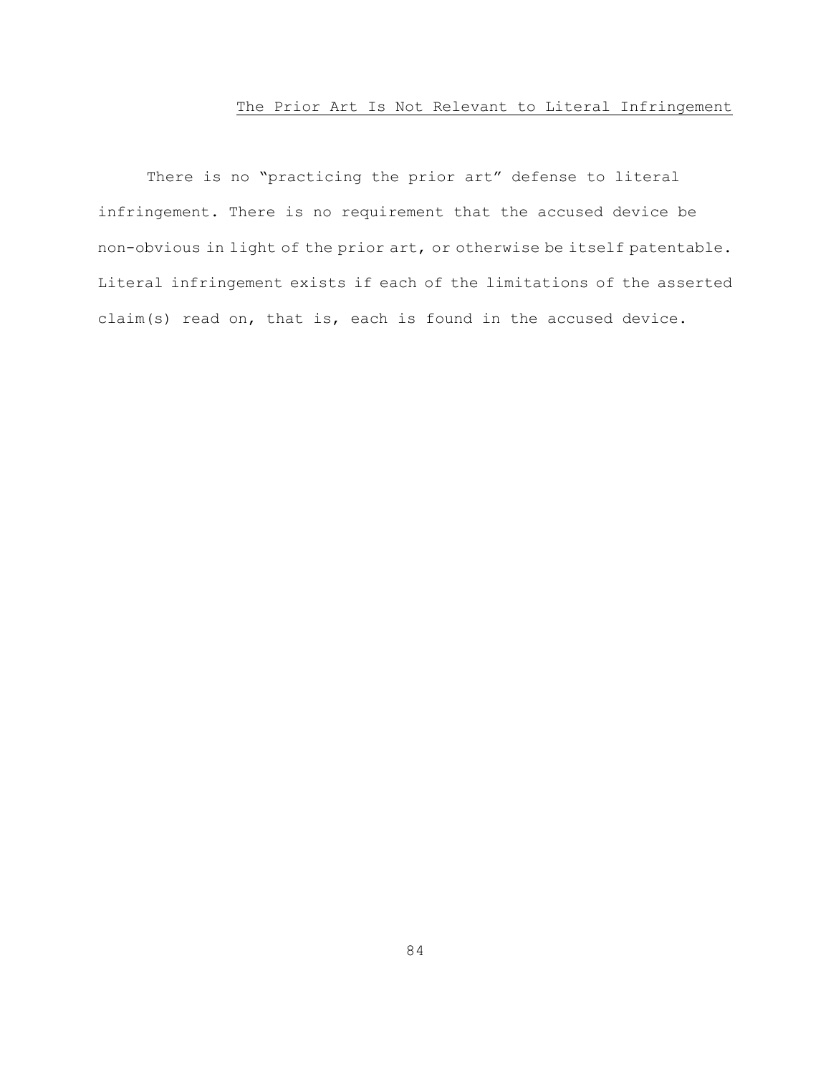# The Prior Art Is Not Relevant to Literal Infringement

There is no "practicing the prior art" defense to literal infringement. There is no requirement that the accused device be non-obvious in light of the prior art, or otherwise be itself patentable. Literal infringement exists if each of the limitations of the asserted claim(s) read on, that is, each is found in the accused device.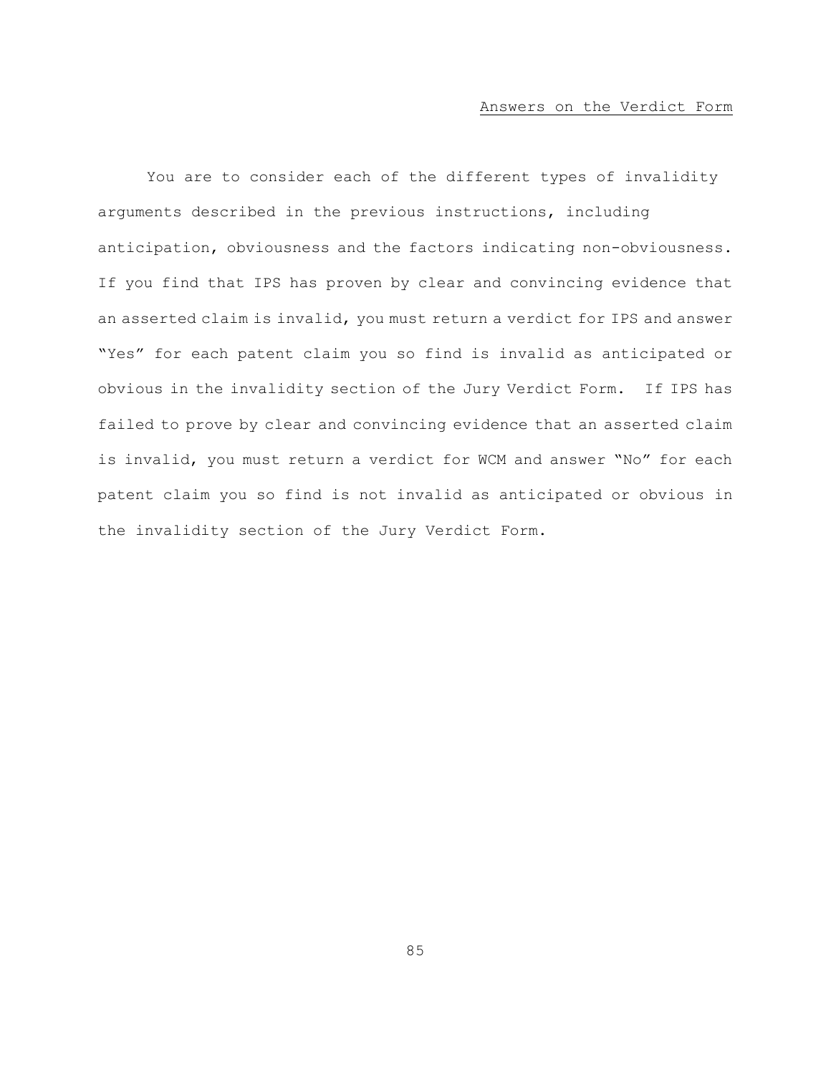You are to consider each of the different types of invalidity arguments described in the previous instructions, including anticipation, obviousness and the factors indicating non-obviousness. If you find that IPS has proven by clear and convincing evidence that an asserted claim is invalid, you must return a verdict for IPS and answer "Yes" for each patent claim you so find is invalid as anticipated or obvious in the invalidity section of the Jury Verdict Form. If IPS has failed to prove by clear and convincing evidence that an asserted claim is invalid, you must return a verdict for WCM and answer "No" for each patent claim you so find is not invalid as anticipated or obvious in the invalidity section of the Jury Verdict Form.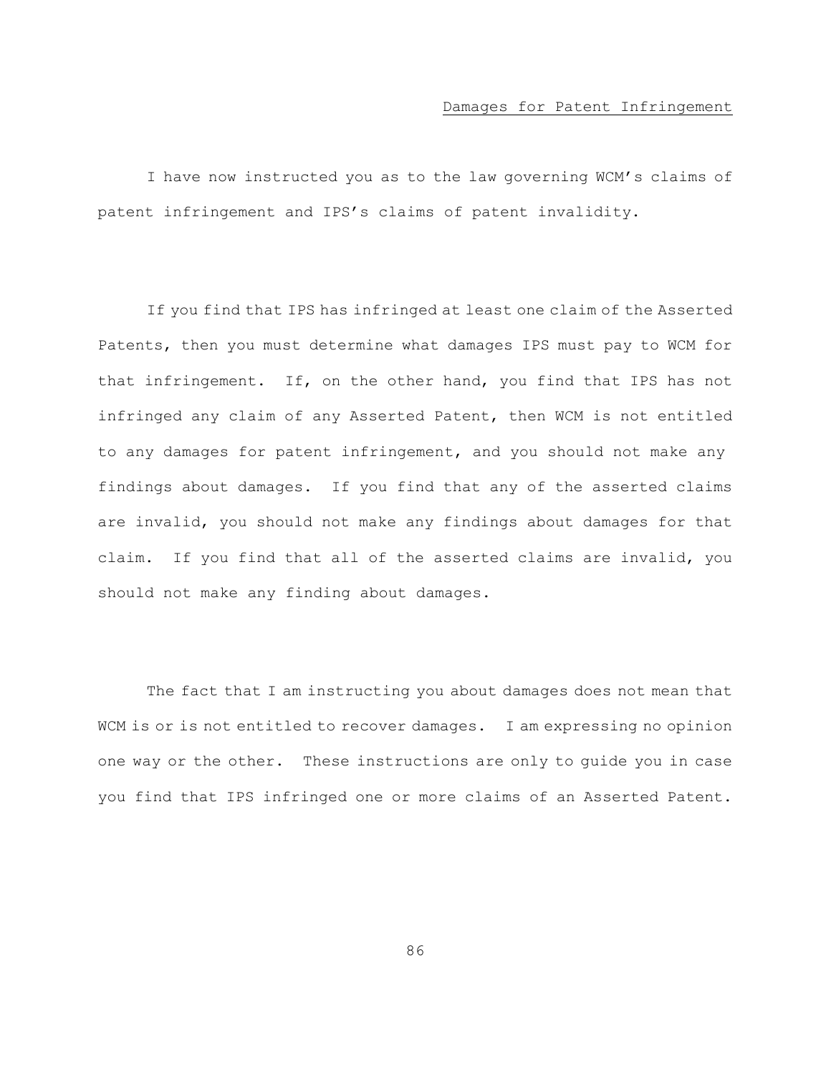#### Damages for Patent Infringement

I have now instructed you as to the law governing WCM's claims of patent infringement and IPS's claims of patent invalidity.

If you find that IPS has infringed at least one claim of the Asserted Patents, then you must determine what damages IPS must pay to WCM for that infringement. If, on the other hand, you find that IPS has not infringed any claim of any Asserted Patent, then WCM is not entitled to any damages for patent infringement, and you should not make any findings about damages. If you find that any of the asserted claims are invalid, you should not make any findings about damages for that claim. If you find that all of the asserted claims are invalid, you should not make any finding about damages.

The fact that I am instructing you about damages does not mean that WCM is or is not entitled to recover damages. I am expressing no opinion one way or the other. These instructions are only to guide you in case you find that IPS infringed one or more claims of an Asserted Patent.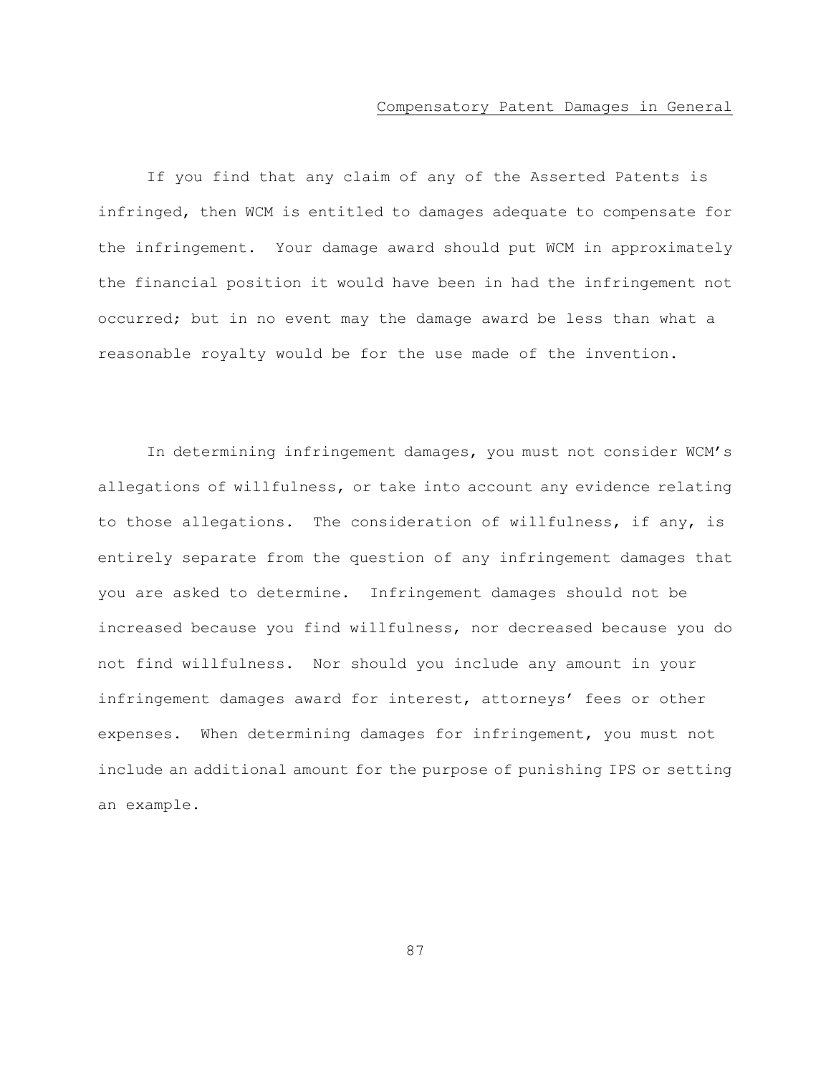#### Compensatory Patent Damages in General

If you find that any claim of any of the Asserted Patents is infringed, then WCM is entitled to damages adequate to compensate for the infringement. Your damage award should put WCM in approximately the financial position it would have been in had the infringement not occurred; but in no event may the damage award be less than what a reasonable royalty would be for the use made of the invention.

In determining infringement damages, you must not consider WCM's allegations of willfulness, or take into account any evidence relating to those allegations. The consideration of willfulness, if any, is entirely separate from the question of any infringement damages that you are asked to determine. Infringement damages should not be increased because you find willfulness, nor decreased because you do not find willfulness. Nor should you include any amount in your infringement damages award for interest, attorneys' fees or other expenses. When determining damages for infringement, you must not include an additional amount for the purpose of punishing IPS or setting an example.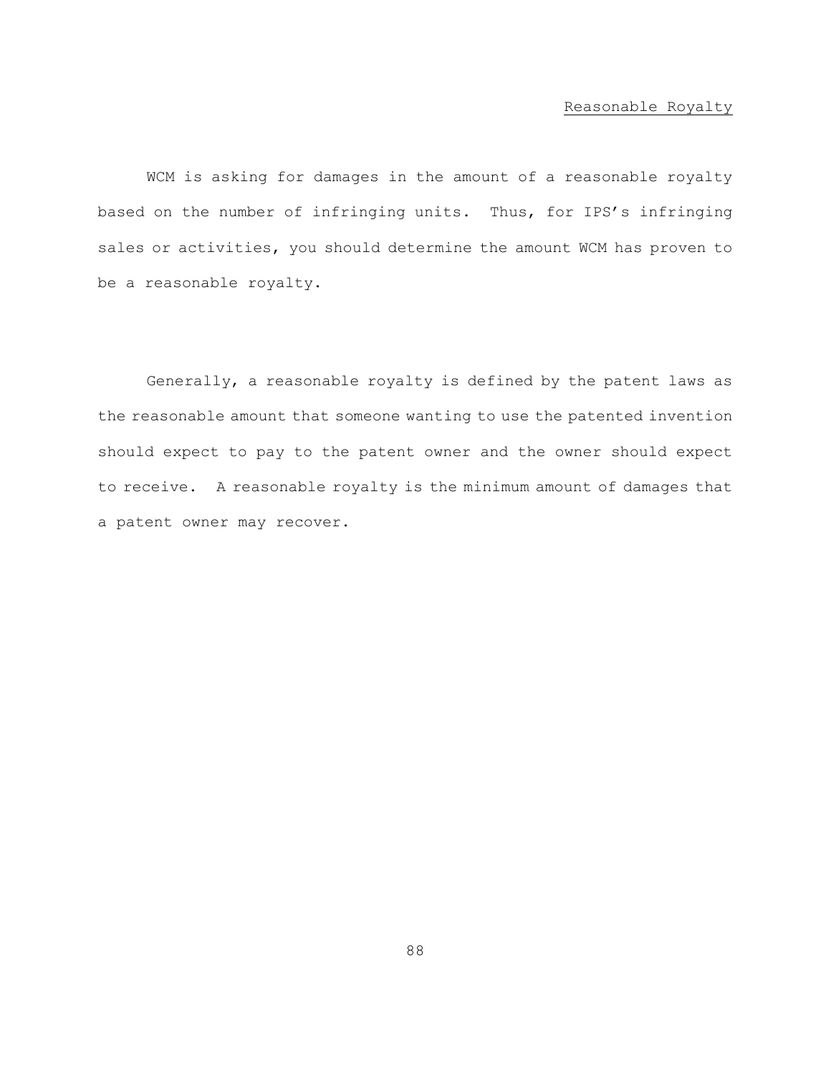# Reasonable Royalty

WCM is asking for damages in the amount of a reasonable royalty based on the number of infringing units. Thus, for IPS's infringing sales or activities, you should determine the amount WCM has proven to be a reasonable royalty.

Generally, a reasonable royalty is defined by the patent laws as the reasonable amount that someone wanting to use the patented invention should expect to pay to the patent owner and the owner should expect to receive. A reasonable royalty is the minimum amount of damages that a patent owner may recover.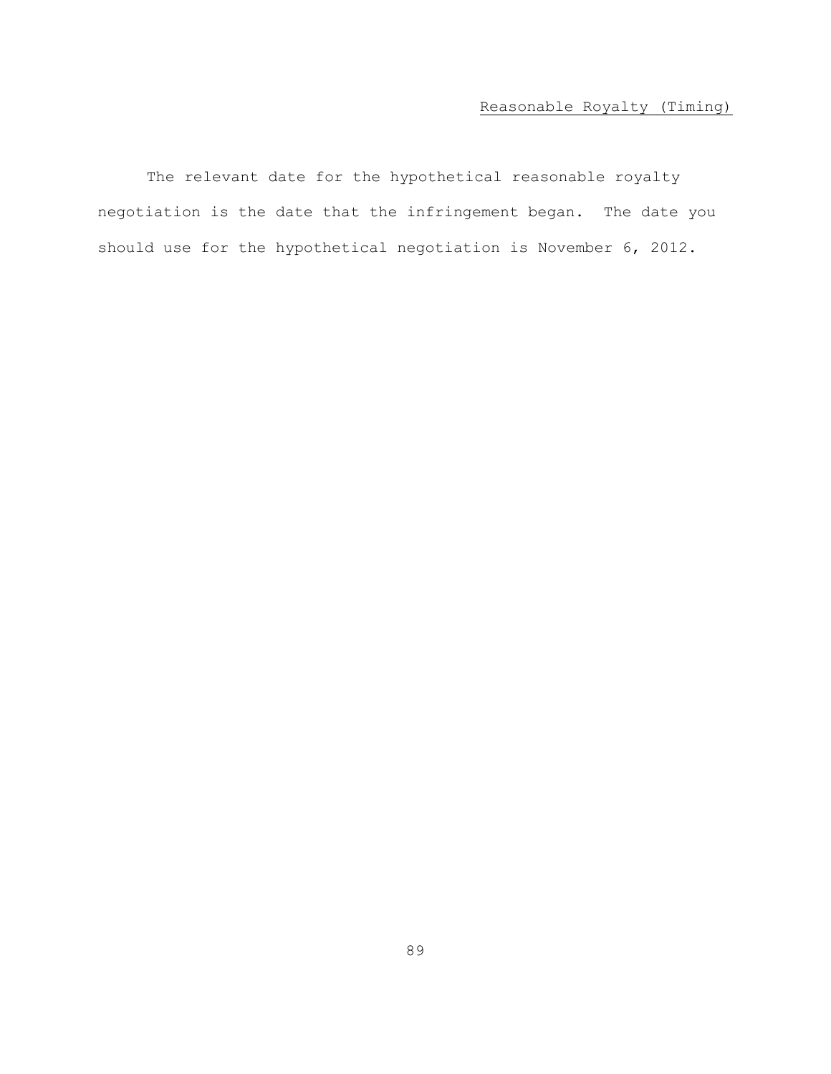# Reasonable Royalty (Timing)

The relevant date for the hypothetical reasonable royalty negotiation is the date that the infringement began. The date you should use for the hypothetical negotiation is November 6, 2012.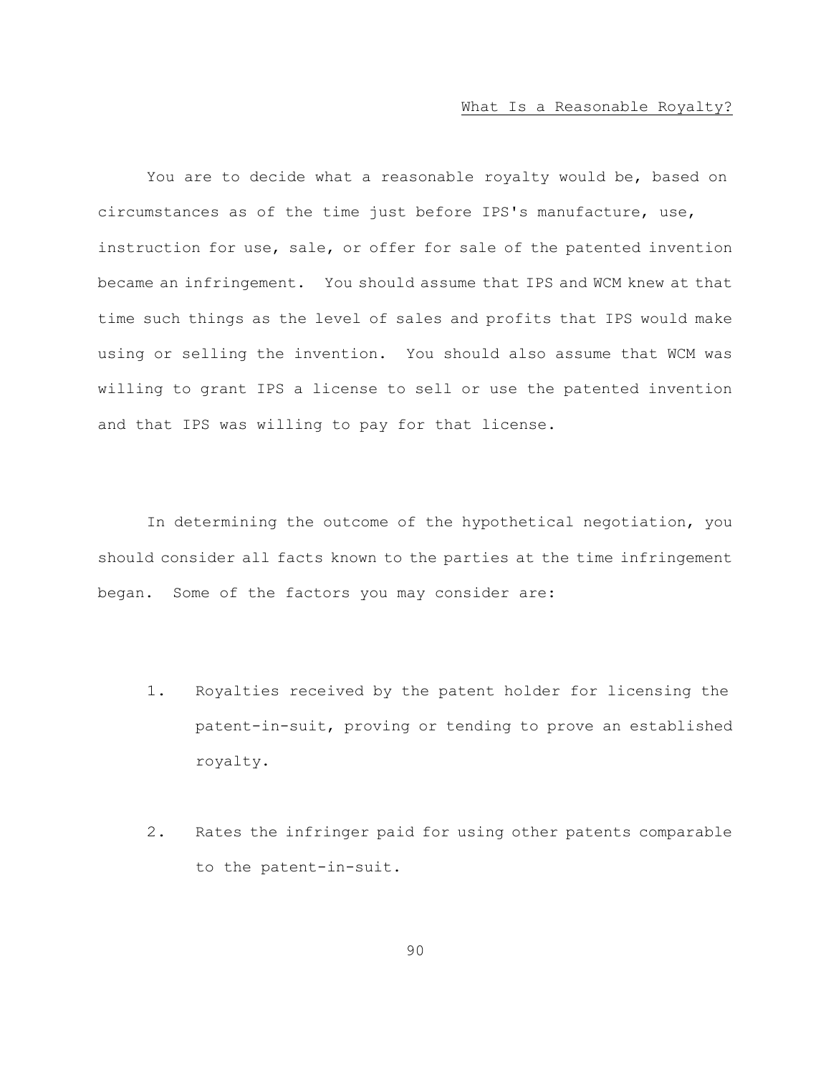You are to decide what a reasonable royalty would be, based on circumstances as of the time just before IPS's manufacture, use, instruction for use, sale, or offer for sale of the patented invention became an infringement. You should assume that IPS and WCM knew at that time such things as the level of sales and profits that IPS would make using or selling the invention. You should also assume that WCM was willing to grant IPS a license to sell or use the patented invention and that IPS was willing to pay for that license.

In determining the outcome of the hypothetical negotiation, you should consider all facts known to the parties at the time infringement began. Some of the factors you may consider are:

- 1. Royalties received by the patent holder for licensing the patent-in-suit, proving or tending to prove an established royalty.
- 2. Rates the infringer paid for using other patents comparable to the patent-in-suit.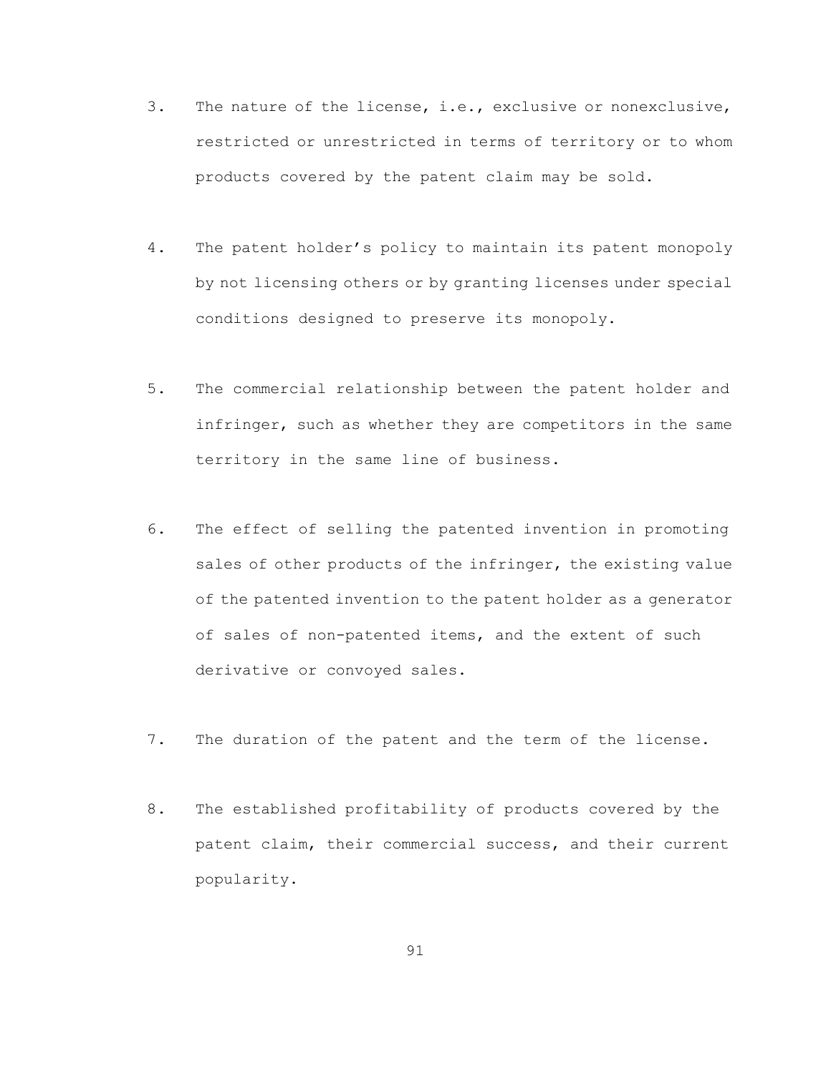- 3. The nature of the license, i.e., exclusive or nonexclusive, restricted or unrestricted in terms of territory or to whom products covered by the patent claim may be sold.
- 4. The patent holder's policy to maintain its patent monopoly by not licensing others or by granting licenses under special conditions designed to preserve its monopoly.
- 5. The commercial relationship between the patent holder and infringer, such as whether they are competitors in the same territory in the same line of business.
- 6. The effect of selling the patented invention in promoting sales of other products of the infringer, the existing value of the patented invention to the patent holder as a generator of sales of non-patented items, and the extent of such derivative or convoyed sales.
- 7. The duration of the patent and the term of the license.
- 8. The established profitability of products covered by the patent claim, their commercial success, and their current popularity.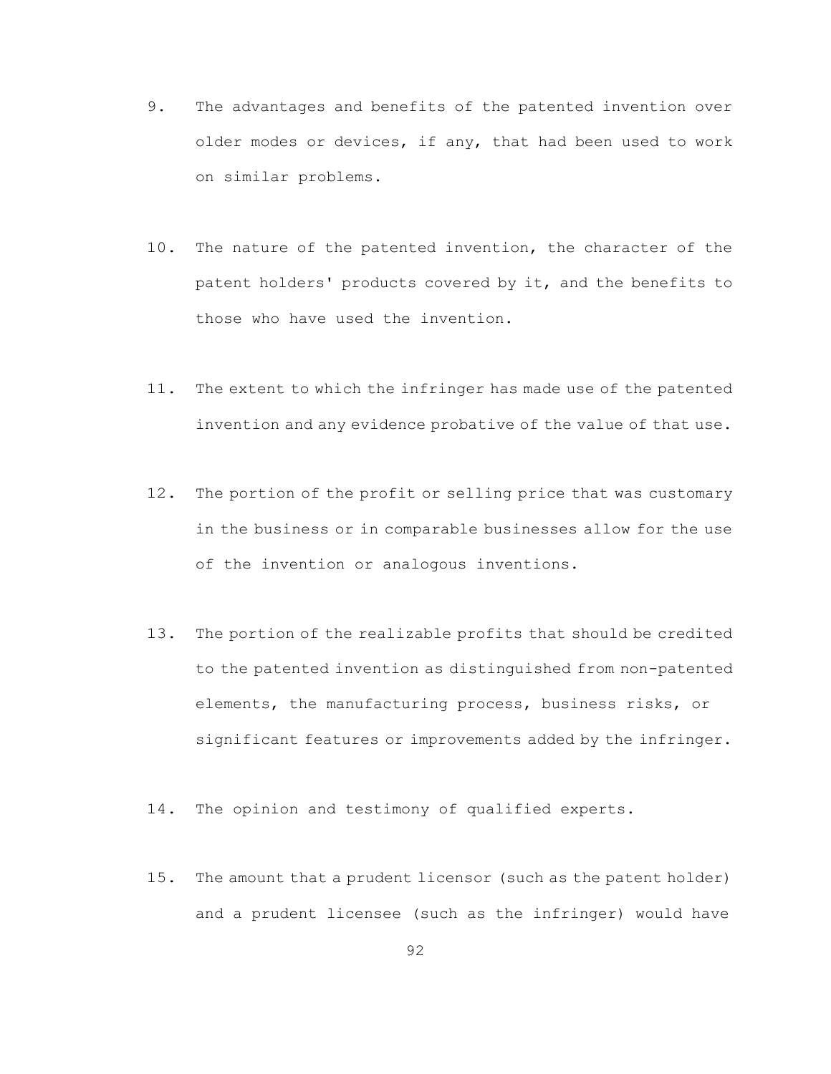- 9. The advantages and benefits of the patented invention over older modes or devices, if any, that had been used to work on similar problems.
- 10. The nature of the patented invention, the character of the patent holders' products covered by it, and the benefits to those who have used the invention.
- 11. The extent to which the infringer has made use of the patented invention and any evidence probative of the value of that use.
- 12. The portion of the profit or selling price that was customary in the business or in comparable businesses allow for the use of the invention or analogous inventions.
- 13. The portion of the realizable profits that should be credited to the patented invention as distinguished from non-patented elements, the manufacturing process, business risks, or significant features or improvements added by the infringer.
- 14. The opinion and testimony of qualified experts.
- 15. The amount that a prudent licensor (such as the patent holder) and a prudent licensee (such as the infringer) would have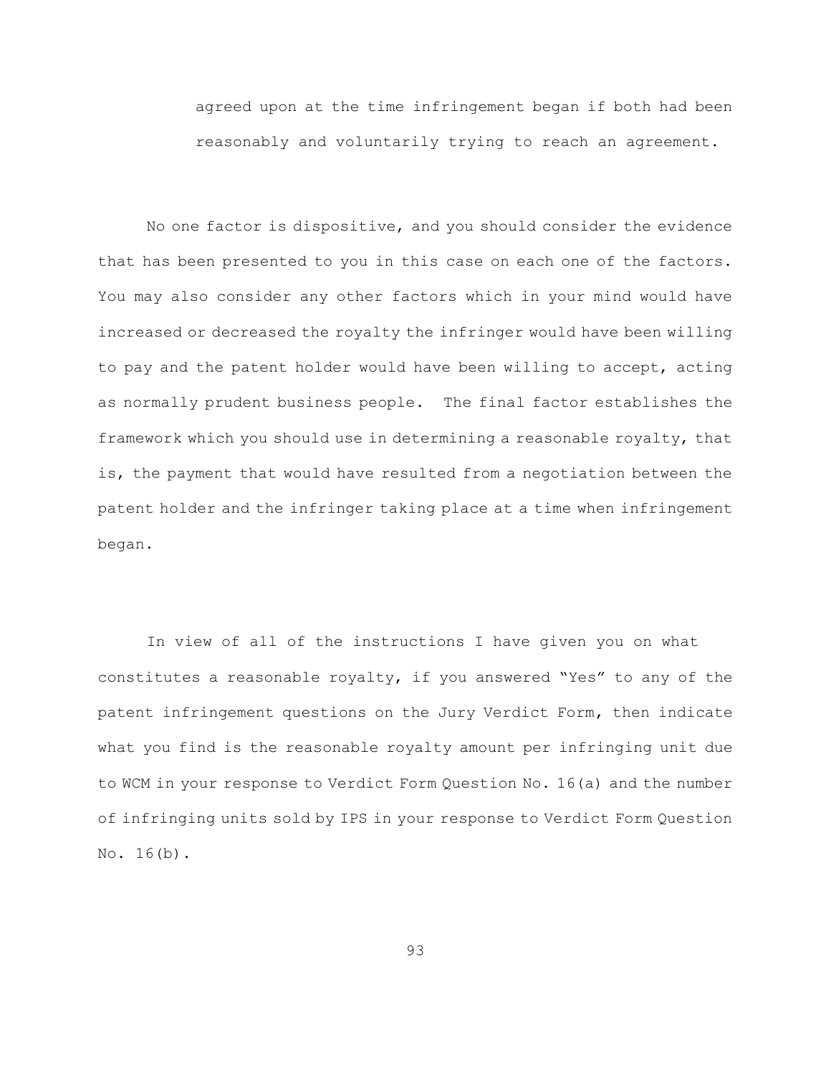agreed upon at the time infringement began if both had been reasonably and voluntarily trying to reach an agreement.

No one factor is dispositive, and you should consider the evidence that has been presented to you in this case on each one of the factors. You may also consider any other factors which in your mind would have increased or decreased the royalty the infringer would have been willing to pay and the patent holder would have been willing to accept, acting as normally prudent business people. The final factor establishes the framework which you should use in determining a reasonable royalty, that is, the payment that would have resulted from a negotiation between the patent holder and the infringer taking place at a time when infringement began.

In view of all of the instructions I have given you on what constitutes a reasonable royalty, if you answered "Yes" to any of the patent infringement questions on the Jury Verdict Form, then indicate what you find is the reasonable royalty amount per infringing unit due to WCM in your response to Verdict Form Question No. 16(a) and the number of infringing units sold by IPS in your response to Verdict Form Question No. 16(b).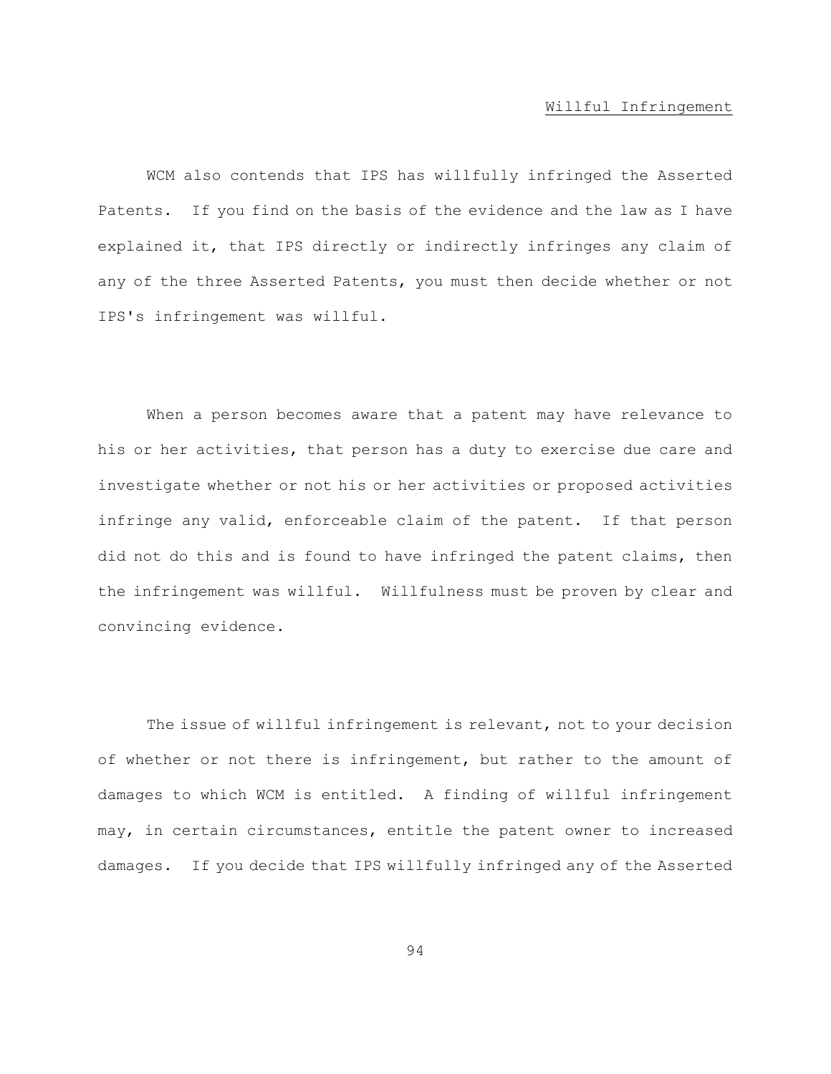#### Willful Infringement

WCM also contends that IPS has willfully infringed the Asserted Patents. If you find on the basis of the evidence and the law as I have explained it, that IPS directly or indirectly infringes any claim of any of the three Asserted Patents, you must then decide whether or not IPS's infringement was willful.

When a person becomes aware that a patent may have relevance to his or her activities, that person has a duty to exercise due care and investigate whether or not his or her activities or proposed activities infringe any valid, enforceable claim of the patent. If that person did not do this and is found to have infringed the patent claims, then the infringement was willful. Willfulness must be proven by clear and convincing evidence.

The issue of willful infringement is relevant, not to your decision of whether or not there is infringement, but rather to the amount of damages to which WCM is entitled. A finding of willful infringement may, in certain circumstances, entitle the patent owner to increased damages. If you decide that IPS willfully infringed any of the Asserted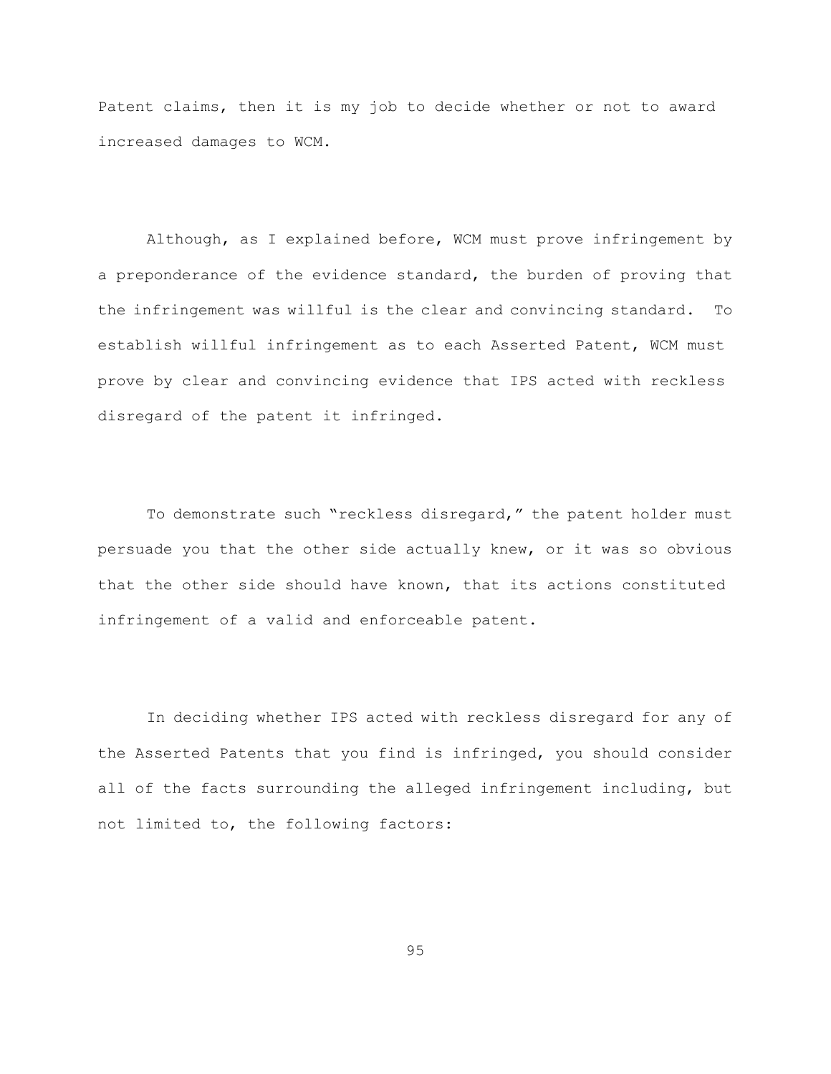Patent claims, then it is my job to decide whether or not to award increased damages to WCM.

Although, as I explained before, WCM must prove infringement by a preponderance of the evidence standard, the burden of proving that the infringement was willful is the clear and convincing standard. To establish willful infringement as to each Asserted Patent, WCM must prove by clear and convincing evidence that IPS acted with reckless disregard of the patent it infringed.

To demonstrate such "reckless disregard," the patent holder must persuade you that the other side actually knew, or it was so obvious that the other side should have known, that its actions constituted infringement of a valid and enforceable patent.

In deciding whether IPS acted with reckless disregard for any of the Asserted Patents that you find is infringed, you should consider all of the facts surrounding the alleged infringement including, but not limited to, the following factors: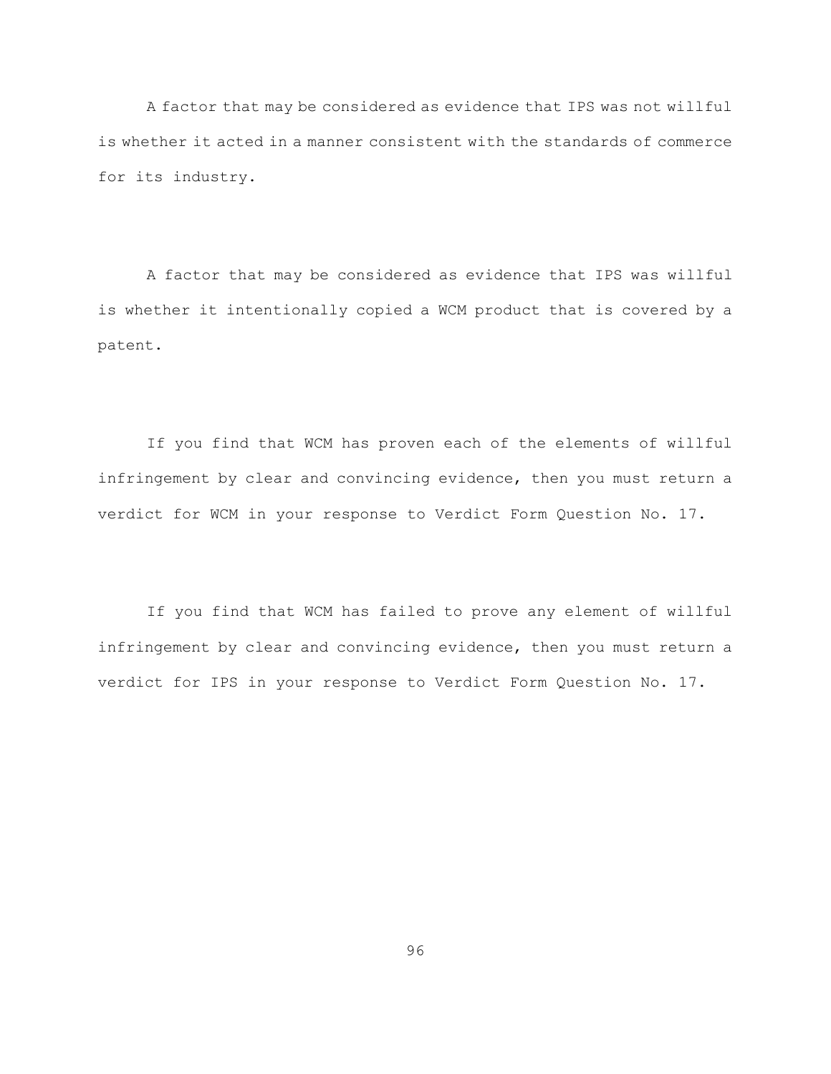A factor that may be considered as evidence that IPS was not willful is whether it acted in a manner consistent with the standards of commerce for its industry.

A factor that may be considered as evidence that IPS was willful is whether it intentionally copied a WCM product that is covered by a patent.

If you find that WCM has proven each of the elements of willful infringement by clear and convincing evidence, then you must return a verdict for WCM in your response to Verdict Form Question No. 17.

If you find that WCM has failed to prove any element of willful infringement by clear and convincing evidence, then you must return a verdict for IPS in your response to Verdict Form Question No. 17.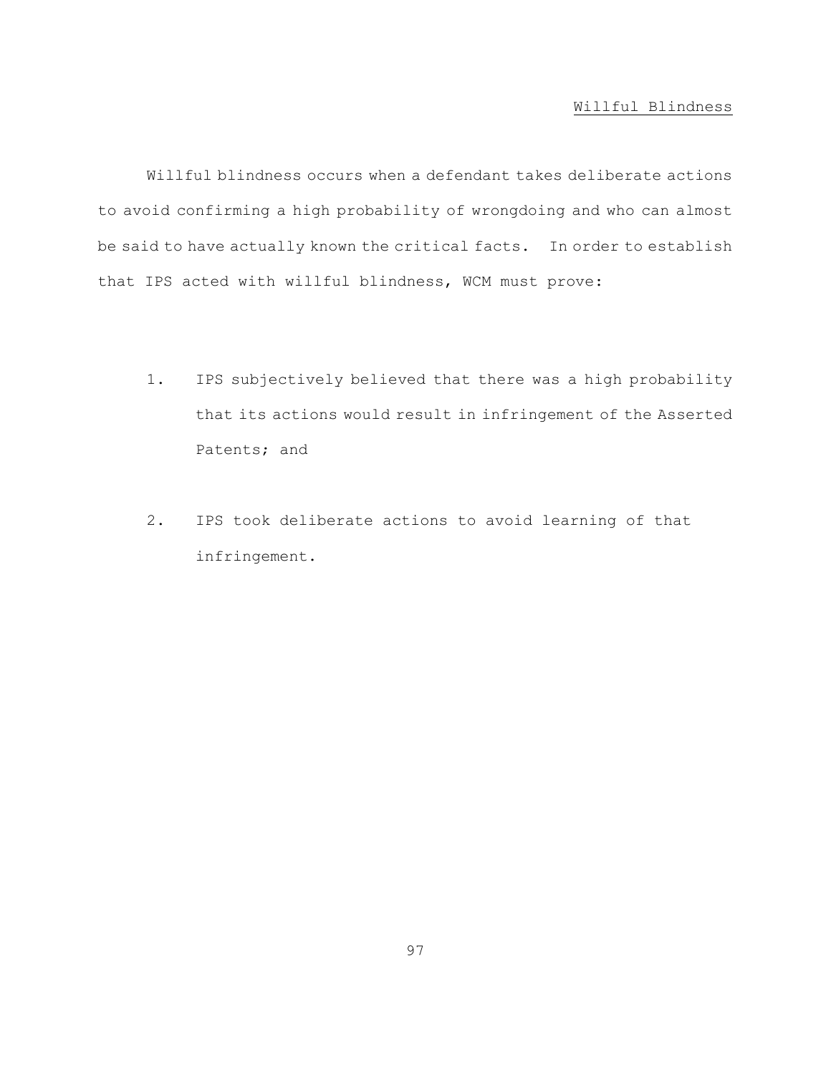# Willful Blindness

Willful blindness occurs when a defendant takes deliberate actions to avoid confirming a high probability of wrongdoing and who can almost be said to have actually known the critical facts. In order to establish that IPS acted with willful blindness, WCM must prove:

- 1. IPS subjectively believed that there was a high probability that its actions would result in infringement of the Asserted Patents; and
- 2. IPS took deliberate actions to avoid learning of that infringement.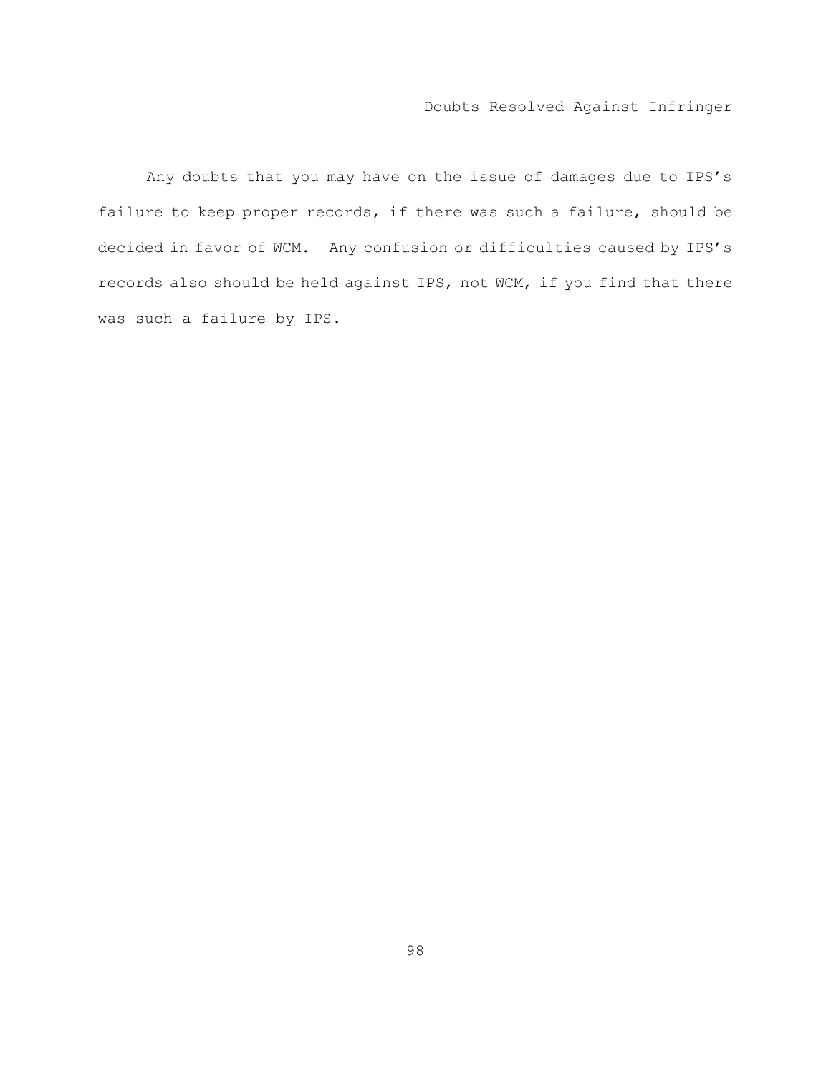# Doubts Resolved Against Infringer

Any doubts that you may have on the issue of damages due to IPS's failure to keep proper records, if there was such a failure, should be decided in favor of WCM. Any confusion or difficulties caused by IPS's records also should be held against IPS, not WCM, if you find that there was such a failure by IPS.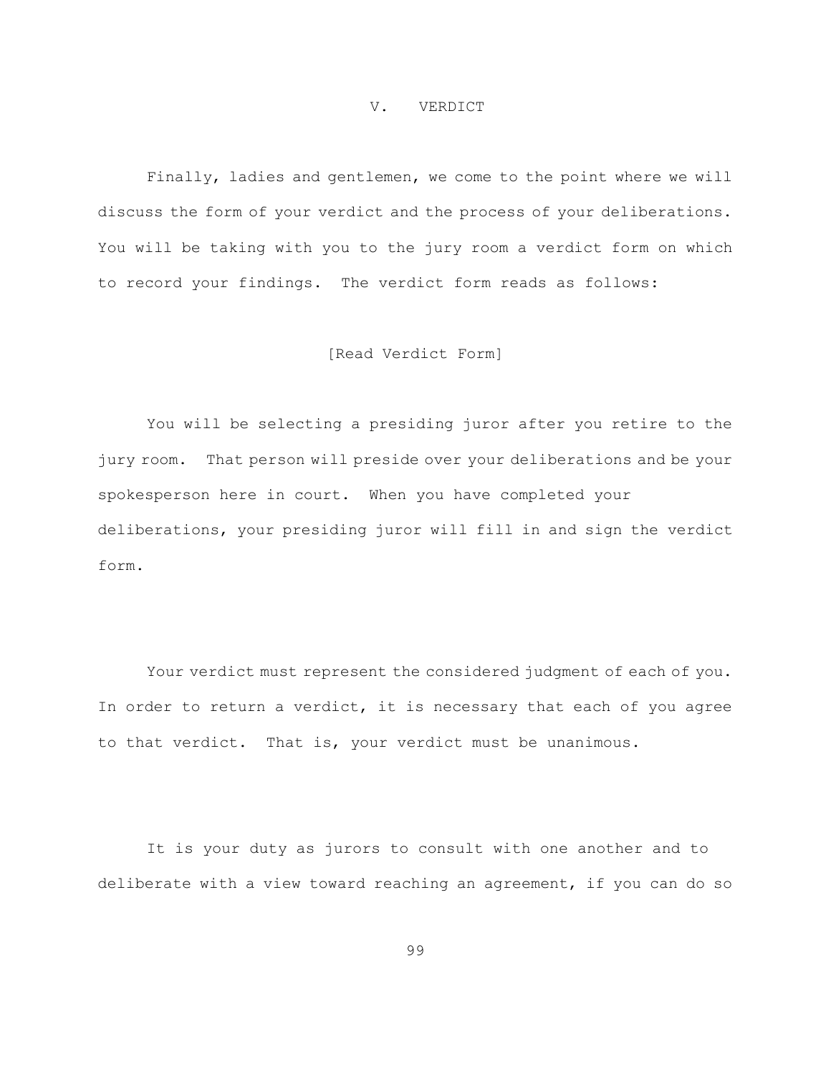#### V. VERDICT

Finally, ladies and gentlemen, we come to the point where we will discuss the form of your verdict and the process of your deliberations. You will be taking with you to the jury room a verdict form on which to record your findings. The verdict form reads as follows:

### [Read Verdict Form]

You will be selecting a presiding juror after you retire to the jury room. That person will preside over your deliberations and be your spokesperson here in court. When you have completed your deliberations, your presiding juror will fill in and sign the verdict form.

Your verdict must represent the considered judgment of each of you. In order to return a verdict, it is necessary that each of you agree to that verdict. That is, your verdict must be unanimous.

It is your duty as jurors to consult with one another and to deliberate with a view toward reaching an agreement, if you can do so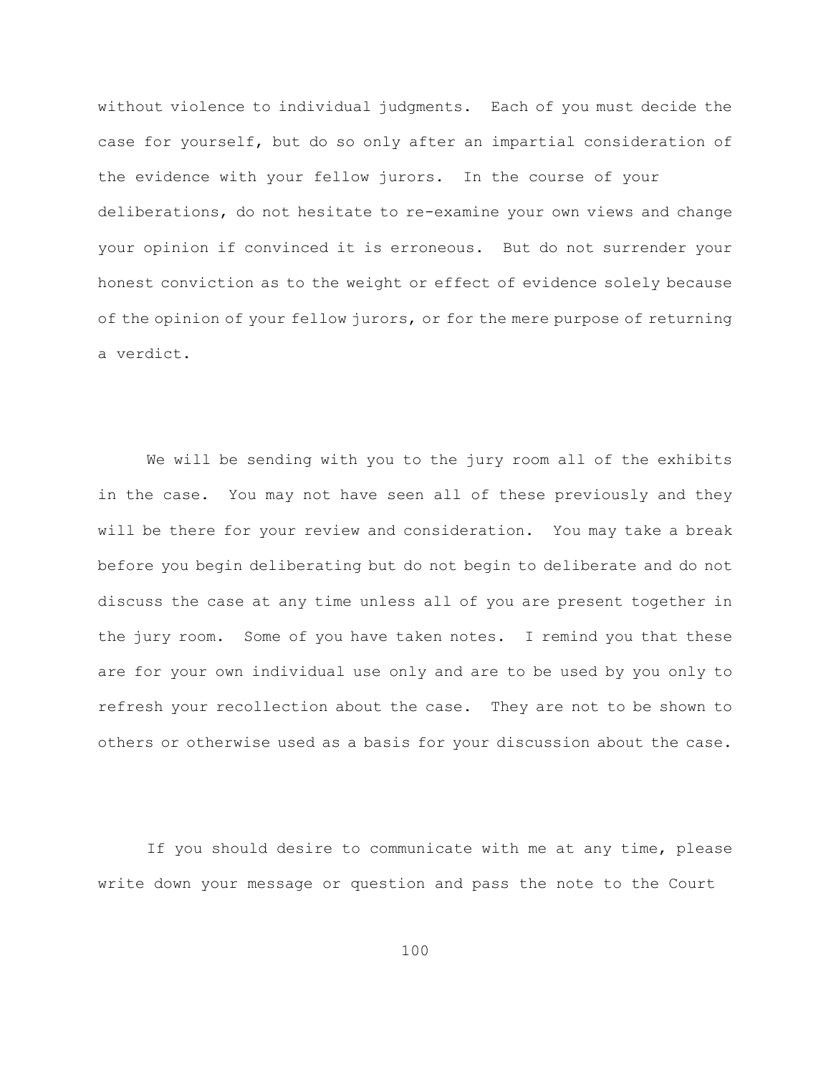without violence to individual judgments. Each of you must decide the case for yourself, but do so only after an impartial consideration of the evidence with your fellow jurors. In the course of your deliberations, do not hesitate to re-examine your own views and change your opinion if convinced it is erroneous. But do not surrender your honest conviction as to the weight or effect of evidence solely because of the opinion of your fellow jurors, or for the mere purpose of returning a verdict.

We will be sending with you to the jury room all of the exhibits in the case. You may not have seen all of these previously and they will be there for your review and consideration. You may take a break before you begin deliberating but do not begin to deliberate and do not discuss the case at any time unless all of you are present together in the jury room. Some of you have taken notes. I remind you that these are for your own individual use only and are to be used by you only to refresh your recollection about the case. They are not to be shown to others or otherwise used as a basis for your discussion about the case.

If you should desire to communicate with me at any time, please write down your message or question and pass the note to the Court